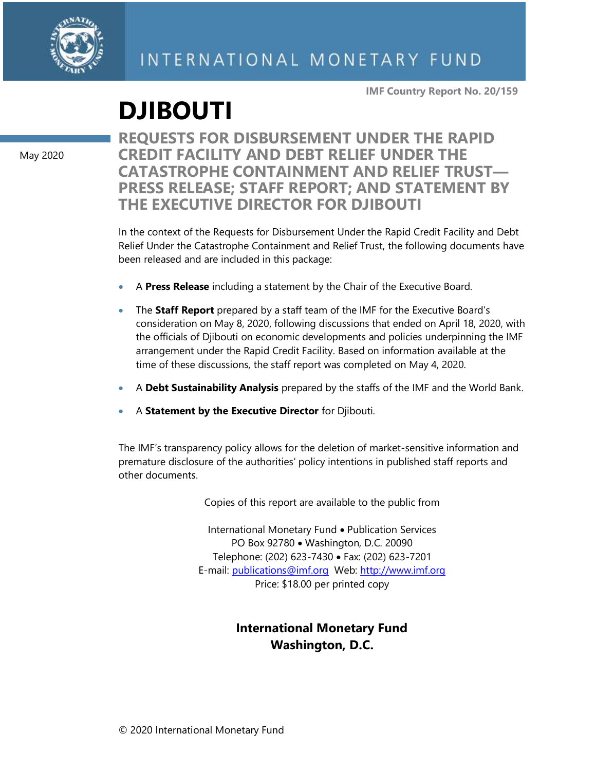

**IMF Country Report No. 20/159**

# **DJIBOUTI**

May 2020

**REQUESTS FOR DISBURSEMENT UNDER THE RAPID CREDIT FACILITY AND DEBT RELIEF UNDER THE CATASTROPHE CONTAINMENT AND RELIEF TRUST— PRESS RELEASE; STAFF REPORT; AND STATEMENT BY THE EXECUTIVE DIRECTOR FOR DJIBOUTI**

In the context of the Requests for Disbursement Under the Rapid Credit Facility and Debt Relief Under the Catastrophe Containment and Relief Trust, the following documents have been released and are included in this package:

- A **Press Release** including a statement by the Chair of the Executive Board.
- The **Staff Report** prepared by a staff team of the IMF for the Executive Board's consideration on May 8, 2020, following discussions that ended on April 18, 2020, with the officials of Djibouti on economic developments and policies underpinning the IMF arrangement under the Rapid Credit Facility. Based on information available at the time of these discussions, the staff report was completed on May 4, 2020.
- A **Debt Sustainability Analysis** prepared by the staffs of the IMF and the World Bank.
- A **Statement by the Executive Director** for Djibouti.

The IMF's transparency policy allows for the deletion of market-sensitive information and premature disclosure of the authorities' policy intentions in published staff reports and other documents.

Copies of this report are available to the public from

International Monetary Fund • Publication Services PO Box 92780 • Washington, D.C. 20090 Telephone: (202) 623-7430 • Fax: (202) 623-7201 E-mail: [publications@imf.org](mailto:publications@imf.org) Web: [http://www.imf.org](http://www.imf.org/) Price: \$18.00 per printed copy

# **International Monetary Fund Washington, D.C.**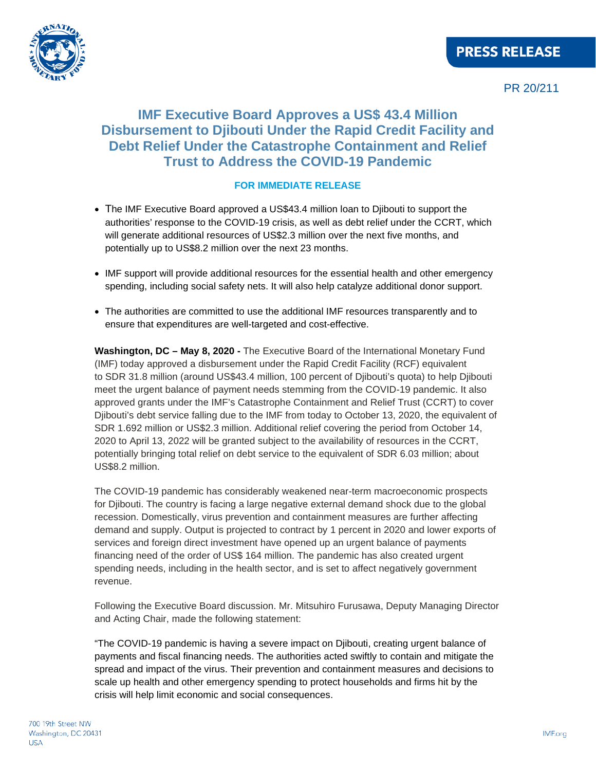

PR 20/211

# **IMF Executive Board Approves a US\$ 43.4 Million Disbursement to Djibouti Under the Rapid Credit Facility and Debt Relief Under the Catastrophe Containment and Relief Trust to Address the COVID-19 Pandemic**

### **FOR IMMEDIATE RELEASE**

- The IMF Executive Board approved a US\$43.4 million loan to Djibouti to support the authorities' response to the COVID-19 crisis, as well as debt relief under the CCRT, which will generate additional resources of US\$2.3 million over the next five months, and potentially up to US\$8.2 million over the next 23 months.
- IMF support will provide additional resources for the essential health and other emergency spending, including social safety nets. It will also help catalyze additional donor support.
- The authorities are committed to use the additional IMF resources transparently and to ensure that expenditures are well-targeted and cost-effective.

**Washington, DC – May 8, 2020 -** The Executive Board of the International Monetary Fund (IMF) today approved a disbursement under the Rapid Credit Facility (RCF) equivalent to SDR 31.8 million (around US\$43.4 million, 100 percent of Djibouti's quota) to help Djibouti meet the urgent balance of payment needs stemming from the COVID-19 pandemic. It also approved grants under the IMF's Catastrophe Containment and Relief Trust (CCRT) to cover Djibouti's debt service falling due to the IMF from today to October 13, 2020, the equivalent of SDR 1.692 million or US\$2.3 million. Additional relief covering the period from October 14, 2020 to April 13, 2022 will be granted subject to the availability of resources in the CCRT, potentially bringing total relief on debt service to the equivalent of SDR 6.03 million; about US\$8.2 million.

The COVID-19 pandemic has considerably weakened near-term macroeconomic prospects for Djibouti. The country is facing a large negative external demand shock due to the global recession. Domestically, virus prevention and containment measures are further affecting demand and supply. Output is projected to contract by 1 percent in 2020 and lower exports of services and foreign direct investment have opened up an urgent balance of payments financing need of the order of US\$ 164 million. The pandemic has also created urgent spending needs, including in the health sector, and is set to affect negatively government revenue.

Following the Executive Board discussion. Mr. Mitsuhiro Furusawa, Deputy Managing Director and Acting Chair, made the following statement:

"The COVID-19 pandemic is having a severe impact on Djibouti, creating urgent balance of payments and fiscal financing needs. The authorities acted swiftly to contain and mitigate the spread and impact of the virus. Their prevention and containment measures and decisions to scale up health and other emergency spending to protect households and firms hit by the crisis will help limit economic and social consequences.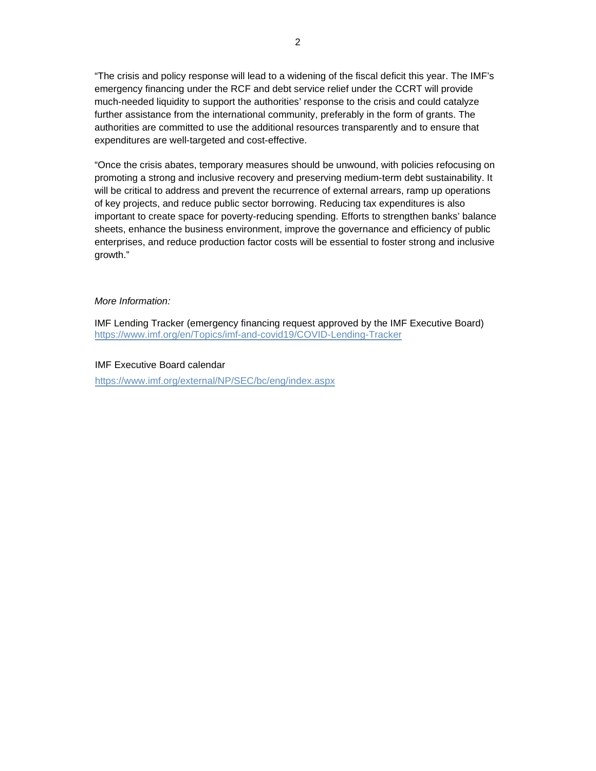"The crisis and policy response will lead to a widening of the fiscal deficit this year. The IMF's emergency financing under the RCF and debt service relief under the CCRT will provide much-needed liquidity to support the authorities' response to the crisis and could catalyze further assistance from the international community, preferably in the form of grants. The authorities are committed to use the additional resources transparently and to ensure that expenditures are well-targeted and cost-effective.

"Once the crisis abates, temporary measures should be unwound, with policies refocusing on promoting a strong and inclusive recovery and preserving medium-term debt sustainability. It will be critical to address and prevent the recurrence of external arrears, ramp up operations of key projects, and reduce public sector borrowing. Reducing tax expenditures is also important to create space for poverty-reducing spending. Efforts to strengthen banks' balance sheets, enhance the business environment, improve the governance and efficiency of public enterprises, and reduce production factor costs will be essential to foster strong and inclusive growth."

#### *More Information:*

IMF Lending Tracker (emergency financing request approved by the IMF Executive Board) <https://www.imf.org/en/Topics/imf-and-covid19/COVID-Lending-Tracker>

#### IMF Executive Board calendar

<https://www.imf.org/external/NP/SEC/bc/eng/index.aspx>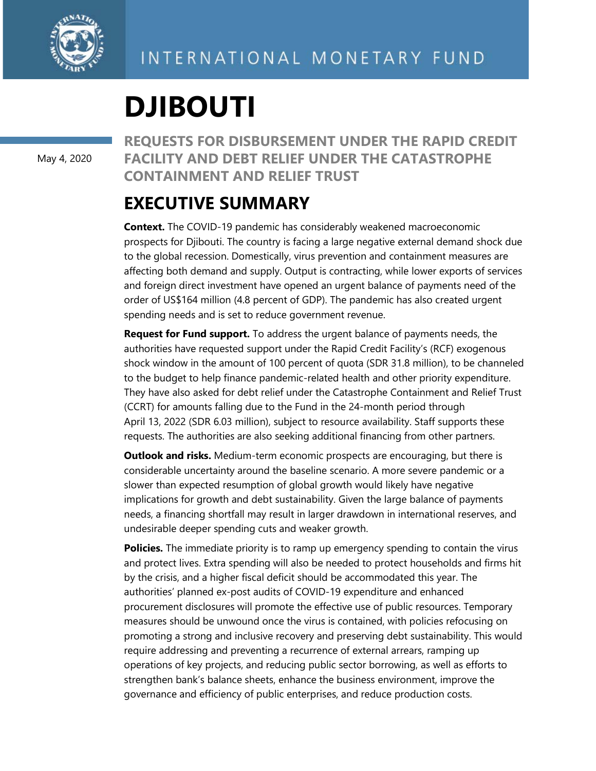

# **DJIBOUTI**

May 4, 2020

**REQUESTS FOR DISBURSEMENT UNDER THE RAPID CREDIT FACILITY AND DEBT RELIEF UNDER THE CATASTROPHE CONTAINMENT AND RELIEF TRUST**

# **EXECUTIVE SUMMARY**

**Context.** The COVID-19 pandemic has considerably weakened macroeconomic prospects for Djibouti. The country is facing a large negative external demand shock due to the global recession. Domestically, virus prevention and containment measures are affecting both demand and supply. Output is contracting, while lower exports of services and foreign direct investment have opened an urgent balance of payments need of the order of US\$164 million (4.8 percent of GDP). The pandemic has also created urgent spending needs and is set to reduce government revenue.

**Request for Fund support.** To address the urgent balance of payments needs, the authorities have requested support under the Rapid Credit Facility's (RCF) exogenous shock window in the amount of 100 percent of quota (SDR 31.8 million), to be channeled to the budget to help finance pandemic-related health and other priority expenditure. They have also asked for debt relief under the Catastrophe Containment and Relief Trust (CCRT) for amounts falling due to the Fund in the 24-month period through April 13, 2022 (SDR 6.03 million), subject to resource availability. Staff supports these requests. The authorities are also seeking additional financing from other partners.

**Outlook and risks.** Medium-term economic prospects are encouraging, but there is considerable uncertainty around the baseline scenario. A more severe pandemic or a slower than expected resumption of global growth would likely have negative implications for growth and debt sustainability. Given the large balance of payments needs, a financing shortfall may result in larger drawdown in international reserves, and undesirable deeper spending cuts and weaker growth.

**Policies.** The immediate priority is to ramp up emergency spending to contain the virus and protect lives. Extra spending will also be needed to protect households and firms hit by the crisis, and a higher fiscal deficit should be accommodated this year. The authorities' planned ex-post audits of COVID-19 expenditure and enhanced procurement disclosures will promote the effective use of public resources. Temporary measures should be unwound once the virus is contained, with policies refocusing on promoting a strong and inclusive recovery and preserving debt sustainability. This would require addressing and preventing a recurrence of external arrears, ramping up operations of key projects, and reducing public sector borrowing, as well as efforts to strengthen bank's balance sheets, enhance the business environment, improve the governance and efficiency of public enterprises, and reduce production costs.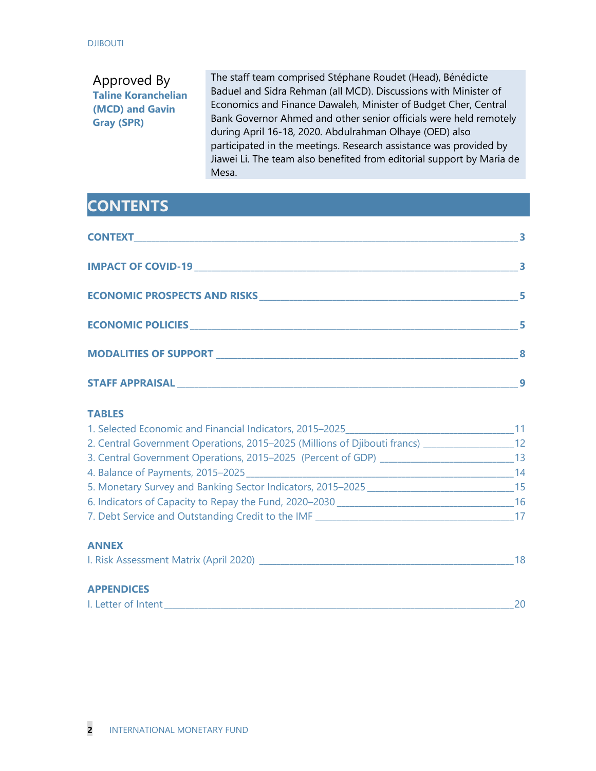# Approved By **Taline Koranchelian (MCD) and Gavin Gray (SPR)**

The staff team comprised Stéphane Roudet (Head), Bénédicte Baduel and Sidra Rehman (all MCD). Discussions with Minister of Economics and Finance Dawaleh, Minister of Budget Cher, Central Bank Governor Ahmed and other senior officials were held remotely during April 16-18, 2020. Abdulrahman Olhaye (OED) also participated in the meetings. Research assistance was provided by Jiawei Li. The team also benefited from editorial support by Maria de Mesa.

# **CONTENTS**

#### **TABLES**

| 1. Selected Economic and Financial Indicators, 2015–2025                                                                                                                                                                       | 11 |
|--------------------------------------------------------------------------------------------------------------------------------------------------------------------------------------------------------------------------------|----|
| 2. Central Government Operations, 2015–2025 (Millions of Djibouti francs)                                                                                                                                                      | 12 |
| 3. Central Government Operations, 2015–2025 (Percent of GDP) ___________________                                                                                                                                               | 13 |
|                                                                                                                                                                                                                                | 14 |
| 5. Monetary Survey and Banking Sector Indicators, 2015-2025                                                                                                                                                                    | 15 |
| 6. Indicators of Capacity to Repay the Fund, 2020–2030                                                                                                                                                                         | 16 |
|                                                                                                                                                                                                                                | 17 |
| <b>ANNEX</b>                                                                                                                                                                                                                   |    |
| I. Risk Assessment Matrix (April 2020) [19] Decree and the set of the set of the set of the set of the set of the set of the set of the set of the set of the set of the set of the set of the set of the set of the set of th | 18 |
| <b>APPENDICES</b>                                                                                                                                                                                                              |    |
| I. Letter of Intent                                                                                                                                                                                                            | 20 |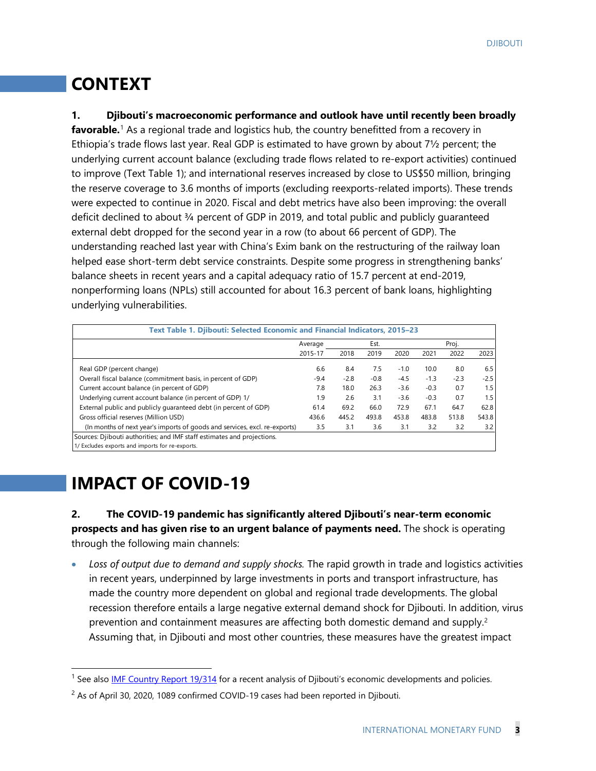# **CONTEXT**

**1. Djibouti's macroeconomic performance and outlook have until recently been broadly favorable.**[1](#page-5-0) As a regional trade and logistics hub, the country benefitted from a recovery in Ethiopia's trade flows last year. Real GDP is estimated to have grown by about 7½ percent; the underlying current account balance (excluding trade flows related to re-export activities) continued to improve (Text Table 1); and international reserves increased by close to US\$50 million, bringing the reserve coverage to 3.6 months of imports (excluding reexports-related imports). These trends were expected to continue in 2020. Fiscal and debt metrics have also been improving: the overall deficit declined to about ¾ percent of GDP in 2019, and total public and publicly guaranteed external debt dropped for the second year in a row (to about 66 percent of GDP). The understanding reached last year with China's Exim bank on the restructuring of the railway loan helped ease short-term debt service constraints. Despite some progress in strengthening banks' balance sheets in recent years and a capital adequacy ratio of 15.7 percent at end-2019, nonperforming loans (NPLs) still accounted for about 16.3 percent of bank loans, highlighting underlying vulnerabilities.

| Text Table 1. Djibouti: Selected Economic and Financial Indicators, 2015–23 |         |        |        |        |        |        |        |
|-----------------------------------------------------------------------------|---------|--------|--------|--------|--------|--------|--------|
|                                                                             | Average |        | Est.   |        |        |        |        |
|                                                                             | 2015-17 | 2018   | 2019   | 2020   | 2021   | 2022   | 2023   |
| Real GDP (percent change)                                                   | 6.6     | 8.4    | 7.5    | $-1.0$ | 10.0   | 8.0    | 6.5    |
| Overall fiscal balance (commitment basis, in percent of GDP)                | $-9.4$  | $-2.8$ | $-0.8$ | $-4.5$ | $-1.3$ | $-2.3$ | $-2.5$ |
| Current account balance (in percent of GDP)                                 | 7.8     | 18.0   | 26.3   | $-3.6$ | $-0.3$ | 0.7    | 1.5    |
| Underlying current account balance (in percent of GDP) 1/                   | 1.9     | 2.6    | 3.1    | $-3.6$ | $-0.3$ | 0.7    | 1.5    |
| External public and publicly guaranteed debt (in percent of GDP)            | 61.4    | 69.2   | 66.0   | 72.9   | 67.1   | 64.7   | 62.8   |
| Gross official reserves (Million USD)                                       | 436.6   | 445.2  | 493.8  | 453.8  | 483.8  | 513.8  | 543.8  |
| (In months of next year's imports of goods and services, excl. re-exports)  | 3.5     | 3.1    | 3.6    | 3.1    | 3.2    | 3.2    | 3.2    |
| Sources: Djibouti authorities; and IMF staff estimates and projections.     |         |        |        |        |        |        |        |
| 1/ Excludes exports and imports for re-exports.                             |         |        |        |        |        |        |        |

# **IMPACT OF COVID-19**

**2. The COVID-19 pandemic has significantly altered Djibouti's near-term economic prospects and has given rise to an urgent balance of payments need.** The shock is operating through the following main channels:

• *Loss of output due to demand and supply shocks.* The rapid growth in trade and logistics activities in recent years, underpinned by large investments in ports and transport infrastructure, has made the country more dependent on global and regional trade developments. The global recession therefore entails a large negative external demand shock for Djibouti. In addition, virus prevention and containment measures are affecting both domestic demand and supply. [2](#page-5-1) Assuming that, in Djibouti and most other countries, these measures have the greatest impact

<span id="page-5-0"></span><sup>&</sup>lt;sup>1</sup> See also **IMF Country Report 19/314** for a recent analysis of Djibouti's economic developments and policies.

<span id="page-5-1"></span><sup>&</sup>lt;sup>2</sup> As of April 30, 2020, 1089 confirmed COVID-19 cases had been reported in Djibouti.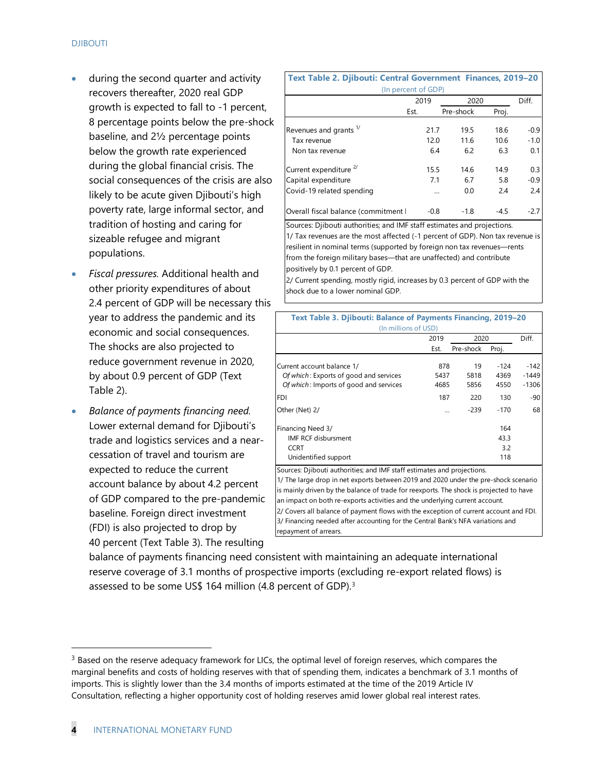- during the second quarter and activity recovers thereafter, 2020 real GDP growth is expected to fall to -1 percent, 8 percentage points below the pre-shock baseline, and 2½ percentage points below the growth rate experienced during the global financial crisis. The social consequences of the crisis are also likely to be acute given Djibouti's high poverty rate, large informal sector, and tradition of hosting and caring for sizeable refugee and migrant populations.
- *Fiscal pressures.* Additional health and other priority expenditures of about 2.4 percent of GDP will be necessary this year to address the pandemic and its economic and social consequences. The shocks are also projected to reduce government revenue in 2020, by about 0.9 percent of GDP (Text Table 2).
- *Balance of payments financing need.* Lower external demand for Djibouti's trade and logistics services and a nearcessation of travel and tourism are expected to reduce the current account balance by about 4.2 percent of GDP compared to the pre-pandemic baseline. Foreign direct investment (FDI) is also projected to drop by 40 percent (Text Table 3). The resulting

| Text Table 2. Djibouti: Central Government Finances, 2019-20 |                     |          |           |        |        |
|--------------------------------------------------------------|---------------------|----------|-----------|--------|--------|
|                                                              | (In percent of GDP) |          |           |        |        |
|                                                              | 2019                |          | 2020      |        | Diff.  |
|                                                              | Est.                |          | Pre-shock | Proj.  |        |
| Revenues and grants <sup>1/</sup>                            |                     | 21.7     | 19.5      | 18.6   | $-0.9$ |
| Tax revenue                                                  |                     | 12.0     | 11.6      | 10.6   | $-1.0$ |
| Non tax revenue                                              |                     | 6.4      | 6.2       | 6.3    | 0.1    |
| Current expenditure <sup>2/</sup>                            |                     | 15.5     | 14.6      | 14.9   | 0.3    |
| Capital expenditure                                          |                     | 7.1      | 6.7       | 5.8    | $-0.9$ |
| Covid-19 related spending                                    |                     | $\cdots$ | 0.0       | 2.4    | 2.4    |
| Overall fiscal balance (commitment                           |                     | $-0.8$   | $-1.8$    | $-4.5$ | $-2.7$ |

Sources: Djibouti authorities; and IMF staff estimates and projections. 1/ Tax revenues are the most affected (-1 percent of GDP). Non tax revenue is resilient in nominal terms (supported by foreign non tax revenues—rents from the foreign military bases—that are unaffected) and contribute positively by 0.1 percent of GDP.

2/ Current spending, mostly rigid, increases by 0.3 percent of GDP with the shock due to a lower nominal GDP.

| Text Table 3. Djibouti: Balance of Payments Financing, 2019-20<br>(In millions of USD)                                                                                                                                                                                                                                                  |             |            |                |                   |
|-----------------------------------------------------------------------------------------------------------------------------------------------------------------------------------------------------------------------------------------------------------------------------------------------------------------------------------------|-------------|------------|----------------|-------------------|
|                                                                                                                                                                                                                                                                                                                                         | 2019        | 2020       |                | Diff.             |
|                                                                                                                                                                                                                                                                                                                                         | Est.        | Pre-shock  | Proj.          |                   |
| Current account balance 1/<br>Of which: Exports of good and services                                                                                                                                                                                                                                                                    | 878<br>5437 | 19<br>5818 | $-124$<br>4369 | $-142$<br>$-1449$ |
| Of which: Imports of good and services                                                                                                                                                                                                                                                                                                  | 4685        | 5856       | 4550           | $-1306$           |
| <b>FDI</b>                                                                                                                                                                                                                                                                                                                              | 187         | 220        | 130            | -90               |
| Other (Net) 2/                                                                                                                                                                                                                                                                                                                          | $\ddotsc$   | $-239$     | $-170$         | 68                |
| Financing Need 3/                                                                                                                                                                                                                                                                                                                       |             |            | 164            |                   |
| IMF RCF disbursment                                                                                                                                                                                                                                                                                                                     |             |            | 43.3           |                   |
| <b>CCRT</b>                                                                                                                                                                                                                                                                                                                             |             |            | 3.2            |                   |
| Unidentified support                                                                                                                                                                                                                                                                                                                    |             |            | 118            |                   |
| Sources: Dilbouti authorities; and IMF staff estimates and projections.<br>1/ The large drop in net exports between 2019 and 2020 under the pre-shock scenario<br>is mainly driven by the balance of trade for reexports. The shock is projected to have<br>an impact on both re-exports activities and the underlying current account. |             |            |                |                   |

3/ Financing needed after accounting for the Central Bank's NFA variations and repayment of arrears. 2/ Covers all balance of payment flows with the exception of current account and FDI.

balance of payments financing need consistent with maintaining an adequate international reserve coverage of 3.1 months of prospective imports (excluding re-export related flows) is assessed to be some US\$ 164 million (4.8 percent of GDP). [3](#page-6-0)

<span id="page-6-0"></span> $3$  Based on the reserve adequacy framework for LICs, the optimal level of foreign reserves, which compares the marginal benefits and costs of holding reserves with that of spending them, indicates a benchmark of 3.1 months of imports. This is slightly lower than the 3.4 months of imports estimated at the time of the 2019 Article IV Consultation, reflecting a higher opportunity cost of holding reserves amid lower global real interest rates.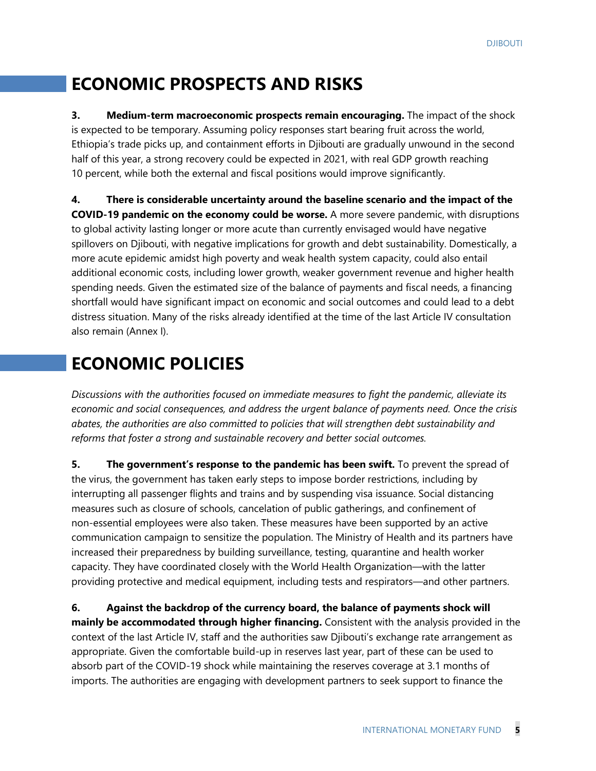# **ECONOMIC PROSPECTS AND RISKS**

**3. Medium-term macroeconomic prospects remain encouraging.** The impact of the shock is expected to be temporary. Assuming policy responses start bearing fruit across the world, Ethiopia's trade picks up, and containment efforts in Djibouti are gradually unwound in the second half of this year, a strong recovery could be expected in 2021, with real GDP growth reaching 10 percent, while both the external and fiscal positions would improve significantly.

**4. There is considerable uncertainty around the baseline scenario and the impact of the COVID-19 pandemic on the economy could be worse.** A more severe pandemic, with disruptions to global activity lasting longer or more acute than currently envisaged would have negative spillovers on Djibouti, with negative implications for growth and debt sustainability. Domestically, a more acute epidemic amidst high poverty and weak health system capacity, could also entail additional economic costs, including lower growth, weaker government revenue and higher health spending needs. Given the estimated size of the balance of payments and fiscal needs, a financing shortfall would have significant impact on economic and social outcomes and could lead to a debt distress situation. Many of the risks already identified at the time of the last Article IV consultation also remain (Annex I).

# **ECONOMIC POLICIES**

*Discussions with the authorities focused on immediate measures to fight the pandemic, alleviate its economic and social consequences, and address the urgent balance of payments need. Once the crisis abates, the authorities are also committed to policies that will strengthen debt sustainability and reforms that foster a strong and sustainable recovery and better social outcomes.* 

**5. The government's response to the pandemic has been swift.** To prevent the spread of the virus, the government has taken early steps to impose border restrictions, including by interrupting all passenger flights and trains and by suspending visa issuance. Social distancing measures such as closure of schools, cancelation of public gatherings, and confinement of non-essential employees were also taken. These measures have been supported by an active communication campaign to sensitize the population. The Ministry of Health and its partners have increased their preparedness by building surveillance, testing, quarantine and health worker capacity. They have coordinated closely with the World Health Organization—with the latter providing protective and medical equipment, including tests and respirators—and other partners.

**6. Against the backdrop of the currency board, the balance of payments shock will mainly be accommodated through higher financing.** Consistent with the analysis provided in the context of the last Article IV, staff and the authorities saw Djibouti's exchange rate arrangement as appropriate. Given the comfortable build-up in reserves last year, part of these can be used to absorb part of the COVID-19 shock while maintaining the reserves coverage at 3.1 months of imports. The authorities are engaging with development partners to seek support to finance the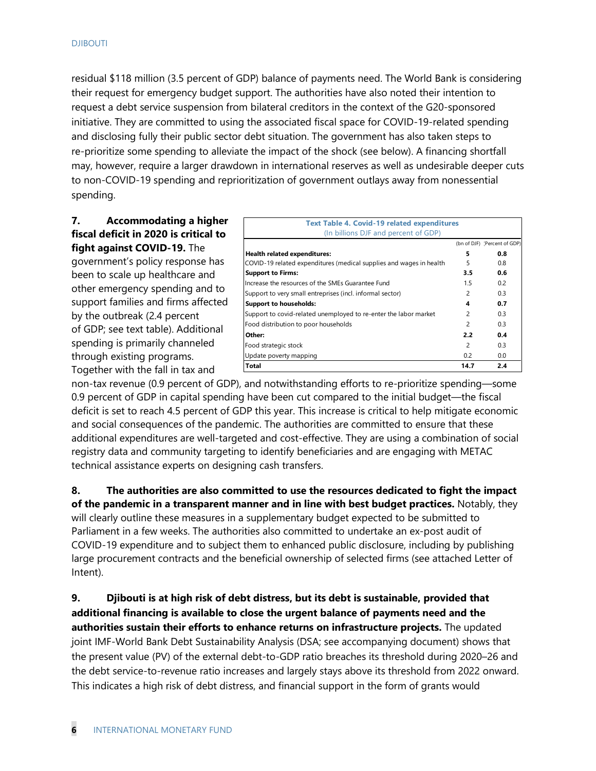residual \$118 million (3.5 percent of GDP) balance of payments need. The World Bank is considering their request for emergency budget support. The authorities have also noted their intention to request a debt service suspension from bilateral creditors in the context of the G20-sponsored initiative. They are committed to using the associated fiscal space for COVID-19-related spending and disclosing fully their public sector debt situation. The government has also taken steps to re-prioritize some spending to alleviate the impact of the shock (see below). A financing shortfall may, however, require a larger drawdown in international reserves as well as undesirable deeper cuts to non-COVID-19 spending and reprioritization of government outlays away from nonessential spending.

#### **7. Accommodating a higher fiscal deficit in 2020 is critical to fight against COVID-19.** The

government's policy response has been to scale up healthcare and other emergency spending and to support families and firms affected by the outbreak (2.4 percent of GDP; see text table). Additional spending is primarily channeled through existing programs. Together with the fall in tax and

| <b>Text Table 4. Covid-19 related expenditures</b>                  |                |                              |
|---------------------------------------------------------------------|----------------|------------------------------|
| (In billions DJF and percent of GDP)                                |                |                              |
|                                                                     |                | (bn of DJF) (Percent of GDP) |
| <b>Health related expenditures:</b>                                 | 5              | 0.8                          |
| COVID-19 related expenditures (medical supplies and wages in health | 5              | 0.8                          |
| <b>Support to Firms:</b>                                            | 3.5            | 0.6                          |
| Increase the resources of the SMEs Guarantee Fund                   | 1.5            | 0.2                          |
| Support to very small entreprises (incl. informal sector)           | $\overline{c}$ | 0.3                          |
| <b>Support to households:</b>                                       | 4              | 0.7                          |
| Support to covid-related unemployed to re-enter the labor market    | 2              | 0.3                          |
| Food distribution to poor households                                | $\overline{c}$ | 0.3                          |
| Other:                                                              | 2.2            | 0.4                          |
| Food strategic stock                                                | 2              | 0.3                          |
| Update poverty mapping                                              | 0.2            | 0.0                          |
| <b>Total</b>                                                        | 14.7           | 2.4                          |

non-tax revenue (0.9 percent of GDP), and notwithstanding efforts to re-prioritize spending—some 0.9 percent of GDP in capital spending have been cut compared to the initial budget—the fiscal deficit is set to reach 4.5 percent of GDP this year. This increase is critical to help mitigate economic and social consequences of the pandemic. The authorities are committed to ensure that these additional expenditures are well-targeted and cost-effective. They are using a combination of social registry data and community targeting to identify beneficiaries and are engaging with METAC technical assistance experts on designing cash transfers.

**8. The authorities are also committed to use the resources dedicated to fight the impact of the pandemic in a transparent manner and in line with best budget practices.** Notably, they will clearly outline these measures in a supplementary budget expected to be submitted to Parliament in a few weeks. The authorities also committed to undertake an ex-post audit of COVID-19 expenditure and to subject them to enhanced public disclosure, including by publishing large procurement contracts and the beneficial ownership of selected firms (see attached Letter of Intent).

**9. Djibouti is at high risk of debt distress, but its debt is sustainable, provided that additional financing is available to close the urgent balance of payments need and the authorities sustain their efforts to enhance returns on infrastructure projects.** The updated joint IMF-World Bank Debt Sustainability Analysis (DSA; see accompanying document) shows that the present value (PV) of the external debt-to-GDP ratio breaches its threshold during 2020–26 and the debt service-to-revenue ratio increases and largely stays above its threshold from 2022 onward. This indicates a high risk of debt distress, and financial support in the form of grants would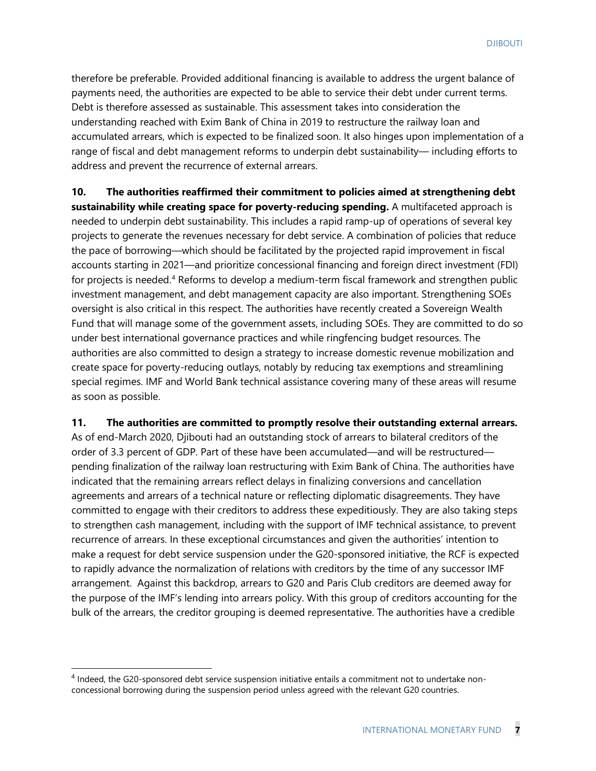therefore be preferable. Provided additional financing is available to address the urgent balance of payments need, the authorities are expected to be able to service their debt under current terms. Debt is therefore assessed as sustainable. This assessment takes into consideration the understanding reached with Exim Bank of China in 2019 to restructure the railway loan and accumulated arrears, which is expected to be finalized soon. It also hinges upon implementation of a range of fiscal and debt management reforms to underpin debt sustainability— including efforts to address and prevent the recurrence of external arrears.

**10. The authorities reaffirmed their commitment to policies aimed at strengthening debt sustainability while creating space for poverty-reducing spending.** A multifaceted approach is needed to underpin debt sustainability. This includes a rapid ramp-up of operations of several key projects to generate the revenues necessary for debt service. A combination of policies that reduce the pace of borrowing—which should be facilitated by the projected rapid improvement in fiscal accounts starting in 2021—and prioritize concessional financing and foreign direct investment (FDI) for projects is needed.<sup>[4](#page-9-0)</sup> Reforms to develop a medium-term fiscal framework and strengthen public investment management, and debt management capacity are also important. Strengthening SOEs oversight is also critical in this respect. The authorities have recently created a Sovereign Wealth Fund that will manage some of the government assets, including SOEs. They are committed to do so under best international governance practices and while ringfencing budget resources. The authorities are also committed to design a strategy to increase domestic revenue mobilization and create space for poverty-reducing outlays, notably by reducing tax exemptions and streamlining special regimes. IMF and World Bank technical assistance covering many of these areas will resume as soon as possible.

#### **11. The authorities are committed to promptly resolve their outstanding external arrears.**

As of end-March 2020, Djibouti had an outstanding stock of arrears to bilateral creditors of the order of 3.3 percent of GDP. Part of these have been accumulated—and will be restructured pending finalization of the railway loan restructuring with Exim Bank of China. The authorities have indicated that the remaining arrears reflect delays in finalizing conversions and cancellation agreements and arrears of a technical nature or reflecting diplomatic disagreements. They have committed to engage with their creditors to address these expeditiously. They are also taking steps to strengthen cash management, including with the support of IMF technical assistance, to prevent recurrence of arrears. In these exceptional circumstances and given the authorities' intention to make a request for debt service suspension under the G20-sponsored initiative, the RCF is expected to rapidly advance the normalization of relations with creditors by the time of any successor IMF arrangement. Against this backdrop, arrears to G20 and Paris Club creditors are deemed away for the purpose of the IMF's lending into arrears policy. With this group of creditors accounting for the bulk of the arrears, the creditor grouping is deemed representative. The authorities have a credible

<span id="page-9-0"></span><sup>4</sup> Indeed, the G20-sponsored debt service suspension initiative entails a commitment not to undertake nonconcessional borrowing during the suspension period unless agreed with the relevant G20 countries.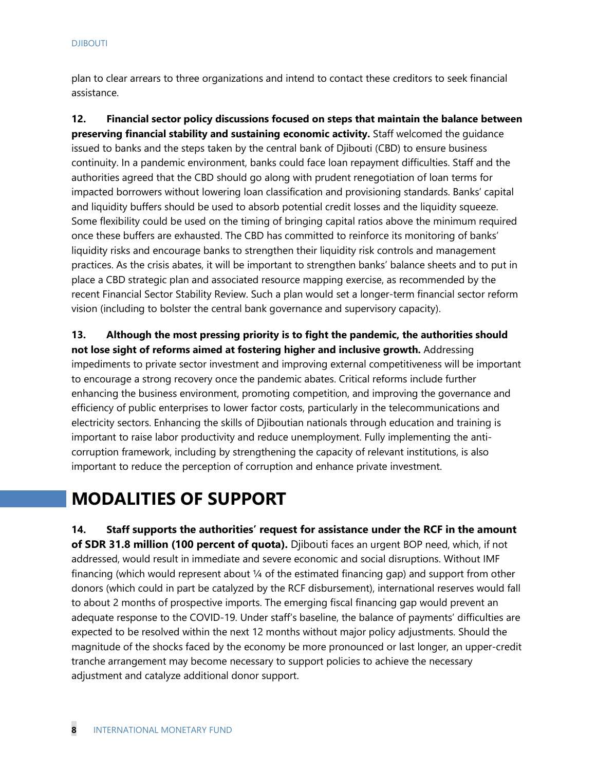plan to clear arrears to three organizations and intend to contact these creditors to seek financial assistance.

**12. Financial sector policy discussions focused on steps that maintain the balance between preserving financial stability and sustaining economic activity.** Staff welcomed the guidance issued to banks and the steps taken by the central bank of Djibouti (CBD) to ensure business continuity. In a pandemic environment, banks could face loan repayment difficulties. Staff and the authorities agreed that the CBD should go along with prudent renegotiation of loan terms for impacted borrowers without lowering loan classification and provisioning standards. Banks' capital and liquidity buffers should be used to absorb potential credit losses and the liquidity squeeze. Some flexibility could be used on the timing of bringing capital ratios above the minimum required once these buffers are exhausted. The CBD has committed to reinforce its monitoring of banks' liquidity risks and encourage banks to strengthen their liquidity risk controls and management practices. As the crisis abates, it will be important to strengthen banks' balance sheets and to put in place a CBD strategic plan and associated resource mapping exercise, as recommended by the recent Financial Sector Stability Review. Such a plan would set a longer-term financial sector reform vision (including to bolster the central bank governance and supervisory capacity).

**13. Although the most pressing priority is to fight the pandemic, the authorities should not lose sight of reforms aimed at fostering higher and inclusive growth.** Addressing impediments to private sector investment and improving external competitiveness will be important to encourage a strong recovery once the pandemic abates. Critical reforms include further enhancing the business environment, promoting competition, and improving the governance and efficiency of public enterprises to lower factor costs, particularly in the telecommunications and electricity sectors. Enhancing the skills of Djiboutian nationals through education and training is important to raise labor productivity and reduce unemployment. Fully implementing the anticorruption framework, including by strengthening the capacity of relevant institutions, is also important to reduce the perception of corruption and enhance private investment.

# **MODALITIES OF SUPPORT**

**14. Staff supports the authorities' request for assistance under the RCF in the amount of SDR 31.8 million (100 percent of quota).** Djibouti faces an urgent BOP need, which, if not addressed, would result in immediate and severe economic and social disruptions. Without IMF financing (which would represent about  $\frac{1}{4}$  of the estimated financing gap) and support from other donors (which could in part be catalyzed by the RCF disbursement), international reserves would fall to about 2 months of prospective imports. The emerging fiscal financing gap would prevent an adequate response to the COVID-19. Under staff's baseline, the balance of payments' difficulties are expected to be resolved within the next 12 months without major policy adjustments. Should the magnitude of the shocks faced by the economy be more pronounced or last longer, an upper-credit tranche arrangement may become necessary to support policies to achieve the necessary adjustment and catalyze additional donor support.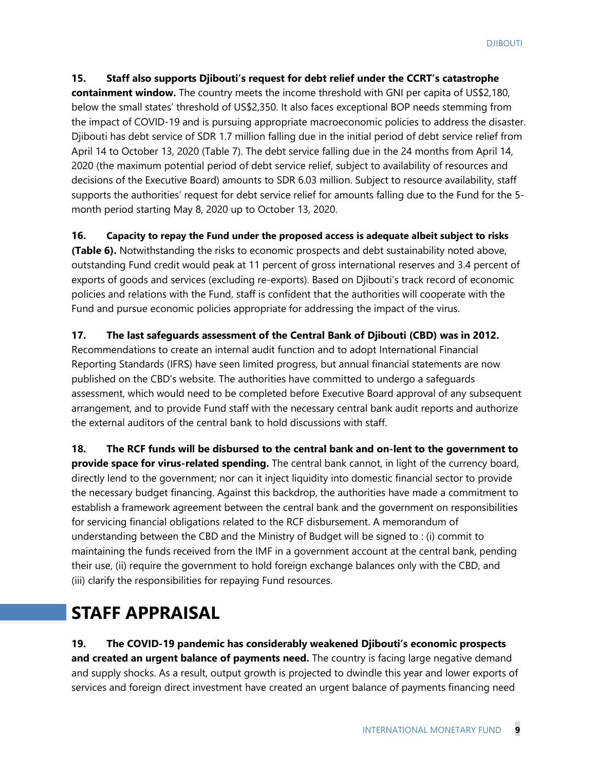#### **15. Staff also supports Djibouti's request for debt relief under the CCRT's catastrophe**

**containment window.** The country meets the income threshold with GNI per capita of US\$2,180, below the small states' threshold of US\$2,350. It also faces exceptional BOP needs stemming from the impact of COVID-19 and is pursuing appropriate macroeconomic policies to address the disaster. Djibouti has debt service of SDR 1.7 million falling due in the initial period of debt service relief from April 14 to October 13, 2020 (Table 7). The debt service falling due in the 24 months from April 14, 2020 (the maximum potential period of debt service relief, subject to availability of resources and decisions of the Executive Board) amounts to SDR 6.03 million. Subject to resource availability, staff supports the authorities' request for debt service relief for amounts falling due to the Fund for the 5 month period starting May 8, 2020 up to October 13, 2020.

### **16. Capacity to repay the Fund under the proposed access is adequate albeit subject to risks**

**(Table 6).** Notwithstanding the risks to economic prospects and debt sustainability noted above, outstanding Fund credit would peak at 11 percent of gross international reserves and 3.4 percent of exports of goods and services (excluding re-exports). Based on Djibouti's track record of economic policies and relations with the Fund, staff is confident that the authorities will cooperate with the Fund and pursue economic policies appropriate for addressing the impact of the virus.

#### **17. The last safeguards assessment of the Central Bank of Djibouti (CBD) was in 2012.**

Recommendations to create an internal audit function and to adopt International Financial Reporting Standards (IFRS) have seen limited progress, but annual financial statements are now published on the CBD's website. The authorities have committed to undergo a safeguards assessment, which would need to be completed before Executive Board approval of any subsequent arrangement, and to provide Fund staff with the necessary central bank audit reports and authorize the external auditors of the central bank to hold discussions with staff.

**18. The RCF funds will be disbursed to the central bank and on-lent to the government to provide space for virus-related spending.** The central bank cannot, in light of the currency board, directly lend to the government; nor can it inject liquidity into domestic financial sector to provide the necessary budget financing. Against this backdrop, the authorities have made a commitment to establish a framework agreement between the central bank and the government on responsibilities for servicing financial obligations related to the RCF disbursement. A memorandum of understanding between the CBD and the Ministry of Budget will be signed to : (i) commit to maintaining the funds received from the IMF in a government account at the central bank, pending their use, (ii) require the government to hold foreign exchange balances only with the CBD, and (iii) clarify the responsibilities for repaying Fund resources.

# **STAFF APPRAISAL**

**19. The COVID-19 pandemic has considerably weakened Djibouti's economic prospects and created an urgent balance of payments need.** The country is facing large negative demand and supply shocks. As a result, output growth is projected to dwindle this year and lower exports of services and foreign direct investment have created an urgent balance of payments financing need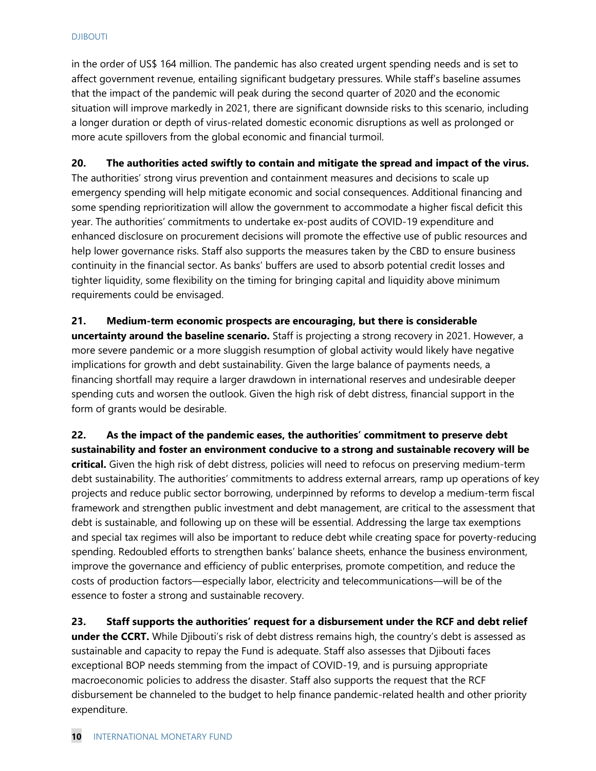in the order of US\$ 164 million. The pandemic has also created urgent spending needs and is set to affect government revenue, entailing significant budgetary pressures. While staff's baseline assumes that the impact of the pandemic will peak during the second quarter of 2020 and the economic situation will improve markedly in 2021, there are significant downside risks to this scenario, including a longer duration or depth of virus-related domestic economic disruptions as well as prolonged or more acute spillovers from the global economic and financial turmoil.

#### **20. The authorities acted swiftly to contain and mitigate the spread and impact of the virus.**

The authorities' strong virus prevention and containment measures and decisions to scale up emergency spending will help mitigate economic and social consequences. Additional financing and some spending reprioritization will allow the government to accommodate a higher fiscal deficit this year. The authorities' commitments to undertake ex-post audits of COVID-19 expenditure and enhanced disclosure on procurement decisions will promote the effective use of public resources and help lower governance risks. Staff also supports the measures taken by the CBD to ensure business continuity in the financial sector. As banks' buffers are used to absorb potential credit losses and tighter liquidity, some flexibility on the timing for bringing capital and liquidity above minimum requirements could be envisaged.

**21. Medium-term economic prospects are encouraging, but there is considerable uncertainty around the baseline scenario.** Staff is projecting a strong recovery in 2021. However, a more severe pandemic or a more sluggish resumption of global activity would likely have negative implications for growth and debt sustainability. Given the large balance of payments needs, a financing shortfall may require a larger drawdown in international reserves and undesirable deeper spending cuts and worsen the outlook. Given the high risk of debt distress, financial support in the form of grants would be desirable.

**22. As the impact of the pandemic eases, the authorities' commitment to preserve debt sustainability and foster an environment conducive to a strong and sustainable recovery will be critical.** Given the high risk of debt distress, policies will need to refocus on preserving medium-term debt sustainability. The authorities' commitments to address external arrears, ramp up operations of key projects and reduce public sector borrowing, underpinned by reforms to develop a medium-term fiscal framework and strengthen public investment and debt management, are critical to the assessment that debt is sustainable, and following up on these will be essential. Addressing the large tax exemptions and special tax regimes will also be important to reduce debt while creating space for poverty-reducing spending. Redoubled efforts to strengthen banks' balance sheets, enhance the business environment, improve the governance and efficiency of public enterprises, promote competition, and reduce the costs of production factors—especially labor, electricity and telecommunications—will be of the essence to foster a strong and sustainable recovery.

**23. Staff supports the authorities' request for a disbursement under the RCF and debt relief under the CCRT.** While Djibouti's risk of debt distress remains high, the country's debt is assessed as sustainable and capacity to repay the Fund is adequate. Staff also assesses that Djibouti faces exceptional BOP needs stemming from the impact of COVID-19, and is pursuing appropriate macroeconomic policies to address the disaster. Staff also supports the request that the RCF disbursement be channeled to the budget to help finance pandemic-related health and other priority expenditure.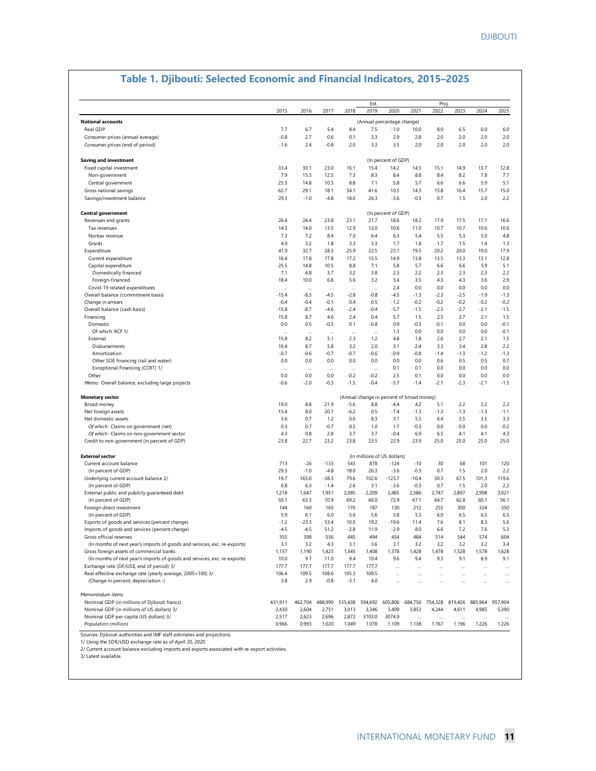#### Est. Proj.<br>2019 - 2020 - 2021 - 2022 2015 2016 2017 2018 2019 2020 2021 2022 2023 2024 2025 **National accounts** Real GDP 7.7 6.7 5.4 8.4 7.5 -1.0 10.0 8.0 6.5 6.0 6.0 Consumer prices (annual average) -0.8 2.7 0.6 0.1 3.3 2.9 2.8 2.0 2.0 2.0 2.0 Consumer prices (end of period) -1.6 2.4 -0.8 2.0 3.3 3.5 2.0 2.0 2.0 2.0 2.0 **Saving and investment** Fixed capital investment<br>
Fixed capital investment<br>
33.4 30.1 2.5 7.3 8.3 8.4 8.8 8.4 8.2 7.8 7.7 Non-government 7.9 15.3 12.5 7.3 8.3 8.4 8.8 8.4 8.2 7.8 7.7 Central government 25.5 14.8 10.5 8.8 7.1 5.8 5.7 6.6 6.6 5.9 5.1 Gross national savings 62.7 29.1 18.1 34.1 41.6 10.5 14.3 15.8 16.4 15.7 15.0 Savings/investment balance 29.3 -1.0 -4.8 18.0 26.3 -3.6 -0.3 0.7 1.5 2.0 2.2 **Central government** Revenues and grants 20.4 26.4 23.8 23.1 21.7 18.6 18.2 17.9 17.5 17.1 16.6 18.2 17.9 17.1 16.6 Tax revenues 14.3 14.0 13.5 12.9 12.0 10.6 11.0 10.7 10.7 10.6 10.6 Nontax revenue 7.3 7.2 8.4 7.0 6.4 6.3 5.4 5.5 5.3 5.0 4.8 Grants 4.9 3.2 1.8 3.3 3.3 1.7 1.8 1.7 1.5 1.4 1.3 Expenditure 41.9 32.7 28.3 25.9 22.5 23.1 19.5 20.2 20.0 19.0 17.9 Current expenditure 16.4 17.8 17.8 17.2 15.5 14.9 13.8 13.5 13.3 13.1 12.8 Capital expenditure 25.5 14.8 10.5 8.8 7.1 5.8 5.7 6.6 6.6 5.9 5.1 Domestically financed 7.1 4.8 3.7 3.2 3.8 2.3 2.2 2.3 2.3 2.3 2.2 Foreign-financed 18.4 10.0 6.8 5.6 3.2 3.4 3.5 4.3 4.3 3.6 2.9 Covid-19 related expenditures … … … … … 2.4 0.0 0.0 0.0 0.0 0.0 Overall balance (commitment basis) Change in arrears -0.4 -0.4 -0.1 0.4 0.5 -1.2 -0.2 -0.2 -0.2 -0.2 -0.2 Overall balance (cash basis) -15.8 -8.7 -4.6 -2.4 -0.4 -5.7 -1.5 -2.5 -2.7 -2.1 -1.5 Financing 15.8 8.7 4.6 2.4 0.4 5.7 1.5 2.5 2.7 2.1 1.5 Domestic 0.0 0.5 -0.5 0.1 -0.8 0.9 -0.3 -0.1 0.0 0.0 -0.1 Of which: RCF 1/ … … … … … 1.3 0.0 0.0 0.0 0.0 -0.1 External 15.8 8.2 5.1 2.3 1.2 4.8 1.8 2.6 2.7 2.1 1.5 Disbursements 16.4 8.7 5.8 3.2 2.0 3.1 2.4 3.3 3.4 2.8 2.2 Amortization -0.7 -0.6 -0.7 -0.7 -0.6 -0.9 -0.8 -1.4 -1.3 -1.2 -1.3 Other SOE financing (rail and water) 0.0 0.0 0.0 0.0 0.0 0.0 0.0 0.6 0.5 0.5 0.7 Exceptional Financing (CCRT) 1/ 0.1 0.0 0.0 0.0 0.0 0.0 0.0 0.0 <br>0.0 0.0 0.0 0.0 0.0 0.0 0.2 -0.2 2.5 0.1 0.0 0.0 0.0 0.0 Other 0.0 0.0 0.0 -0.2 -0.2 2.5 0.1 0.0 0.0 0.0 0.0 *Memo:* Overall balance, excluding large projects -0.6 -2.0 -0.3 -1.5 -0.4 -5.7 -1.4 -2.1 -2.3 -2.1 -1.5 **Monetary sector**  Broad money 19.0 8.8 21.9 -5.6 8.8 -4.4 4.2 5.1 2.2 2.2 2.2 Net foreign assets 15.4 8.0 20.7 -6.2 0.5 -7.4 -1.3 -1.3 -1.3 -1.3 -1.1 Net domestic assets 3.6 0.7 1.2 0.6 8.3 3.1 5.5 6.4 3.5 3.5 3.3 *Of which* : Claims on government (net)<br> *Of which* : Claims on non-government sector<br> *A* 3.08 2.8 3.7 3.7 -0.4 6.9 6.5 4.1 4.1 4.3 *Of which* : Claims on non-government sector 4.3 0.8 2.8 3.7 3.7 -0.4 6.9 6.5 4.1 4.1 4.3 Credit to non-government (in percent of GDP) 23.8 22.7 23.2 23.8 23.5 22.9 23.9 25.0 25.0 25.0 25.0 **External sector**  Current account balance 713 -26 -133 543 878 -124 -10 30 68 101 120 (In percent of GDP) 29.3 -1.0 -4.8 18.0 26.3 -3.6 -0.3 0.7 1.5 2.0 2.2 Underlying current account balance 2/ 19.7 165.0 -38.3 79.6 102.6 -123.7 -10.4 30.3 67.5 101.3 119.6<br>(In percent of GDP) (In percent of GDP) (In percent of GDP) (In percent of GDP) (In percent of GDP) (In percent (In percent of GDP) 0.8 6.3 -1.4 2.6 3.1 -3.6 -0.3 0.7 1.5 2.0 2.2 External public and publicly guaranteed debt 1,218 1,647 1,951 2,085 2,209 2,485 2,586 2,747 2,897 2,998 3,021 (In percent of GDP) 50.1 63.3 70.9 69.2 66.0 72.9 67.1 64.7 62.8 60.1 56.1 Foreign direct investment 144 160 165 170 187 130 212 255 300 324 350 (In percent of GDP) 5.9 6.1 6.0 5.6 5.6 3.8 5.5 6.0 6.5 6.5 6.5 Exports of goods and services (percent change)  $-1.2$   $-23.3$  53.4 10.0 19.2  $-19.6$  11.4 7.6 8.1 8.3 5.6<br>
Imports of goods and services (percent change)  $-4.5$   $-4.5$  51.2  $-2.8$  11.9  $-2.9$  8.0 6.6 7.2 7.6 5.3 Imports of goods and services (percent change)  $-4.5$   $-4.5$   $-4.5$   $-51.2$   $-2.8$   $-11.9$   $-2.9$   $-8.0$   $-6.6$ Gross official reserves<br>
(In months of next vear's imports of goods and services, exc. re-exports)  $355$  398 556 445 494 454 484 514 544 574 604 (In months of next year's imports of goods and services, exc. re-exports) Gross foreign assets of commercial banks 1,28 1,288 1,157 1,190 1,423 1,345 1,408 1,378 1,428 1,428 1,578 1,528 1,578 1,628 (In months of next year's imports of goods and services, exc. re-exports) 10.0 9.7 11.0 9.4 10.4 9.6 9.4 9.3 9.1 8.9 9.1 Exchange rate (DF/US\$, end of period) 3/ 177.7 177.7 177.7 177.7 177.7 … … … … … … Real effective exchange rate (yearly average, 2005=100) 3/ 106.4 109.5 108.6 105.3 109.5 … … … … … … … … (Change in percent; depreciation -) 3.8 2.9 -0.8 -3.1 4.0 … … … … … … *Memorandum items* 431,911 462,704 488,990 535,438 594,692 605,806 684,756 754,328 819,426 885,964 957,904<br>2,430 2,604 2,751 3,013 3,346 3,409 3,853 4,244 4,611 4,985 5,390 Nominal GDP (in millions of US dollars) 3/ 2002 12:430 2,430 2,604 2,751 3,013 3,346 3,409 3,640 3,409 3,405 5,409 5,511 4,611 4,611 4,611 4,611 4,611 4,611 4,611 4,611 4,611 4,611 4,611 4,611 4,611 4,611 4,611 4,611 4,611 Nominal GDP per capita (US dollars) 3/ 2,517 Population (million) 0.966 0.993 1.020 1.049 1.078 1.109 1.138 1.167 1.196 1.226 1.226 Sources: Djibouti authorities and IMF staff estimates and projections. (In millions of US dollars) (In percent of GDP) (In percent of GDP) (Annual change in percent of broad money) (Annual percentage change)

#### **Table 1. Djibouti: Selected Economic and Financial Indicators, 2015–2025**

1/ Using the SDR/USD exchange rate as of April 20, 2020.

2/ Current account balance excluding imports and exports associated with re-export activities.

3/ Latest available.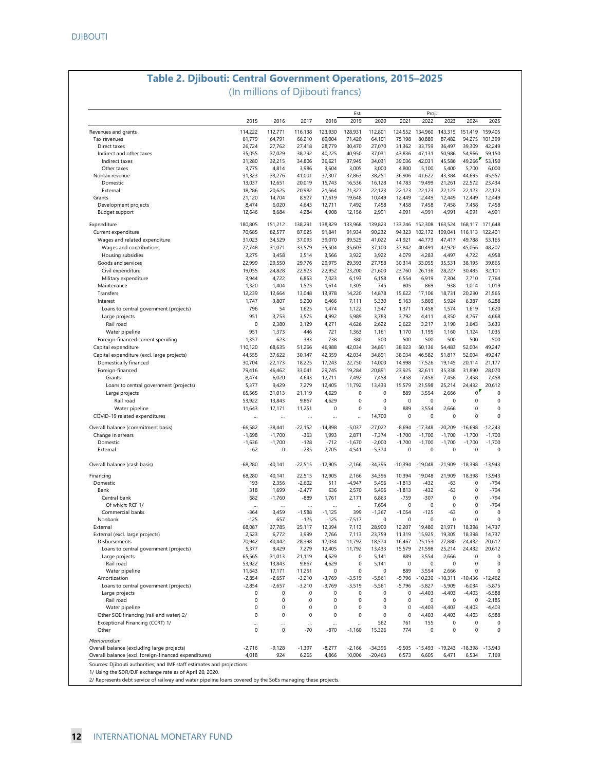## **Table 2. Djibouti: Central Government Operations, 2015–2025** (In millions of Djibouti francs)

|                                                                                                     |                   |                  |                   |                   | Est.               |                        |                   | Proj               |                    |                            |                    |
|-----------------------------------------------------------------------------------------------------|-------------------|------------------|-------------------|-------------------|--------------------|------------------------|-------------------|--------------------|--------------------|----------------------------|--------------------|
|                                                                                                     | 2015              | 2016             | 2017              | 2018              | 2019               | 2020                   | 2021              | 2022               | 2023               | 2024                       | 2025               |
| Revenues and grants<br>Tax revenues                                                                 | 114,222           | 112,771          | 116,138<br>66,210 | 123,930<br>69,004 | 128,931<br>71,420  | 112,801<br>64,101      | 124,552<br>75,198 | 134.960<br>80,889  | 143,315<br>87.482  | 151,419                    | 159.405            |
| Direct taxes                                                                                        | 61,779<br>26,724  | 64,791<br>27,762 | 27,418            | 28,779            | 30,470             | 27,070                 | 31,362            | 33,759             | 36,497             | 94,275<br>39,309           | 101,399<br>42,249  |
| Indirect and other taxes                                                                            | 35,055            | 37,029           | 38,792            | 40,225            | 40,950             | 37,031                 | 43,836            | 47,131             | 50,986             | 54,966                     | 59,150             |
| Indirect taxes                                                                                      | 31,280            | 32,215           | 34,806            | 36,621            | 37,945             | 34,031                 | 39,036            | 42,031             | 45,586             | 49,266                     | 53,150             |
| Other taxes                                                                                         | 3,775             | 4,814            | 3,986             | 3,604             | 3,005              | 3,000                  | 4,800             | 5,100              | 5,400              | 5,700                      | 6,000              |
| Nontax revenue                                                                                      | 31,323            | 33,276           | 41,001            | 37,307            | 37,863             | 38,251                 | 36,906            | 41,622             | 43,384             | 44,695                     | 45,557             |
| Domestic                                                                                            | 13,037            | 12,651           | 20,019            | 15,743            | 16,536             | 16,128                 | 14,783            | 19,499             | 21,261             | 22,572                     | 23,434             |
| External                                                                                            | 18,286            | 20,625           | 20,982            | 21,564            | 21,327             | 22,123                 | 22,123            | 22,123             | 22,123             | 22,123                     | 22,123             |
| Grants                                                                                              | 21,120            | 14,704           | 8,927             | 17,619            | 19,648             | 10,449                 | 12,449            | 12,449             | 12,449             | 12,449                     | 12,449             |
| Development projects                                                                                | 8,474             | 6,020            | 4,643             | 12,711            | 7,492              | 7,458                  | 7,458             | 7,458              | 7,458              | 7,458                      | 7,458              |
| Budget support                                                                                      | 12,646            | 8,684            | 4,284             | 4,908             | 12,156             | 2,991                  | 4,991             | 4,991              | 4,991              | 4,991                      | 4,991              |
| Expenditure                                                                                         | 180,805           | 151,212          | 138,291           | 138,829           | 133,968            | 139,823                | 133,246           | 152,308            | 163,524            | 168,117 171,648            |                    |
| Current expenditure                                                                                 | 70,685            | 82,577           | 87,025            | 91,841            | 91,934             | 90,232                 | 94,323            | 102,172            | 109,041            | 116,113                    | 122,401            |
| Wages and related expenditure                                                                       | 31.023            | 34,529           | 37,093            | 39,070            | 39,525             | 41,022                 | 41,921            | 44,773             | 47.417             | 49,788                     | 53.165             |
| Wages and contributions                                                                             | 27,748            | 31,071           | 33,579            | 35,504            | 35,603             | 37,100                 | 37,842            | 40,491             | 42,920             | 45,066                     | 48,207             |
| Housing subsidies                                                                                   | 3,275             | 3,458            | 3,514             | 3,566             | 3,922              | 3,922                  | 4,079             | 4,283              | 4,497              | 4,722                      | 4,958              |
| Goods and services                                                                                  | 22,999            | 29,550           | 29,776            | 29,975            | 29,393             | 27,758                 | 30,314            | 33,055             | 35,531             | 38,195                     | 39,865             |
| Civil expenditure                                                                                   | 19,055            | 24,828           | 22,923            | 22,952            | 23,200             | 21,600                 | 23,760            | 26,136             | 28,227             | 30,485                     | 32,101             |
| Military expenditure                                                                                | 3,944             | 4,722            | 6,853             | 7,023             | 6,193              | 6,158                  | 6,554             | 6,919              | 7,304              | 7,710                      | 7,764              |
| Maintenance                                                                                         | 1,320             | 1,404            | 1,525             | 1,614             | 1,305              | 745                    | 805               | 869                | 938                | 1,014                      | 1,019              |
| Transfers                                                                                           | 12,239            | 12,664           | 13,048            | 13,978            | 14,220             | 14,878                 | 15,622            | 17,106             | 18,731             | 20,230                     | 21,565             |
| Interest                                                                                            | 1,747             | 3,807            | 5,200             | 6,466             | 7,111              | 5,330                  | 5,163             | 5,869              | 5,924              | 6,387                      | 6,288              |
| Loans to central government (projects)                                                              | 796               | 54               | 1,625             | 1,474             | 1,122              | 1,547                  | 1,371             | 1,458              | 1,574              | 1,619                      | 1,620              |
| Large projects                                                                                      | 951               | 3,753            | 3,575             | 4,992             | 5,989              | 3,783                  | 3,792             | 4,411              | 4,350              | 4,767                      | 4,668              |
| Rail road                                                                                           | 0                 | 2,380            | 3,129             | 4,271             | 4,626              | 2,622                  | 2,622             | 3,217              | 3,190              | 3,643                      | 3,633              |
| Water pipeline                                                                                      | 951               | 1,373            | 446               | 721               | 1,363              | 1,161                  | 1,170             | 1,195              | 1,160              | 1,124                      | 1,035              |
| Foreign-financed current spending                                                                   | 1,357             | 623              | 383               | 738               | 380                | 500                    | 500               | 500                | 500                | 500                        | 500                |
| Capital expenditure                                                                                 | 110,120           | 68,635           | 51,266            | 46,988            | 42,034             | 34,891                 | 38,923            | 50,136             | 54,483             | 52,004                     | 49,247             |
| Capital expenditure (excl. large projects)                                                          | 44,555            | 37,622           | 30,147            | 42,359            | 42,034             | 34,891                 | 38,034            | 46,582             | 51,817             | 52,004                     | 49,247             |
|                                                                                                     |                   |                  |                   |                   |                    |                        |                   |                    |                    | 20.114                     |                    |
| Domestically financed                                                                               | 30,704            | 22,173           | 18,225            | 17,243            | 22,750             | 14,000                 | 14,998            | 17,526             | 19,145             |                            | 21,177             |
| Foreign-financed                                                                                    | 79,416            | 46,462           | 33,041            | 29,745            | 19,284             | 20,891                 | 23,925            | 32,611             | 35,338             | 31,890                     | 28,070             |
| Grants                                                                                              | 8,474             | 6,020            | 4,643             | 12,711            | 7,492              | 7,458                  | 7,458             | 7,458              | 7,458              | 7,458                      | 7,458              |
| Loans to central government (projects)                                                              | 5,377             | 9,429            | 7,279             | 12,405            | 11,792             | 13,433                 | 15,579            | 21,598             | 25,214             | 24,432                     | 20,612             |
| Large projects                                                                                      | 65,565            | 31,013           | 21,119            | 4,629             | 0                  | $\mathbf 0$            | 889               | 3,554              | 2,666              | $^{\circ}$                 |                    |
| Rail road                                                                                           | 53,922            | 13,843           | 9,867             | 4,629             | $\mathbf 0$        | $\mathbf 0$            | $\mathbf 0$       | $\mathbf 0$        | 0                  | $\mathbf 0$                |                    |
| Water pipeline                                                                                      | 11,643            | 17,171           | 11,251            | 0                 | 0                  | $\mathbf 0$            | 889               | 3,554              | 2,666              | $\mathbf 0$<br>$\mathbf 0$ |                    |
| COVID-19 related expenditures                                                                       |                   |                  |                   |                   | $\ddotsc$          | 14,700                 | 0                 | 0                  | 0                  |                            |                    |
| Overall balance (commitment basis)                                                                  | $-66,582$         | $-38,441$        | $-22,152$         | $-14,898$         | $-5,037$           | $-27,022$              | $-8,694$          | $-17,348$          | $-20,209$          | $-16,698$                  | $-12,243$          |
| Change in arrears                                                                                   | $-1,698$          | $-1,700$         | $-363$            | 1,993             | 2,871              | $-7,374$               | $-1,700$          | $-1,700$           | $-1,700$           | $-1,700$                   | $-1,700$           |
| Domestic                                                                                            | $-1,636$          | $-1,700$         | $-128$            | $-712$            | $-1,670$           | $-2,000$               | $-1,700$          | $-1,700$           | $-1,700$           | $-1,700$                   | $-1,700$           |
| External                                                                                            | $-62$             | 0                | $-235$            | 2,705             | 4,541              | $-5,374$               | 0                 | 0                  | 0                  | 0                          |                    |
| Overall balance (cash basis)                                                                        | $-68,280$         | $-40,141$        | $-22,515$         | $-12,905$         | $-2,166$           | $-34,396$              | $-10,394$         | $-19,048$          | $-21,909$          | $-18,398$                  | $-13,943$          |
| Financing                                                                                           | 68,280            | 40,141           | 22,515            | 12,905            | 2,166              | 34,396                 | 10,394            | 19,048             | 21,909             | 18,398                     | 13,943             |
| Domestic                                                                                            | 193               | 2,356            | $-2,602$          | 511               | $-4,947$           | 5,496                  | $-1,813$          | $-432$             | -63                | 0                          | $-794$             |
| Bank                                                                                                | 318               | 1,699            | $-2,477$          | 636               | 2,570              | 5,496                  | $-1,813$          | $-432$             | -63                | 0                          | $-794$             |
| Central bank                                                                                        | 682               | $-1,760$         | $-889$            | 1,761             | 2,171              | 6,863                  | $-759$            | -307               | $\mathbf 0$        | $\bf 0$                    | $-794$             |
| Of which: RCF 1/                                                                                    | $\cdots$          |                  |                   | $\cdots$          | $\cdots$           | 7,694                  | 0                 | 0                  | 0                  | $\bf 0$                    | $-794$             |
| Commercial banks                                                                                    | -364              | 3,459            | $-1,588$          | -1,125            | 399                | $-1,367$               | $-1,054$          | $-125$             | $-63$              | $\bf 0$                    |                    |
| Nonbank                                                                                             | $-125$            | 657              | $-125$            | $-125$            | $-7,517$           | 0                      | 0                 | 0                  | 0                  | 0                          |                    |
| External                                                                                            | 68,087            | 37,785           | 25,117            | 12,394            | 7,113              | 28,900                 | 12,207            | 19,480             | 21,971             | 18,398                     | 14,737             |
| External (excl. large projects)                                                                     | 2,523             | 6,772            | 3,999             | 7,766             | 7,113              | 23,759                 | 11,319            | 15,925             | 19,305             | 18.398                     | 14,737             |
| Disbursements                                                                                       | 70,942            | 40,442           | 28.398            | 17,034            | 11,792             | 18,574                 | 16.467            | 25,153             | 27,880             | 24,432                     | 20.612             |
| Loans to central government (projects)                                                              | 5,377             | 9,429            | 7,279             | 12,405            | 11,792             | 13,433                 | 15,579            | 21,598             | 25,214             | 24,432                     | 20,612             |
| Large projects                                                                                      | 65,565            | 31,013           | 21,119            | 4,629             | 0                  | 5,141                  | 889               | 3,554              | 2,666              | $\bf 0$                    |                    |
| Rail road                                                                                           | 53,922            | 13,843           | 9,867             | 4,629             | $\bf 0$            | 5,141                  | 0                 | 0                  | 0                  | $\bf 0$                    |                    |
| Water pipeline                                                                                      | 11,643            | 17,171           | 11,251            | 0                 | $\bf 0$            | 0                      | 889               | 3,554              | 2,666              | $\bf 0$                    |                    |
| Amortization                                                                                        | $-2,854$          | $-2,657$         | $-3,210$          | $-3,769$          | $-3,519$           | $-5,561$               | $-5,796$          | $-10,230$          | $-10,311$          | $-10,436$                  | $-12,462$          |
| Loans to central government (projects)                                                              | $-2,854$          | $-2,657$         | $-3,210$          | $-3,769$          | $-3,519$           | $-5,561$               | $-5,796$          | $-5,827$           | $-5,909$           | $-6,034$                   | $-5,875$           |
| Large projects                                                                                      | 0                 | 0                | 0                 | 0                 | $\bf 0$            | 0                      | $\pmb{0}$         | $-4,403$           | $-4,403$           | $-4,403$                   | $-6,588$           |
| Rail road                                                                                           | $\pmb{0}$         | 0                | $\mathbf 0$       | 0                 | 0                  | 0                      | $\pmb{0}$         | 0                  | $\mathbf 0$        | 0                          | $-2,185$           |
| Water pipeline                                                                                      | $\pmb{0}$         | 0                | 0                 | 0                 | 0                  | 0                      | 0                 | $-4,403$           | $-4,403$           | $-4,403$                   | $-4,403$           |
| Other SOE financing (rail and water) 2/                                                             | $\pmb{0}$         | 0                | $\mathbf 0$       | $\pmb{0}$         | 0                  | $\pmb{0}$              | $\pmb{0}$         | 4,403              | 4,403              | 4,403                      | 6,588              |
| Exceptional Financing (CCRT) 1/                                                                     |                   |                  | $\cdots$          |                   | $\ddotsc$          | 562                    | 761               | 155                | $\mathbf 0$        | $\bf 0$                    |                    |
| Other                                                                                               | $\mathbf 0$       | $\mathbf 0$      | $-70$             | $-870$            | $-1,160$           | 15,326                 | 774               | 0                  | $\bf 0$            | $\bf 0$                    |                    |
|                                                                                                     |                   |                  |                   |                   |                    |                        |                   |                    |                    |                            |                    |
|                                                                                                     |                   |                  |                   |                   |                    |                        |                   |                    |                    |                            |                    |
| Memorandum                                                                                          |                   |                  |                   |                   |                    |                        |                   |                    |                    |                            |                    |
| Overall balance (excluding large projects)<br>Overall balance (excl. foreign-financed expenditures) | $-2,716$<br>4,018 | $-9,128$<br>924  | $-1,397$<br>6,265 | $-8,277$<br>4,866 | $-2,166$<br>10,006 | $-34,396$<br>$-20,463$ | $-9,505$<br>6,573 | $-15,493$<br>6,605 | $-19,243$<br>6,471 | $-18,398$<br>6,534         | $-13,943$<br>7,169 |

Sources: Djibouti authorities; and IMF staff estimates and projections.<br>1/ Using the SDR/DJF exchange rate as of April 20, 2020.<br>2/ Represents debt service of railway and water pipeline Ioans covered by the SoEs managing t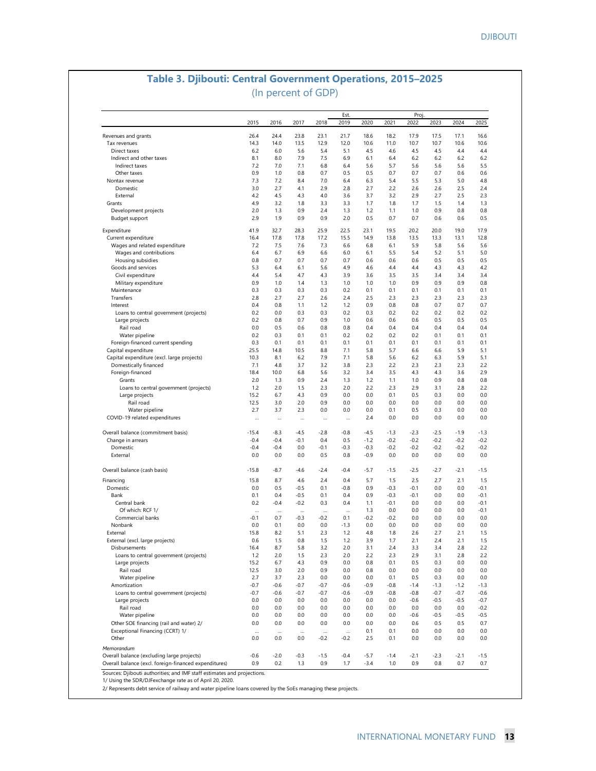### **Table 3. Djibouti: Central Government Operations, 2015–2025** (In percent of GDP)

|                                                       | 2015       | 2016       | 2017       | 2018       | Est.<br>2019 | 2020       | 2021       | Proj<br>2022 | 2023       | 2024       | 2025       |
|-------------------------------------------------------|------------|------------|------------|------------|--------------|------------|------------|--------------|------------|------------|------------|
|                                                       |            |            |            |            |              |            |            |              |            |            |            |
| Revenues and grants                                   | 26.4       | 24.4       | 23.8       | 23.1       | 21.7         | 18.6       | 18.2       | 17.9         | 17.5       | 17.1       | 16.6       |
| Tax revenues                                          | 14.3       | 14.0       | 13.5       | 12.9       | 12.0         | 10.6       | 11.0       | 10.7         | 10.7       | 10.6       | 10.6       |
| Direct taxes                                          | 6.2        | 6.0        | 5.6        | 5.4        | 5.1          | 4.5        | 4.6        | 4.5          | 4.5        | 4.4        | 4.4        |
| Indirect and other taxes                              | 8.1        | 8.0        | 7.9        | 7.5        | 6.9          | 6.1        | 6.4        | 6.2          | 6.2        | 6.2        | 6.2        |
| Indirect taxes                                        | 7.2        | 7.0        | 7.1        | 6.8        | 6.4          | 5.6        | 5.7        | 5.6          | 5.6        | 5.6        | 5.5        |
| Other taxes                                           | 0.9        | 1.0        | 0.8        | 0.7        | 0.5          | 0.5        | 0.7        | 0.7          | 0.7        | 0.6        | 0.6        |
| Nontax revenue                                        | 7.3        | 7.2        | 8.4        | 7.0        | 6.4          | 6.3        | 5.4        | 5.5          | 5.3        | 5.0        | 4.8        |
| Domestic                                              | 3.0        | 2.7        | 4.1        | 2.9        | 2.8          | 2.7        | 2.2        | 2.6          | 2.6        | 2.5        | 2.4        |
| External                                              | 4.2<br>4.9 | 4.5        | 4.3        | 4.0        | 3.6          | 3.7        | 3.2        | 2.9          | 2.7        | 2.5        | 2.3        |
| Grants                                                | 2.0        | 3.2<br>1.3 | 1.8<br>0.9 | 3.3        | 3.3          | 1.7        | 1.8        | 1.7<br>1.0   | 1.5<br>0.9 | 1.4<br>0.8 | 1.3        |
| Development projects                                  | 2.9        | 1.9        | 0.9        | 2.4<br>0.9 | 1.3<br>2.0   | 1.2<br>0.5 | 1.1<br>0.7 | 0.7          | 0.6        | 0.6        | 0.8<br>0.5 |
| Budget support                                        |            |            |            |            |              |            |            |              |            |            |            |
| Expenditure                                           | 41.9       | 32.7       | 28.3       | 25.9       | 22.5         | 23.1       | 19.5       | 20.2         | 20.0       | 19.0       | 17.9       |
| Current expenditure                                   | 16.4       | 17.8       | 17.8       | 17.2       | 15.5         | 14.9       | 13.8       | 13.5         | 13.3       | 13.1       | 12.8       |
| Wages and related expenditure                         | 7.2        | 7.5        | 7.6        | 7.3        | 6.6          | 6.8        | 6.1        | 5.9          | 5.8        | 5.6        | 5.6        |
| Wages and contributions                               | 6.4        | 6.7        | 6.9        | 6.6        | 6.0          | 6.1        | 5.5        | 5.4          | 5.2        | 5.1        | 5.0        |
| Housing subsidies                                     | 0.8        | 0.7        | 0.7        | 0.7        | 0.7          | 0.6        | 0.6        | 0.6          | 0.5        | 0.5        | 0.5        |
| Goods and services                                    | 5.3        | 6.4        | 6.1        | 5.6        | 4.9          | 4.6        | 4.4        | 4.4          | 4.3        | 4.3        | 4.2        |
| Civil expenditure                                     | 4.4        | 5.4        | 4.7        | 4.3        | 3.9          | 3.6        | 3.5        | 3.5          | 3.4        | 3.4        | 3.4        |
| Military expenditure                                  | 0.9        | 1.0        | 1.4        | 1.3        | 1.0          | 1.0        | 1.0        | 0.9          | 0.9        | 0.9        | 0.8        |
| Maintenance                                           | 0.3        | 0.3        | 0.3        | 0.3        | 0.2          | 0.1        | 0.1        | 0.1          | 0.1        | 0.1        | 0.1        |
| Transfers                                             | 2.8        | 2.7        | 2.7        | 2.6        | 2.4          | 2.5        | 2.3        | 2.3          | 2.3        | 2.3        | 2.3        |
| Interest                                              | 0.4        | 0.8        | 1.1        | 1.2        | 1.2          | 0.9        | 0.8        | 0.8          | 0.7        | 0.7        | 0.7        |
| Loans to central government (projects)                | 0.2        | 0.0        | 0.3        | 0.3        | 0.2          | 0.3        | 0.2        | 0.2          | 0.2        | 0.2        | 0.2        |
| Large projects                                        | 0.2        | 0.8        | 0.7        | 0.9        | 1.0          | 0.6        | 0.6        | 0.6          | 0.5        | 0.5        | 0.5        |
| Rail road                                             | 0.0        | 0.5        | 0.6        | 0.8        | 0.8          | 0.4        | 0.4        | 0.4          | 0.4        | 0.4        | 0.4        |
| Water pipeline                                        | 0.2        | 0.3        | 0.1        | 0.1        | 0.2          | 0.2        | 0.2        | 0.2          | 0.1        | 0.1        | 0.1        |
| Foreign-financed current spending                     | 0.3        | 0.1        | 0.1        | 0.1        | 0.1          | 0.1        | 0.1        | 0.1          | 0.1        | 0.1        | 0.1        |
| Capital expenditure                                   | 25.5       | 14.8       | 10.5       | 8.8        | 7.1          | 5.8        | 5.7        | 6.6          | 6.6        | 5.9        | 5.1        |
| Capital expenditure (excl. large projects)            | 10.3       | 8.1        | 6.2        | 7.9        | 7.1          | 5.8        | 5.6        | 6.2          | 6.3        | 5.9        | 5.1        |
| Domestically financed                                 | 7.1        | 4.8        | 3.7        | 3.2        | 3.8          | 2.3        | 2.2        | 2.3          | 2.3        | 2.3        | 2.2        |
| Foreign-financed                                      | 18.4       | 10.0       | 6.8        | 5.6        | 3.2          | 3.4        | 3.5        | 4.3          | 4.3        | 3.6        | 2.9        |
| Grants                                                | 2.0        | 1.3        | 0.9        | 2.4        | 1.3          | 1.2        | 1.1        | 1.0          | 0.9        | 0.8        | 0.8        |
| Loans to central government (projects)                | 1.2        | 2.0        | 1.5        | 2.3        | 2.0          | 2.2        | 2.3        | 2.9          | 3.1        | 2.8        | 2.2        |
| Large projects                                        | 15.2       | 6.7        | 4.3        | 0.9        | 0.0          | 0.0        | 0.1        | 0.5          | 0.3        | 0.0        | 0.0        |
| Rail road                                             | 12.5       | 3.0        | 2.0        | 0.9        | 0.0          | 0.0        | 0.0        | 0.0          | 0.0        | 0.0        | 0.0        |
| Water pipeline                                        | 2.7        | 3.7        | 2.3        | 0.0        | 0.0          | 0.0        | 0.1        | 0.5          | 0.3        | 0.0        | 0.0        |
| COVID-19 related expenditures                         | $\cdots$   | $\cdots$   | $\cdots$   | $\cdots$   |              | 2.4        | 0.0        | 0.0          | 0.0        | 0.0        | 0.0        |
| Overall balance (commitment basis)                    | $-15.4$    | $-8.3$     | $-4.5$     | $-2.8$     | $-0.8$       | $-4.5$     | $-1.3$     | $-2.3$       | $-2.5$     | $-1.9$     | $-1.3$     |
|                                                       | $-0.4$     | $-0.4$     | $-0.1$     | 0.4        | 0.5          | $-1.2$     | $-0.2$     | $-0.2$       | $-0.2$     | $-0.2$     | $-0.2$     |
| Change in arrears<br>Domestic                         | $-0.4$     | $-0.4$     | 0.0        | $-0.1$     | $-0.3$       | $-0.3$     | $-0.2$     | $-0.2$       | $-0.2$     | $-0.2$     | $-0.2$     |
| External                                              | 0.0        | 0.0        | 0.0        | 0.5        | 0.8          | $-0.9$     | 0.0        | 0.0          | 0.0        | 0.0        | 0.0        |
|                                                       |            |            |            |            |              |            |            |              |            |            |            |
| Overall balance (cash basis)                          | $-15.8$    | $-8.7$     | -4.6       | $-2.4$     | $-0.4$       | $-5.7$     | $-1.5$     | $-2.5$       | $-2.7$     | $-2.1$     | $-1.5$     |
| Financing                                             | 15.8       | 8.7        | 4.6        | 2.4        | 0.4          | 5.7        | 1.5        | 2.5          | 2.7        | 2.1        | 1.5        |
| Domestic                                              | 0.0        | 0.5        | $-0.5$     | 0.1        | $-0.8$       | 0.9        | $-0.3$     | $-0.1$       | 0.0        | 0.0        | $-0.1$     |
| Bank                                                  | 0.1        | 0.4        | $-0.5$     | 0.1        | 0.4          | 0.9        | $-0.3$     | $-0.1$       | 0.0        | 0.0        | $-0.1$     |
| Central bank                                          | 0.2        | $-0.4$     | $-0.2$     | 0.3        | 0.4          | 1.1        | $-0.1$     | 0.0          | 0.0        | 0.0        | $-0.1$     |
| Of which: RCF 1/                                      |            |            |            | $\ddotsc$  |              | 1.3        | 0.0        | 0.0          | 0.0        | 0.0        | $-0.1$     |
| Commercial banks                                      | $-0.1$     | 0.7        | $-0.3$     | $-0.2$     | 0.1          | $-0.2$     | $-0.2$     | 0.0          | 0.0        | 0.0        | 0.0        |
| Nonbank                                               | 0.0        | 0.1        | 0.0        | 0.0        | $-1.3$       | 0.0        | 0.0        | 0.0          | 0.0        | 0.0        | 0.0        |
| External                                              | 15.8       | 8.2        | 5.1        | 2.3        | 1.2          | 4.8        | 1.8        | 2.6          | 2.7        | 2.1        | 1.5        |
| External (excl. large projects)                       | 0.6        | 1.5        | 0.8        | 1.5        | 1.2          | 3.9        | 1.7        | 2.1          | 2.4        | 2.1        | 1.5        |
| Disbursements                                         | 16.4       | 8.7        | 5.8        | 3.2        | 2.0          | 3.1        | 2.4        | 3.3          | 3.4        | 2.8        | 2.2        |
| Loans to central government (projects)                | 1.2        | 2.0        | 1.5        | 2.3        | 2.0          | 2.2        | 2.3        | 2.9          | 3.1        | 2.8        | 2.2        |
| Large projects                                        | 15.2       | 6.7        | 4.3        | 0.9        | 0.0          | 0.8        | 0.1        | 0.5          | 0.3        | 0.0        | 0.0        |
| Rail road                                             | 12.5       | 3.0        | 2.0        | 0.9        | 0.0          | 0.8        | 0.0        | 0.0          | 0.0        | 0.0        | 0.0        |
| Water pipeline                                        | 2.7        | 3.7        | 2.3        | 0.0        | 0.0          | 0.0        | 0.1        | 0.5          | 0.3        | 0.0        | 0.0        |
| Amortization                                          | $-0.7$     | $-0.6$     | $-0.7$     | $-0.7$     | $-0.6$       | $-0.9$     | $-0.8$     | $-1.4$       | $-1.3$     | $-1.2$     | $-1.3$     |
| Loans to central government (projects)                | $-0.7$     | $-0.6$     | $-0.7$     | $-0.7$     | $-0.6$       | $-0.9$     | $-0.8$     | $-0.8$       | $-0.7$     | $-0.7$     | $-0.6$     |
| Large projects                                        | $0.0\,$    | 0.0        | 0.0        | 0.0        | 0.0          | 0.0        | 0.0        | $-0.6$       | $-0.5$     | $-0.5$     | $-0.7$     |
| Rail road                                             | 0.0        | 0.0        | 0.0        | 0.0        | 0.0          | 0.0        | 0.0        | 0.0          | 0.0        | 0.0        | $-0.2$     |
| Water pipeline                                        | 0.0        | 0.0        | 0.0        | 0.0        | 0.0          | 0.0        | 0.0        | $-0.6$       | $-0.5$     | $-0.5$     | $-0.5$     |
|                                                       | 0.0        | 0.0        | 0.0        | 0.0        | 0.0          | 0.0        | 0.0        | 0.6          | 0.5        | 0.5        | 0.7        |
| Other SOE financing (rail and water) 2/               |            |            |            |            |              |            |            |              |            |            |            |
| Exceptional Financing (CCRT) 1/                       | $\ldots$   | $\ldots$   | $\ldots$   | $\ldots$   |              | 0.1        | 0.1        | 0.0          | 0.0        | 0.0        | 0.0        |
| Other                                                 | 0.0        | 0.0        | 0.0        | $-0.2$     | $-0.2$       | 2.5        | 0.1        | 0.0          | 0.0        | 0.0        | 0.0        |
| Memorandum                                            |            |            |            |            |              |            |            |              |            |            |            |
| Overall balance (excluding large projects)            | $-0.6$     | $-2.0$     | $-0.3$     | $-1.5$     | $-0.4$       | $-5.7$     | $-1.4$     | $-2.1$       | $-2.3$     | $-2.1$     | $-1.5$     |
| Overall balance (excl. foreign-financed expenditures) | 0.9        | 0.2        | 1.3        | 0.9        | 1.7          | $-3.4$     | 1.0        | 0.9          | 0.8        | 0.7        | 0.7        |

1/ Using the SDR/DJFexchange rate as of April 20, 2020.

2/ Represents debt service of railway and water pipeline loans covered by the SoEs managing these projects.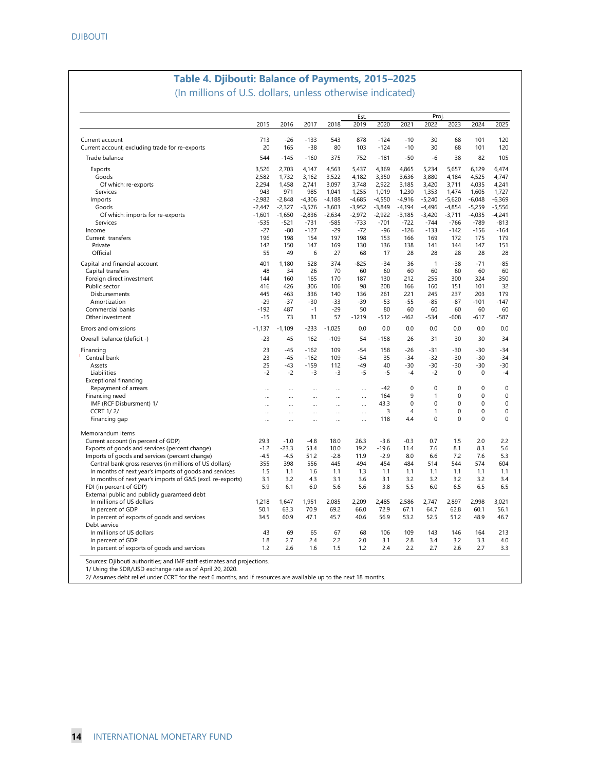# **Table 4. Djibouti: Balance of Payments, 2015–2025**

(In millions of U.S. dollars, unless otherwise indicated)

|                                                                    | Proj.     |           |          |           |              |          |                |              |             |             |             |
|--------------------------------------------------------------------|-----------|-----------|----------|-----------|--------------|----------|----------------|--------------|-------------|-------------|-------------|
|                                                                    | 2015      | 2016      | 2017     | 2018      | Est.<br>2019 | 2020     | 2021           | 2022         | 2023        | 2024        | 2025        |
|                                                                    | 713       | $-26$     | $-133$   | 543       | 878          | $-124$   | $-10$          | 30           | 68          | 101         | 120         |
| Current account<br>Current account, excluding trade for re-exports | 20        | 165       | $-38$    | 80        | 103          | $-124$   | $-10$          | 30           | 68          | 101         | 120         |
| Trade balance                                                      | 544       | $-145$    | $-160$   | 375       | 752          | $-181$   | $-50$          | -6           | 38          | 82          | 105         |
| Exports                                                            | 3.526     | 2.703     | 4,147    | 4,563     | 5.437        | 4.369    | 4.865          | 5.234        | 5,657       | 6.129       | 6.474       |
| Goods                                                              | 2,582     | 1,732     | 3,162    | 3,522     | 4,182        | 3,350    | 3,636          | 3,880        | 4,184       | 4,525       | 4,747       |
| Of which: re-exports                                               | 2,294     | 1,458     | 2,741    | 3,097     | 3,748        | 2,922    | 3,185          | 3,420        | 3,711       | 4,035       | 4,241       |
| Services                                                           | 943       | 971       | 985      | 1,041     | 1,255        | 1,019    | 1,230          | 1,353        | 1,474       | 1,605       | 1,727       |
| Imports                                                            | $-2,982$  | $-2,848$  | $-4,306$ | $-4,188$  | $-4,685$     | $-4,550$ | $-4,916$       | $-5,240$     | $-5,620$    | $-6,048$    | $-6,369$    |
| Goods                                                              | $-2,447$  | $-2,327$  | $-3,576$ | $-3,603$  | $-3,952$     | $-3,849$ | $-4,194$       | $-4,496$     | $-4,854$    | $-5,259$    | $-5,556$    |
| Of which: imports for re-exports                                   | $-1.601$  | $-1,650$  | $-2,836$ | $-2,634$  | $-2,972$     | $-2,922$ | $-3,185$       | $-3,420$     | $-3,711$    | $-4,035$    | $-4,241$    |
| Services                                                           | $-535$    | $-521$    | $-731$   | $-585$    | $-733$       | $-701$   | $-722$         | $-744$       | $-766$      | $-789$      | $-813$      |
| Income                                                             | $-27$     | $-80$     | $-127$   | $-29$     | $-72$        | $-96$    | $-126$         | $-133$       | $-142$      | $-156$      | $-164$      |
| Current transfers                                                  | 196       | 198       | 154      | 197       | 198          | 153      | 166            | 169          | 172         | 175         | 179         |
| Private                                                            | 142       | 150       | 147      | 169       | 130          | 136      | 138            | 141          | 144         | 147         | 151         |
| Official                                                           | 55        | 49        | 6        | 27        | 68           | 17       | 28             | 28           | 28          | 28          | 28          |
| Capital and financial account                                      | 401       | 1,180     | 528      | 374       | $-825$       | $-34$    | 36             | $\mathbf{1}$ | $-38$       | $-71$       | $-85$       |
| Capital transfers                                                  | 48        | 34        | 26       | 70        | 60           | 60       | 60             | 60           | 60          | 60          | 60          |
| Foreign direct investment                                          | 144       | 160       | 165      | 170       | 187          | 130      | 212            | 255          | 300         | 324         | 350         |
| Public sector                                                      | 416       | 426       | 306      | 106       | 98           | 208      | 166            | 160          | 151         | 101         | 32          |
| Disbursements                                                      | 445       | 463       | 336      | 140       | 136          | 261      | 221            | 245          | 237         | 203         | 179         |
| Amortization                                                       | $-29$     | $-37$     | $-30$    | $-33$     | $-39$        | $-53$    | $-55$          | $-85$        | $-87$       | $-101$      | $-147$      |
| Commercial banks                                                   | $-192$    | 487       | $-1$     | $-29$     | 50           | 80       | 60             | 60           | 60          | 60          | 60          |
| Other investment                                                   | $-15$     | 73        | 31       | 57        | $-1219$      | $-512$   | -462           | -534         | -608        | -617        | -587        |
| Errors and omissions                                               | $-1,137$  | $-1.109$  | $-233$   | $-1.025$  | 0.0          | 0.0      | 0.0            | 0.0          | 0.0         | 0.0         | 0.0         |
| Overall balance (deficit -)                                        | $-23$     | 45        | 162      | $-109$    | 54           | $-158$   | 26             | 31           | 30          | 30          | 34          |
| Financing                                                          | 23        | $-45$     | $-162$   | 109       | $-54$        | 158      | $-26$          | $-31$        | $-30$       | $-30$       | $-34$       |
| Central bank                                                       | 23        | $-45$     | $-162$   | 109       | $-54$        | 35       | $-34$          | $-32$        | -30         | -30         | $-34$       |
| Assets                                                             | 25        | $-43$     | $-159$   | 112       | $-49$        | 40       | -30            | $-30$        | $-30$       | -30         | $-30$       |
| Liabilities                                                        | $-2$      | $-2$      | $-3$     | $-3$      | $-5$         | $-5$     | $-4$           | $-2$         | $\mathbf 0$ | $\mathbf 0$ | $-4$        |
| <b>Exceptional financing</b>                                       |           |           |          |           |              |          |                |              |             |             |             |
| Repayment of arrears                                               | $\ddotsc$ | $\ddotsc$ | $\cdots$ | $\ddotsc$ | $\cdots$     | $-42$    | $\mathbf 0$    | $\mathbf 0$  | $\mathbf 0$ | $\mathbf 0$ | $\mathbf 0$ |
| Financing need                                                     | $\ddotsc$ | $\cdots$  | $\cdots$ | $\ddotsc$ | $\cdots$     | 164      | 9              | $\mathbf{1}$ | $\Omega$    | $\Omega$    | $\mathbf 0$ |
| IMF (RCF Disbursment) 1/                                           | $\ddotsc$ |           |          |           | $\cdots$     | 43.3     | 0              | $\mathbf 0$  | $\mathbf 0$ | $\mathbf 0$ | $\mathbf 0$ |
| <b>CCRT 1/2/</b>                                                   |           |           |          |           |              | 3        | $\overline{4}$ | $\mathbf{1}$ | $\mathbf 0$ | 0           | $\mathbf 0$ |
| Financing gap                                                      |           |           |          |           |              | 118      | 4.4            | $\Omega$     | $\Omega$    | $\Omega$    | $\Omega$    |
| Memorandum items                                                   |           |           |          |           |              |          |                |              |             |             |             |
| Current account (in percent of GDP)                                | 29.3      | $-1.0$    | $-4.8$   | 18.0      | 26.3         | $-3.6$   | $-0.3$         | 0.7          | 1.5         | 2.0         | 2.2         |
| Exports of goods and services (percent change)                     | $-1.2$    | $-23.3$   | 53.4     | 10.0      | 19.2         | $-19.6$  | 11.4           | 7.6          | 8.1         | 8.3         | 5.6         |
| Imports of goods and services (percent change)                     | $-4.5$    | $-4.5$    | 51.2     | $-2.8$    | 11.9         | $-2.9$   | 8.0            | 6.6          | 7.2         | 7.6         | 5.3         |
| Central bank gross reserves (in millions of US dollars)            | 355       | 398       | 556      | 445       | 494          | 454      | 484            | 514          | 544         | 574         | 604         |
| In months of next year's imports of goods and services             | 1.5       | 1.1       | 1.6      | 1.1       | 1.3          | 1.1      | 1.1            | 1.1          | 1.1         | 1.1         | 1.1         |
| In months of next year's imports of G&S (excl. re-exports)         | 3.1       | 3.2       | 4.3      | 3.1       | 3.6          | 3.1      | 3.2            | 3.2          | 3.2         | 3.2         | 3.4         |
| FDI (in percent of GDP)                                            | 5.9       | 6.1       | 6.0      | 5.6       | 5.6          | 3.8      | 5.5            | 6.0          | 6.5         | 6.5         | 6.5         |
| External public and publicly guaranteed debt                       |           |           |          |           |              |          |                |              |             |             |             |
| In millions of US dollars                                          | 1,218     | 1,647     | 1,951    | 2.085     | 2,209        | 2.485    | 2.586          | 2.747        | 2.897       | 2.998       | 3.021       |
| In percent of GDP                                                  | 50.1      | 63.3      | 70.9     | 69.2      | 66.0         | 72.9     | 67.1           | 64.7         | 62.8        | 60.1        | 56.1        |
| In percent of exports of goods and services                        | 34.5      | 60.9      | 47.1     | 45.7      | 40.6         | 56.9     | 53.2           | 52.5         | 51.2        | 48.9        | 46.7        |
| Debt service                                                       | 43        | 69        | 65       | 67        |              | 106      | 109            | 143          | 146         | 164         |             |
| In millions of US dollars<br>In percent of GDP                     | 1.8       | 2.7       | 2.4      | 2.2       | 68<br>2.0    | 3.1      | 2.8            | 3.4          | 3.2         | 3.3         | 213<br>4.0  |
| In percent of exports of goods and services                        | 1.2       | 2.6       | 1.6      | 1.5       | 1.2          | 2.4      | 2.2            | 2.7          | 2.6         | 2.7         | 3.3         |
|                                                                    |           |           |          |           |              |          |                |              |             |             |             |

Sources: Djibouti authorities; and IMF staff estimates and projections.

1/ Using the SDR/USD exchange rate as of April 20, 2020.

2/ Assumes debt relief under CCRT for the next 6 months, and if resources are available up to the next 18 months.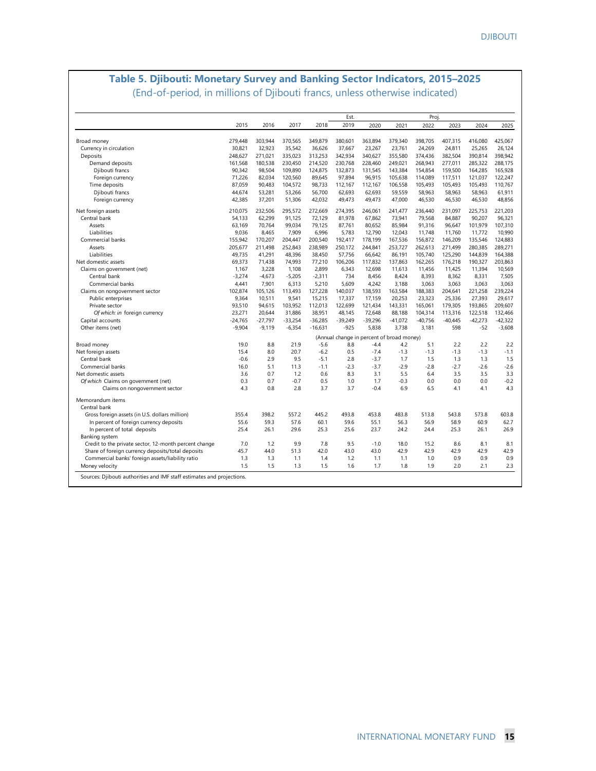### **Table 5. Djibouti: Monetary Survey and Banking Sector Indicators, 2015–2025** (End-of-period, in millions of Djibouti francs, unless otherwise indicated)

|                                                                       |            |            |               |            | Est.       |               |                                           | Proj.      |            |            |               |
|-----------------------------------------------------------------------|------------|------------|---------------|------------|------------|---------------|-------------------------------------------|------------|------------|------------|---------------|
|                                                                       | 2015       | 2016       | 2017          | 2018       | 2019       | 2020          | 2021                                      | 2022       | 2023       | 2024       | 2025          |
| Broad money                                                           | 279,448    | 303,944    | 370,565       | 349,879    | 380,601    | 363,894       | 379,340                                   | 398,705    | 407,315    | 416,080    | 425,067       |
| Currency in circulation                                               | 30.821     | 32.923     | 35.542        | 36.626     | 37.667     | 23.267        | 23.761                                    | 24.269     | 24.811     | 25.265     | 26.124        |
| Deposits                                                              | 248.627    | 271,021    | 335,023       | 313,253    | 342,934    | 340.627       | 355.580                                   | 374.436    | 382.504    | 390.814    | 398.942       |
| Demand deposits                                                       | 161,568    | 180,538    | 230,450       | 214,520    | 230,768    | 228,460       | 249,021                                   | 268,943    | 277,011    | 285,322    | 288,175       |
| Djibouti francs                                                       | 90,342     | 98,504     | 109,890       | 124,875    | 132,873    | 131,545       | 143,384                                   | 154,854    | 159,500    | 164,285    | 165,928       |
| Foreign currency                                                      | 71.226     | 82,034     | 120,560       | 89,645     | 97,894     | 96,915        | 105,638                                   | 114,089    | 117,511    | 121,037    | 122,247       |
| Time deposits                                                         | 87.059     | 90,483     | 104,572       | 98,733     | 112,167    | 112,167       | 106,558                                   | 105,493    | 105,493    | 105,493    | 110.767       |
| Djibouti francs                                                       | 44,674     | 53,281     | 53,266        | 56,700     | 62,693     | 62,693        | 59,559                                    | 58,963     | 58,963     | 58,963     | 61,911        |
| Foreign currency                                                      | 42,385     | 37,201     | 51,306        | 42,032     | 49,473     | 49,473        | 47,000                                    | 46,530     | 46,530     | 46,530     | 48,856        |
| Net foreign assets                                                    | 210,075    | 232,506    | 295,572       | 272,669    | 274,395    | 246,061       | 241,477                                   | 236,440    | 231,097    | 225,753    | 221,203       |
| Central bank                                                          | 54,133     | 62,299     | 91,125        | 72,129     | 81,978     | 67,862        | 73,941                                    | 79,568     | 84,887     | 90,207     | 96,321        |
| Assets                                                                | 63.169     | 70,764     | 99,034        | 79,125     | 87,761     | 80,652        | 85,984                                    | 91,316     | 96,647     | 101,979    | 107,310       |
| Liabilities                                                           | 9.036      | 8,465      | 7,909         | 6,996      | 5,783      | 12,790        | 12,043                                    | 11,748     | 11,760     | 11,772     | 10,990        |
| Commercial banks                                                      | 155,942    | 170,207    | 204,447       | 200,540    | 192,417    | 178,199       | 167,536                                   | 156,872    | 146,209    | 135,546    | 124,883       |
| Assets                                                                | 205.677    | 211,498    | 252.843       | 238,989    | 250.172    | 244.841       | 253,727                                   | 262.613    | 271.499    | 280.385    | 289,271       |
| Liabilities                                                           | 49,735     | 41,291     | 48,396        | 38,450     | 57,756     | 66,642        | 86,191                                    | 105,740    | 125,290    | 144,839    | 164,388       |
| Net domestic assets                                                   | 69,373     | 71,438     | 74,993        | 77,210     | 106,206    | 117,832       | 137,863                                   | 162,265    | 176,218    | 190,327    | 203,863       |
| Claims on government (net)                                            | 1,167      | 3,228      | 1,108         | 2,899      | 6,343      | 12,698        | 11,613                                    | 11,456     | 11,425     | 11,394     | 10,569        |
| Central bank                                                          | $-3,274$   | $-4,673$   | $-5,205$      | $-2,311$   | 734        | 8,456         | 8,424                                     | 8,393      | 8.362      | 8,331      | 7.505         |
| Commercial banks                                                      | 4.441      | 7,901      | 6,313         | 5,210      | 5.609      | 4,242         | 3.188                                     | 3.063      | 3.063      | 3.063      | 3.063         |
| Claims on nongovernment sector                                        | 102,874    | 105,126    | 113,493       | 127,228    | 140,037    | 138,593       | 163,584                                   | 188,383    | 204,641    | 221,258    | 239,224       |
| Public enterprises                                                    | 9,364      | 10,511     | 9,541         | 15,215     | 17,337     | 17,159        | 20,253                                    | 23,323     | 25,336     | 27,393     | 29,617        |
| Private sector                                                        | 93,510     | 94,615     | 103,952       | 112,013    | 122,699    | 121,434       | 143,331                                   | 165,061    | 179,305    | 193,865    | 209,607       |
| Of which: in foreign currency                                         | 23,271     | 20,644     | 31.886        | 38,951     | 48,145     | 72,648        | 88.188                                    | 104,314    | 113,316    | 122,518    | 132,466       |
| Capital accounts                                                      | $-24,765$  | $-27,797$  | $-33,254$     | $-36,285$  | $-39,249$  | $-39,296$     | $-41,072$                                 | $-40,756$  | $-40.445$  | $-42,273$  | $-42,322$     |
| Other items (net)                                                     | $-9,904$   | $-9,119$   | $-6,354$      | $-16,631$  | $-925$     | 5,838         | 3,738                                     | 3,181      | 598        | $-52$      | $-3,608$      |
|                                                                       |            |            |               |            |            |               | (Annual change in percent of broad money) |            |            |            |               |
| Broad money                                                           | 19.0       | 8.8        | 21.9          | $-5.6$     | 8.8        | $-4.4$        | 4.2                                       | 5.1        | 2.2        | 2.2        | 2.2           |
| Net foreign assets                                                    | 15.4       | 8.0        | 20.7          | $-6.2$     | 0.5        | $-7.4$        | $-1.3$                                    | $-1.3$     | $-1.3$     | $-1.3$     | $-1.1$        |
| Central bank                                                          | $-0.6$     | 2.9        | 9.5           | $-5.1$     | 2.8        | $-3.7$        | 1.7                                       | 1.5        | 1.3        | 1.3        | 1.5           |
| Commercial banks                                                      | 16.0       | 5.1        | 11.3          | $-1.1$     | $-2.3$     | $-3.7$        | $-2.9$                                    | $-2.8$     | $-2.7$     | $-2.6$     | $-2.6$        |
| Net domestic assets                                                   | 3.6        | 0.7        | 1.2           | 0.6        | 8.3        | 3.1           | 5.5                                       | 6.4        | 3.5        | 3.5        | 3.3           |
| Of which Claims on government (net)<br>Claims on nongovernment sector | 0.3<br>4.3 | 0.7<br>0.8 | $-0.7$<br>2.8 | 0.5<br>3.7 | 1.0<br>3.7 | 1.7<br>$-0.4$ | $-0.3$<br>6.9                             | 0.0<br>6.5 | 0.0<br>4.1 | 0.0<br>4.1 | $-0.2$<br>4.3 |
| Memorandum items                                                      |            |            |               |            |            |               |                                           |            |            |            |               |
|                                                                       |            |            |               |            |            |               |                                           |            |            |            |               |
| Central bank                                                          |            |            |               |            |            |               |                                           |            |            |            |               |
| Gross foreign assets (in U.S. dollars million)                        | 355.4      | 398.2      | 557.2         | 445.2      | 493.8      | 453.8         | 483.8                                     | 513.8      | 543.8      | 573.8      | 603.8         |
| In percent of foreign currency deposits                               | 55.6       | 59.3       | 57.6          | 60.1       | 59.6       | 55.1          | 56.3                                      | 56.9       | 58.9       | 60.9       | 62.7          |
| In percent of total deposits                                          | 25.4       | 26.1       | 29.6          | 25.3       | 25.6       | 23.7          | 24.2                                      | 24.4       | 25.3       | 26.1       | 26.9          |
| Banking system                                                        |            |            |               |            |            |               |                                           |            |            |            |               |
| Credit to the private sector, 12-month percent change                 | 7.0        | 1.2        | 9.9           | 7.8        | 9.5        | $-1.0$        | 18.0                                      | 15.2       | 8.6        | 8.1        | 8.1           |
| Share of foreign currency deposits/total deposits                     | 45.7       | 44.0       | 51.3          | 42.0       | 43.0       | 43.0          | 42.9                                      | 42.9       | 42.9       | 42.9       | 42.9          |
| Commercial banks' foreign assets/liability ratio                      | 1.3        | 1.3        | 1.1           | 1.4        | 1.2        | 1.1           | 1.1                                       | 1.0        | 0.9        | 0.9        | 0.9           |
| Money velocity                                                        | 1.5        | 1.5        | 1.3           | 1.5        | 1.6        | 1.7           | 1.8                                       | 1.9        | 2.0        | 2.1        | 2.3           |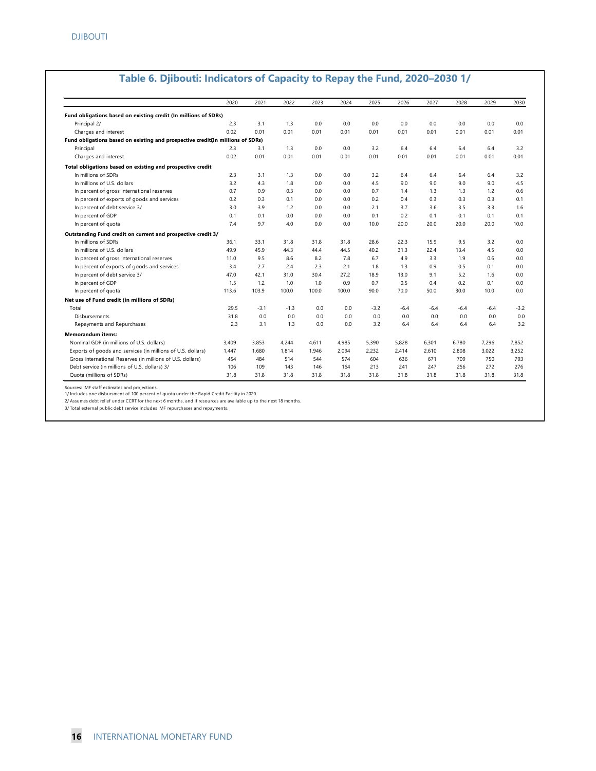|                                                                                | 2020  | 2021   | 2022   | 2023  | 2024  | 2025   | 2026   | 2027   | 2028   | 2029   | 2030   |
|--------------------------------------------------------------------------------|-------|--------|--------|-------|-------|--------|--------|--------|--------|--------|--------|
| Fund obligations based on existing credit (In millions of SDRs)                |       |        |        |       |       |        |        |        |        |        |        |
| Principal 2/                                                                   | 2.3   | 3.1    | 1.3    | 0.0   | 0.0   | 0.0    | 0.0    | 0.0    | 0.0    | 0.0    | 0.0    |
| Charges and interest                                                           | 0.02  | 0.01   | 0.01   | 0.01  | 0.01  | 0.01   | 0.01   | 0.01   | 0.01   | 0.01   | 0.01   |
| Fund obligations based on existing and prospective credit(In millions of SDRs) |       |        |        |       |       |        |        |        |        |        |        |
| Principal                                                                      | 2.3   | 3.1    | 1.3    | 0.0   | 0.0   | 3.2    | 6.4    | 6.4    | 6.4    | 6.4    | 3.2    |
| Charges and interest                                                           | 0.02  | 0.01   | 0.01   | 0.01  | 0.01  | 0.01   | 0.01   | 0.01   | 0.01   | 0.01   | 0.01   |
| Total obligations based on existing and prospective credit                     |       |        |        |       |       |        |        |        |        |        |        |
| In millions of SDRs                                                            | 2.3   | 3.1    | 1.3    | 0.0   | 0.0   | 3.2    | 6.4    | 6.4    | 6.4    | 6.4    | 3.2    |
| In millions of U.S. dollars                                                    | 3.2   | 4.3    | 1.8    | 0.0   | 0.0   | 4.5    | 9.0    | 9.0    | 9.0    | 9.0    | 4.5    |
| In percent of gross international reserves                                     | 0.7   | 0.9    | 0.3    | 0.0   | 0.0   | 0.7    | 1.4    | 1.3    | 1.3    | 1.2    | 0.6    |
| In percent of exports of goods and services                                    | 0.2   | 0.3    | 0.1    | 0.0   | 0.0   | 0.2    | 0.4    | 0.3    | 0.3    | 0.3    | 0.1    |
| In percent of debt service 3/                                                  | 3.0   | 3.9    | 1.2    | 0.0   | 0.0   | 2.1    | 3.7    | 3.6    | 3.5    | 3.3    | 1.6    |
| In percent of GDP                                                              | 0.1   | 0.1    | 0.0    | 0.0   | 0.0   | 0.1    | 0.2    | 0.1    | 0.1    | 0.1    | 0.1    |
| In percent of quota                                                            | 7.4   | 9.7    | 4.0    | 0.0   | 0.0   | 10.0   | 20.0   | 20.0   | 20.0   | 20.0   | 10.0   |
| Outstanding Fund credit on current and prospective credit 3/                   |       |        |        |       |       |        |        |        |        |        |        |
| In millions of SDRs                                                            | 36.1  | 33.1   | 31.8   | 31.8  | 31.8  | 28.6   | 22.3   | 15.9   | 9.5    | 3.2    | 0.0    |
| In millions of U.S. dollars                                                    | 49.9  | 45.9   | 44.3   | 44.4  | 44.5  | 40.2   | 31.3   | 22.4   | 13.4   | 4.5    | 0.0    |
| In percent of gross international reserves                                     | 11.0  | 9.5    | 8.6    | 8.2   | 7.8   | 6.7    | 4.9    | 3.3    | 1.9    | 0.6    | 0.0    |
| In percent of exports of goods and services                                    | 3.4   | 2.7    | 2.4    | 2.3   | 2.1   | 1.8    | 1.3    | 0.9    | 0.5    | 0.1    | 0.0    |
| In percent of debt service 3/                                                  | 47.0  | 42.1   | 31.0   | 30.4  | 27.2  | 18.9   | 13.0   | 9.1    | 5.2    | 1.6    | 0.0    |
| In percent of GDP                                                              | 1.5   | 1.2    | 1.0    | 1.0   | 0.9   | 0.7    | 0.5    | 0.4    | 0.2    | 0.1    | 0.0    |
| In percent of quota                                                            | 113.6 | 103.9  | 100.0  | 100.0 | 100.0 | 90.0   | 70.0   | 50.0   | 30.0   | 10.0   | 0.0    |
| Net use of Fund credit (in millions of SDRs)                                   |       |        |        |       |       |        |        |        |        |        |        |
| Total                                                                          | 29.5  | $-3.1$ | $-1.3$ | 0.0   | 0.0   | $-3.2$ | $-6.4$ | $-6.4$ | $-6.4$ | $-6.4$ | $-3.2$ |
| Disbursements                                                                  | 31.8  | 0.0    | 0.0    | 0.0   | 0.0   | 0.0    | 0.0    | 0.0    | 0.0    | 0.0    | 0.0    |
| Repayments and Repurchases                                                     | 2.3   | 3.1    | 1.3    | 0.0   | 0.0   | 3.2    | 6.4    | 6.4    | 6.4    | 6.4    | 3.2    |
| <b>Memorandum items:</b>                                                       |       |        |        |       |       |        |        |        |        |        |        |
| Nominal GDP (in millions of U.S. dollars)                                      | 3,409 | 3,853  | 4.244  | 4,611 | 4,985 | 5,390  | 5,828  | 6,301  | 6,780  | 7,296  | 7,852  |
| Exports of goods and services (in millions of U.S. dollars)                    | 1.447 | 1,680  | 1.814  | 1,946 | 2,094 | 2,232  | 2,414  | 2,610  | 2,808  | 3,022  | 3,252  |
| Gross International Reserves (in millions of U.S. dollars)                     | 454   | 484    | 514    | 544   | 574   | 604    | 636    | 671    | 709    | 750    | 793    |
| Debt service (in millions of U.S. dollars) 3/                                  | 106   | 109    | 143    | 146   | 164   | 213    | 241    | 247    | 256    | 272    | 276    |
| Quota (millions of SDRs)                                                       | 31.8  | 31.8   | 31.8   | 31.8  | 31.8  | 31.8   | 31.8   | 31.8   | 31.8   | 31.8   | 31.8   |

#### **Table 6. Djibouti: Indicators of Capacity to Repay the Fund, 2020–2030 1/**

Sources: IMF staff estimates and projections.

1/ Includes one disbursment of 100 percent of quota under the Rapid Credit Facility in 2020.<br>2/ Assumes debt relief under CCRT for the next 6 months, and if resources are available up to the next 18 months.

3/ Total external public debt service includes IMF repurchases and repayments.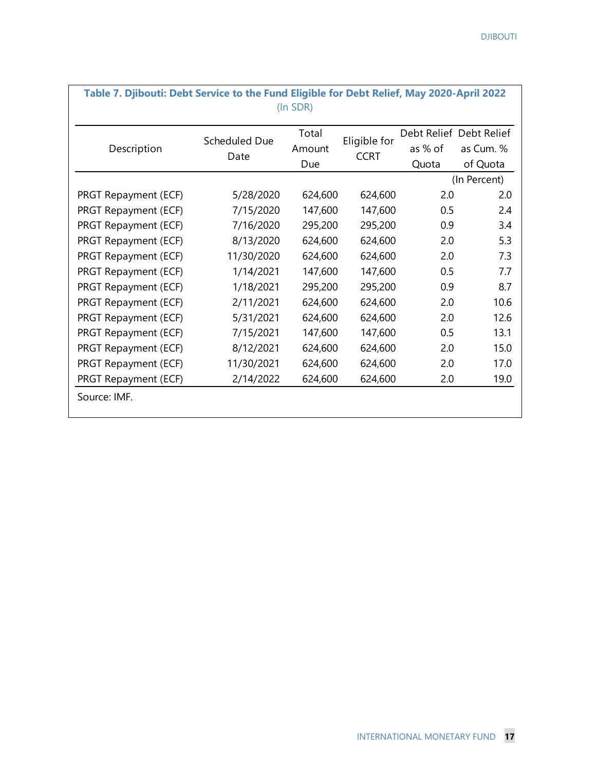| Table 7. Djibouti: Debt Service to the Fund Eligible for Debt Relief, May 2020-April 2022 |               | (In SDR) |              |         |                         |
|-------------------------------------------------------------------------------------------|---------------|----------|--------------|---------|-------------------------|
|                                                                                           | Scheduled Due | Total    | Eligible for |         | Debt Relief Debt Relief |
| Description                                                                               | Date          | Amount   | <b>CCRT</b>  | as % of | as Cum. %               |
|                                                                                           |               | Due      |              | Quota   | of Quota                |
|                                                                                           |               |          |              |         | (In Percent)            |
| PRGT Repayment (ECF)                                                                      | 5/28/2020     | 624,600  | 624,600      | 2.0     | 2.0                     |
| PRGT Repayment (ECF)                                                                      | 7/15/2020     | 147,600  | 147,600      | 0.5     | 2.4                     |
| PRGT Repayment (ECF)                                                                      | 7/16/2020     | 295,200  | 295,200      | 0.9     | 3.4                     |
| PRGT Repayment (ECF)                                                                      | 8/13/2020     | 624,600  | 624,600      | 2.0     | 5.3                     |
| PRGT Repayment (ECF)                                                                      | 11/30/2020    | 624,600  | 624,600      | 2.0     | 7.3                     |
| PRGT Repayment (ECF)                                                                      | 1/14/2021     | 147,600  | 147,600      | 0.5     | 7.7                     |
| PRGT Repayment (ECF)                                                                      | 1/18/2021     | 295,200  | 295,200      | 0.9     | 8.7                     |
| PRGT Repayment (ECF)                                                                      | 2/11/2021     | 624,600  | 624,600      | 2.0     | 10.6                    |
| PRGT Repayment (ECF)                                                                      | 5/31/2021     | 624,600  | 624,600      | 2.0     | 12.6                    |
| PRGT Repayment (ECF)                                                                      | 7/15/2021     | 147,600  | 147,600      | 0.5     | 13.1                    |
| PRGT Repayment (ECF)                                                                      | 8/12/2021     | 624,600  | 624,600      | 2.0     | 15.0                    |
| PRGT Repayment (ECF)                                                                      | 11/30/2021    | 624,600  | 624,600      | 2.0     | 17.0                    |
| PRGT Repayment (ECF)                                                                      | 2/14/2022     | 624,600  | 624,600      | 2.0     | 19.0                    |
| Source: IMF.                                                                              |               |          |              |         |                         |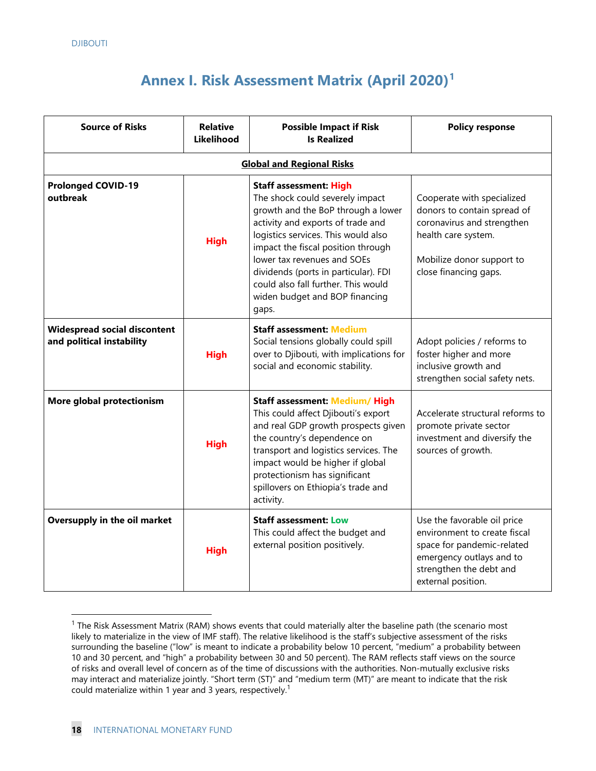# **Annex I. Risk Assessment Matrix (April 2020) [1](#page-20-0)**

| <b>Source of Risks</b>                                    | <b>Relative</b><br><b>Likelihood</b> | <b>Possible Impact if Risk</b><br><b>Is Realized</b>                                                                                                                                                                                                                                                                                                                              | <b>Policy response</b>                                                                                                                                                 |
|-----------------------------------------------------------|--------------------------------------|-----------------------------------------------------------------------------------------------------------------------------------------------------------------------------------------------------------------------------------------------------------------------------------------------------------------------------------------------------------------------------------|------------------------------------------------------------------------------------------------------------------------------------------------------------------------|
|                                                           |                                      | <b>Global and Regional Risks</b>                                                                                                                                                                                                                                                                                                                                                  |                                                                                                                                                                        |
| <b>Prolonged COVID-19</b><br>outbreak                     | <b>High</b>                          | <b>Staff assessment: High</b><br>The shock could severely impact<br>growth and the BoP through a lower<br>activity and exports of trade and<br>logistics services. This would also<br>impact the fiscal position through<br>lower tax revenues and SOEs<br>dividends (ports in particular). FDI<br>could also fall further. This would<br>widen budget and BOP financing<br>gaps. | Cooperate with specialized<br>donors to contain spread of<br>coronavirus and strengthen<br>health care system.<br>Mobilize donor support to<br>close financing gaps.   |
| Widespread social discontent<br>and political instability | <b>High</b>                          | <b>Staff assessment: Medium</b><br>Social tensions globally could spill<br>over to Djibouti, with implications for<br>social and economic stability.                                                                                                                                                                                                                              | Adopt policies / reforms to<br>foster higher and more<br>inclusive growth and<br>strengthen social safety nets.                                                        |
| More global protectionism                                 | <b>High</b>                          | <b>Staff assessment: Medium/ High</b><br>This could affect Djibouti's export<br>and real GDP growth prospects given<br>the country's dependence on<br>transport and logistics services. The<br>impact would be higher if global<br>protectionism has significant<br>spillovers on Ethiopia's trade and<br>activity.                                                               | Accelerate structural reforms to<br>promote private sector<br>investment and diversify the<br>sources of growth.                                                       |
| Oversupply in the oil market                              | <b>High</b>                          | <b>Staff assessment: Low</b><br>This could affect the budget and<br>external position positively.                                                                                                                                                                                                                                                                                 | Use the favorable oil price<br>environment to create fiscal<br>space for pandemic-related<br>emergency outlays and to<br>strengthen the debt and<br>external position. |

<span id="page-20-0"></span> $1$  The Risk Assessment Matrix (RAM) shows events that could materially alter the baseline path (the scenario most likely to materialize in the view of IMF staff). The relative likelihood is the staff's subjective assessment of the risks surrounding the baseline ("low" is meant to indicate a probability below 10 percent, "medium" a probability between 10 and 30 percent, and "high" a probability between 30 and 50 percent). The RAM reflects staff views on the source of risks and overall level of concern as of the time of discussions with the authorities. Non-mutually exclusive risks may interact and materialize jointly. "Short term (ST)" and "medium term (MT)" are meant to indicate that the risk could materialize within 1 year and 3 years, respectively.<sup>1</sup>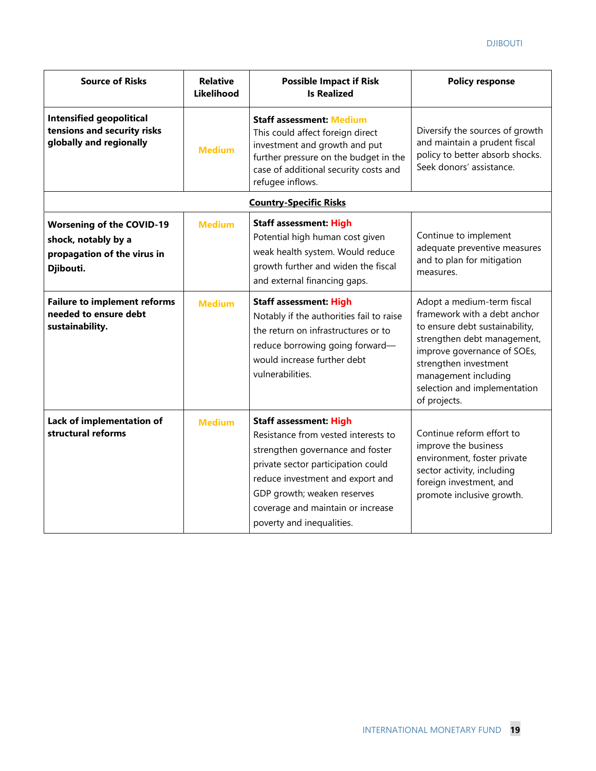| <b>Source of Risks</b>                                                                              | <b>Relative</b><br>Likelihood | <b>Possible Impact if Risk</b><br><b>Is Realized</b>                                                                                                                                                                                                                                | <b>Policy response</b>                                                                                                                                                                                                                                      |
|-----------------------------------------------------------------------------------------------------|-------------------------------|-------------------------------------------------------------------------------------------------------------------------------------------------------------------------------------------------------------------------------------------------------------------------------------|-------------------------------------------------------------------------------------------------------------------------------------------------------------------------------------------------------------------------------------------------------------|
| <b>Intensified geopolitical</b><br>tensions and security risks<br>globally and regionally           | <b>Medium</b>                 | <b>Staff assessment: Medium</b><br>This could affect foreign direct<br>investment and growth and put<br>further pressure on the budget in the<br>case of additional security costs and<br>refugee inflows.                                                                          | Diversify the sources of growth<br>and maintain a prudent fiscal<br>policy to better absorb shocks.<br>Seek donors' assistance.                                                                                                                             |
|                                                                                                     |                               | <b>Country-Specific Risks</b>                                                                                                                                                                                                                                                       |                                                                                                                                                                                                                                                             |
| <b>Worsening of the COVID-19</b><br>shock, notably by a<br>propagation of the virus in<br>Djibouti. | <b>Medium</b>                 | <b>Staff assessment: High</b><br>Potential high human cost given<br>weak health system. Would reduce<br>growth further and widen the fiscal<br>and external financing gaps.                                                                                                         | Continue to implement<br>adequate preventive measures<br>and to plan for mitigation<br>measures.                                                                                                                                                            |
| <b>Failure to implement reforms</b><br>needed to ensure debt<br>sustainability.                     | <b>Medium</b>                 | <b>Staff assessment: High</b><br>Notably if the authorities fail to raise<br>the return on infrastructures or to<br>reduce borrowing going forward-<br>would increase further debt<br>vulnerabilities.                                                                              | Adopt a medium-term fiscal<br>framework with a debt anchor<br>to ensure debt sustainability,<br>strengthen debt management,<br>improve governance of SOEs,<br>strengthen investment<br>management including<br>selection and implementation<br>of projects. |
| Lack of implementation of<br>structural reforms                                                     | <b>Medium</b>                 | <b>Staff assessment: High</b><br>Resistance from vested interests to<br>strengthen governance and foster<br>private sector participation could<br>reduce investment and export and<br>GDP growth; weaken reserves<br>coverage and maintain or increase<br>poverty and inequalities. | Continue reform effort to<br>improve the business<br>environment, foster private<br>sector activity, including<br>foreign investment, and<br>promote inclusive growth.                                                                                      |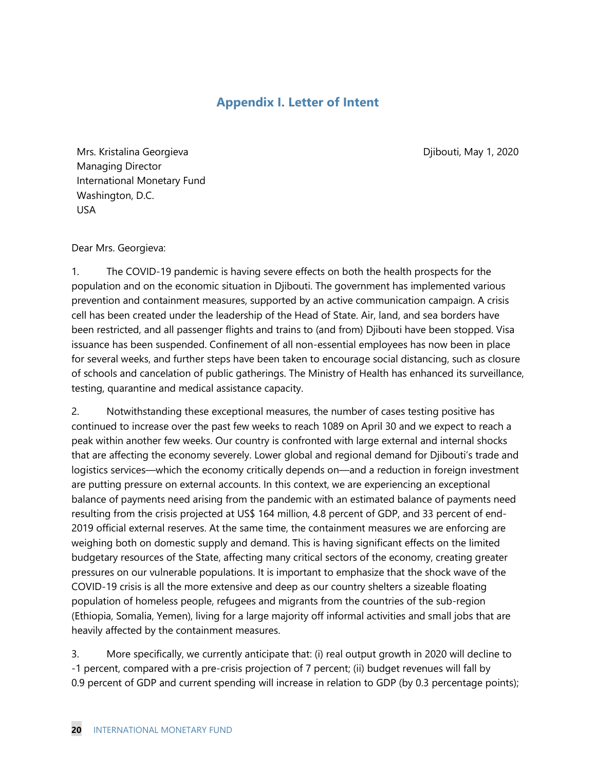# **Appendix I. Letter of Intent**

Djibouti, May 1, 2020

Mrs. Kristalina Georgieva Managing Director International Monetary Fund Washington, D.C. USA

#### Dear Mrs. Georgieva:

1. The COVID-19 pandemic is having severe effects on both the health prospects for the population and on the economic situation in Djibouti. The government has implemented various prevention and containment measures, supported by an active communication campaign. A crisis cell has been created under the leadership of the Head of State. Air, land, and sea borders have been restricted, and all passenger flights and trains to (and from) Djibouti have been stopped. Visa issuance has been suspended. Confinement of all non-essential employees has now been in place for several weeks, and further steps have been taken to encourage social distancing, such as closure of schools and cancelation of public gatherings. The Ministry of Health has enhanced its surveillance, testing, quarantine and medical assistance capacity.

2. Notwithstanding these exceptional measures, the number of cases testing positive has continued to increase over the past few weeks to reach 1089 on April 30 and we expect to reach a peak within another few weeks. Our country is confronted with large external and internal shocks that are affecting the economy severely. Lower global and regional demand for Djibouti's trade and logistics services—which the economy critically depends on—and a reduction in foreign investment are putting pressure on external accounts. In this context, we are experiencing an exceptional balance of payments need arising from the pandemic with an estimated balance of payments need resulting from the crisis projected at US\$ 164 million, 4.8 percent of GDP, and 33 percent of end-2019 official external reserves. At the same time, the containment measures we are enforcing are weighing both on domestic supply and demand. This is having significant effects on the limited budgetary resources of the State, affecting many critical sectors of the economy, creating greater pressures on our vulnerable populations. It is important to emphasize that the shock wave of the COVID-19 crisis is all the more extensive and deep as our country shelters a sizeable floating population of homeless people, refugees and migrants from the countries of the sub-region (Ethiopia, Somalia, Yemen), living for a large majority off informal activities and small jobs that are heavily affected by the containment measures.

3. More specifically, we currently anticipate that: (i) real output growth in 2020 will decline to -1 percent, compared with a pre-crisis projection of 7 percent; (ii) budget revenues will fall by 0.9 percent of GDP and current spending will increase in relation to GDP (by 0.3 percentage points);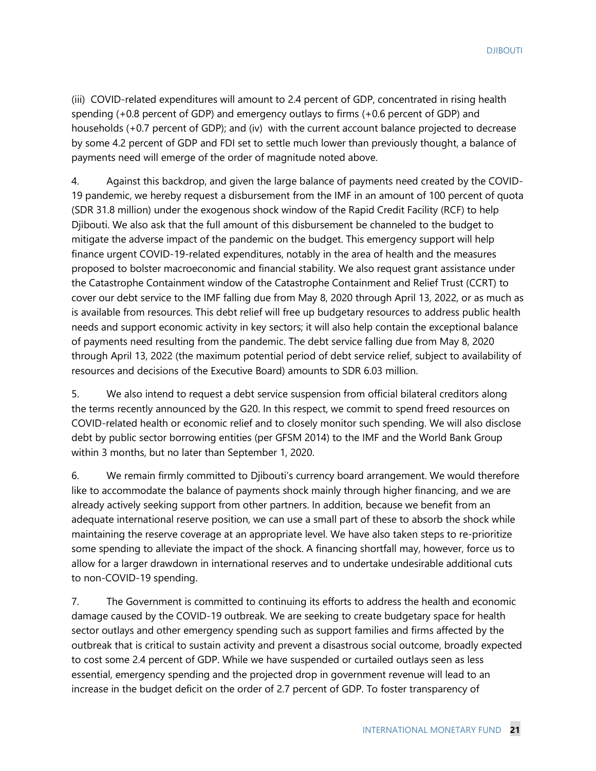(iii) COVID-related expenditures will amount to 2.4 percent of GDP, concentrated in rising health spending (+0.8 percent of GDP) and emergency outlays to firms (+0.6 percent of GDP) and households (+0.7 percent of GDP); and (iv) with the current account balance projected to decrease by some 4.2 percent of GDP and FDI set to settle much lower than previously thought, a balance of payments need will emerge of the order of magnitude noted above.

4. Against this backdrop, and given the large balance of payments need created by the COVID-19 pandemic, we hereby request a disbursement from the IMF in an amount of 100 percent of quota (SDR 31.8 million) under the exogenous shock window of the Rapid Credit Facility (RCF) to help Djibouti. We also ask that the full amount of this disbursement be channeled to the budget to mitigate the adverse impact of the pandemic on the budget. This emergency support will help finance urgent COVID-19-related expenditures, notably in the area of health and the measures proposed to bolster macroeconomic and financial stability. We also request grant assistance under the Catastrophe Containment window of the Catastrophe Containment and Relief Trust (CCRT) to cover our debt service to the IMF falling due from May 8, 2020 through April 13, 2022, or as much as is available from resources. This debt relief will free up budgetary resources to address public health needs and support economic activity in key sectors; it will also help contain the exceptional balance of payments need resulting from the pandemic. The debt service falling due from May 8, 2020 through April 13, 2022 (the maximum potential period of debt service relief, subject to availability of resources and decisions of the Executive Board) amounts to SDR 6.03 million.

5. We also intend to request a debt service suspension from official bilateral creditors along the terms recently announced by the G20. In this respect, we commit to spend freed resources on COVID-related health or economic relief and to closely monitor such spending. We will also disclose debt by public sector borrowing entities (per GFSM 2014) to the IMF and the World Bank Group within 3 months, but no later than September 1, 2020.

6. We remain firmly committed to Djibouti's currency board arrangement. We would therefore like to accommodate the balance of payments shock mainly through higher financing, and we are already actively seeking support from other partners. In addition, because we benefit from an adequate international reserve position, we can use a small part of these to absorb the shock while maintaining the reserve coverage at an appropriate level. We have also taken steps to re-prioritize some spending to alleviate the impact of the shock. A financing shortfall may, however, force us to allow for a larger drawdown in international reserves and to undertake undesirable additional cuts to non-COVID-19 spending.

7. The Government is committed to continuing its efforts to address the health and economic damage caused by the COVID-19 outbreak. We are seeking to create budgetary space for health sector outlays and other emergency spending such as support families and firms affected by the outbreak that is critical to sustain activity and prevent a disastrous social outcome, broadly expected to cost some 2.4 percent of GDP. While we have suspended or curtailed outlays seen as less essential, emergency spending and the projected drop in government revenue will lead to an increase in the budget deficit on the order of 2.7 percent of GDP. To foster transparency of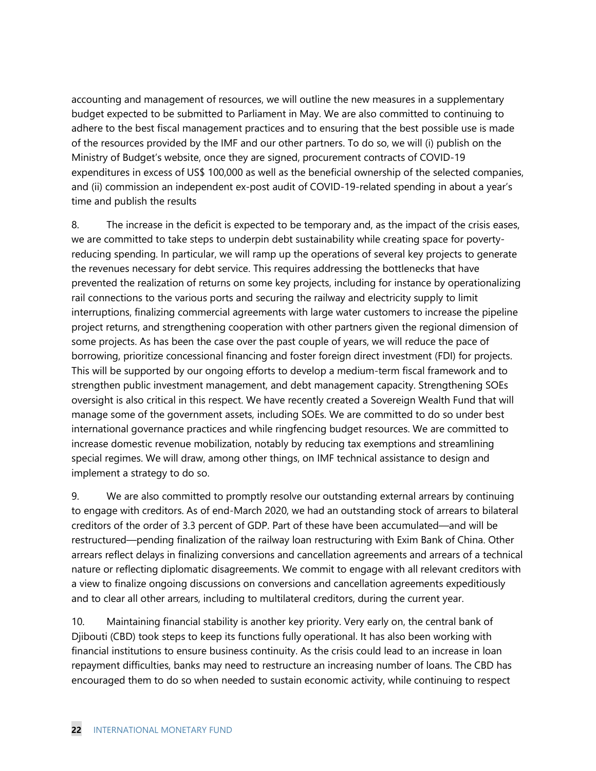accounting and management of resources, we will outline the new measures in a supplementary budget expected to be submitted to Parliament in May. We are also committed to continuing to adhere to the best fiscal management practices and to ensuring that the best possible use is made of the resources provided by the IMF and our other partners. To do so, we will (i) publish on the Ministry of Budget's website, once they are signed, procurement contracts of COVID-19 expenditures in excess of US\$ 100,000 as well as the beneficial ownership of the selected companies, and (ii) commission an independent ex-post audit of COVID-19-related spending in about a year's time and publish the results

8. The increase in the deficit is expected to be temporary and, as the impact of the crisis eases, we are committed to take steps to underpin debt sustainability while creating space for povertyreducing spending. In particular, we will ramp up the operations of several key projects to generate the revenues necessary for debt service. This requires addressing the bottlenecks that have prevented the realization of returns on some key projects, including for instance by operationalizing rail connections to the various ports and securing the railway and electricity supply to limit interruptions, finalizing commercial agreements with large water customers to increase the pipeline project returns, and strengthening cooperation with other partners given the regional dimension of some projects. As has been the case over the past couple of years, we will reduce the pace of borrowing, prioritize concessional financing and foster foreign direct investment (FDI) for projects. This will be supported by our ongoing efforts to develop a medium-term fiscal framework and to strengthen public investment management, and debt management capacity. Strengthening SOEs oversight is also critical in this respect. We have recently created a Sovereign Wealth Fund that will manage some of the government assets, including SOEs. We are committed to do so under best international governance practices and while ringfencing budget resources. We are committed to increase domestic revenue mobilization, notably by reducing tax exemptions and streamlining special regimes. We will draw, among other things, on IMF technical assistance to design and implement a strategy to do so.

9. We are also committed to promptly resolve our outstanding external arrears by continuing to engage with creditors. As of end-March 2020, we had an outstanding stock of arrears to bilateral creditors of the order of 3.3 percent of GDP. Part of these have been accumulated—and will be restructured—pending finalization of the railway loan restructuring with Exim Bank of China. Other arrears reflect delays in finalizing conversions and cancellation agreements and arrears of a technical nature or reflecting diplomatic disagreements. We commit to engage with all relevant creditors with a view to finalize ongoing discussions on conversions and cancellation agreements expeditiously and to clear all other arrears, including to multilateral creditors, during the current year.

10. Maintaining financial stability is another key priority. Very early on, the central bank of Djibouti (CBD) took steps to keep its functions fully operational. It has also been working with financial institutions to ensure business continuity. As the crisis could lead to an increase in loan repayment difficulties, banks may need to restructure an increasing number of loans. The CBD has encouraged them to do so when needed to sustain economic activity, while continuing to respect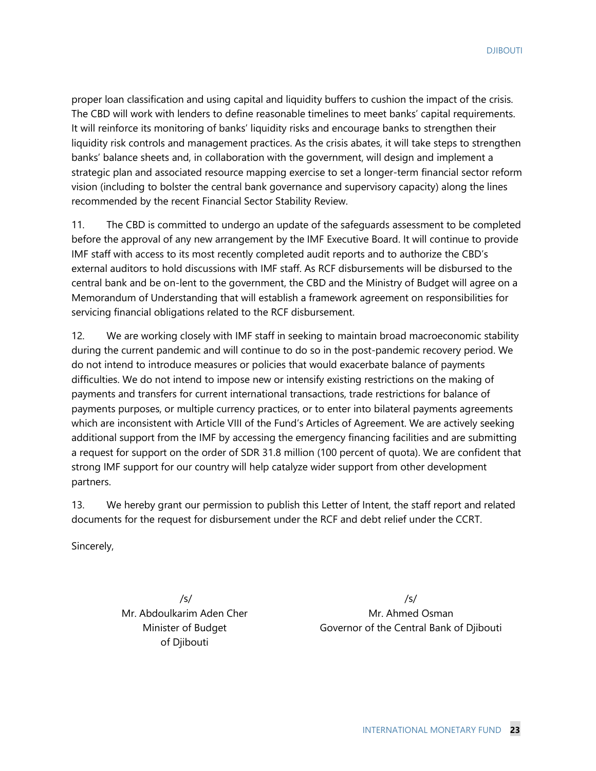proper loan classification and using capital and liquidity buffers to cushion the impact of the crisis. The CBD will work with lenders to define reasonable timelines to meet banks' capital requirements. It will reinforce its monitoring of banks' liquidity risks and encourage banks to strengthen their liquidity risk controls and management practices. As the crisis abates, it will take steps to strengthen banks' balance sheets and, in collaboration with the government, will design and implement a strategic plan and associated resource mapping exercise to set a longer-term financial sector reform vision (including to bolster the central bank governance and supervisory capacity) along the lines recommended by the recent Financial Sector Stability Review.

11. The CBD is committed to undergo an update of the safeguards assessment to be completed before the approval of any new arrangement by the IMF Executive Board. It will continue to provide IMF staff with access to its most recently completed audit reports and to authorize the CBD's external auditors to hold discussions with IMF staff. As RCF disbursements will be disbursed to the central bank and be on-lent to the government, the CBD and the Ministry of Budget will agree on a Memorandum of Understanding that will establish a framework agreement on responsibilities for servicing financial obligations related to the RCF disbursement.

12. We are working closely with IMF staff in seeking to maintain broad macroeconomic stability during the current pandemic and will continue to do so in the post-pandemic recovery period. We do not intend to introduce measures or policies that would exacerbate balance of payments difficulties. We do not intend to impose new or intensify existing restrictions on the making of payments and transfers for current international transactions, trade restrictions for balance of payments purposes, or multiple currency practices, or to enter into bilateral payments agreements which are inconsistent with Article VIII of the Fund's Articles of Agreement. We are actively seeking additional support from the IMF by accessing the emergency financing facilities and are submitting a request for support on the order of SDR 31.8 million (100 percent of quota). We are confident that strong IMF support for our country will help catalyze wider support from other development partners.

13. We hereby grant our permission to publish this Letter of Intent, the staff report and related documents for the request for disbursement under the RCF and debt relief under the CCRT.

Sincerely,

/s/ Mr. Abdoulkarim Aden Cher Minister of Budget of Djibouti

/s/ Mr. Ahmed Osman Governor of the Central Bank of Djibouti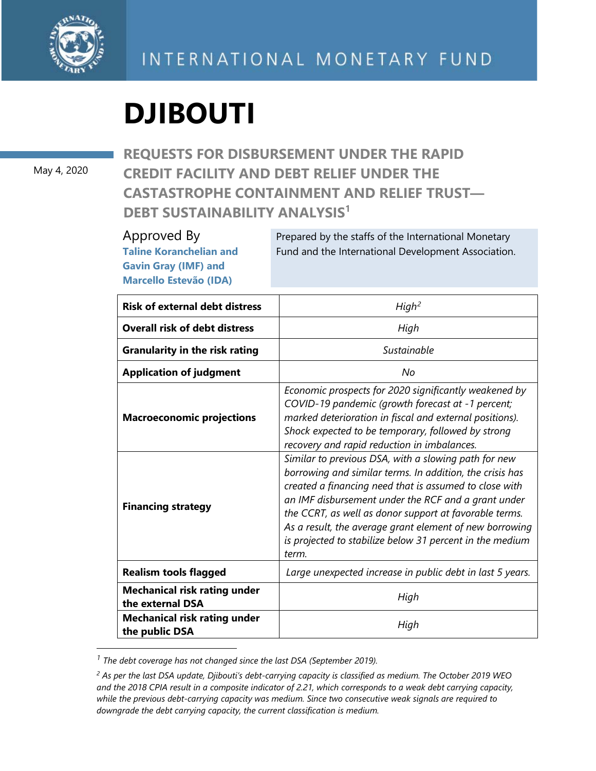

# **DJIBOUTI**

May 4, 2020

**REQUESTS FOR DISBURSEMENT UNDER THE RAPID CREDIT FACILITY AND DEBT RELIEF UNDER THE CASTASTROPHE CONTAINMENT AND RELIEF TRUST— DEBT SUSTAINABILITY ANALYSIS<sup>1</sup>**

### Approved By **Taline Koranchelian and Gavin Gray (IMF) and Marcello Estevão (IDA)**

Prepared by the staffs of the International Monetary Fund and the International Development Association.

| <b>Risk of external debt distress</b>                   | High <sup>2</sup>                                                                                                                                                                                                                                                                                                                                                                                                           |
|---------------------------------------------------------|-----------------------------------------------------------------------------------------------------------------------------------------------------------------------------------------------------------------------------------------------------------------------------------------------------------------------------------------------------------------------------------------------------------------------------|
| <b>Overall risk of debt distress</b>                    | High                                                                                                                                                                                                                                                                                                                                                                                                                        |
| <b>Granularity in the risk rating</b>                   | Sustainable                                                                                                                                                                                                                                                                                                                                                                                                                 |
| <b>Application of judgment</b>                          | No                                                                                                                                                                                                                                                                                                                                                                                                                          |
| <b>Macroeconomic projections</b>                        | Economic prospects for 2020 significantly weakened by<br>COVID-19 pandemic (growth forecast at -1 percent;<br>marked deterioration in fiscal and external positions).<br>Shock expected to be temporary, followed by strong<br>recovery and rapid reduction in imbalances.                                                                                                                                                  |
| <b>Financing strategy</b>                               | Similar to previous DSA, with a slowing path for new<br>borrowing and similar terms. In addition, the crisis has<br>created a financing need that is assumed to close with<br>an IMF disbursement under the RCF and a grant under<br>the CCRT, as well as donor support at favorable terms.<br>As a result, the average grant element of new borrowing<br>is projected to stabilize below 31 percent in the medium<br>term. |
| <b>Realism tools flagged</b>                            | Large unexpected increase in public debt in last 5 years.                                                                                                                                                                                                                                                                                                                                                                   |
| <b>Mechanical risk rating under</b><br>the external DSA | High                                                                                                                                                                                                                                                                                                                                                                                                                        |
| <b>Mechanical risk rating under</b><br>the public DSA   | High                                                                                                                                                                                                                                                                                                                                                                                                                        |

<span id="page-26-0"></span>*<sup>1</sup> The debt coverage has not changed since the last DSA (September 2019).*

*<sup>2</sup> As per the last DSA update, Djibouti's debt-carrying capacity is classified as medium. The October 2019 WEO and the 2018 CPIA result in a composite indicator of 2.21, which corresponds to a weak debt carrying capacity, while the previous debt-carrying capacity was medium. Since two consecutive weak signals are required to downgrade the debt carrying capacity, the current classification is medium.*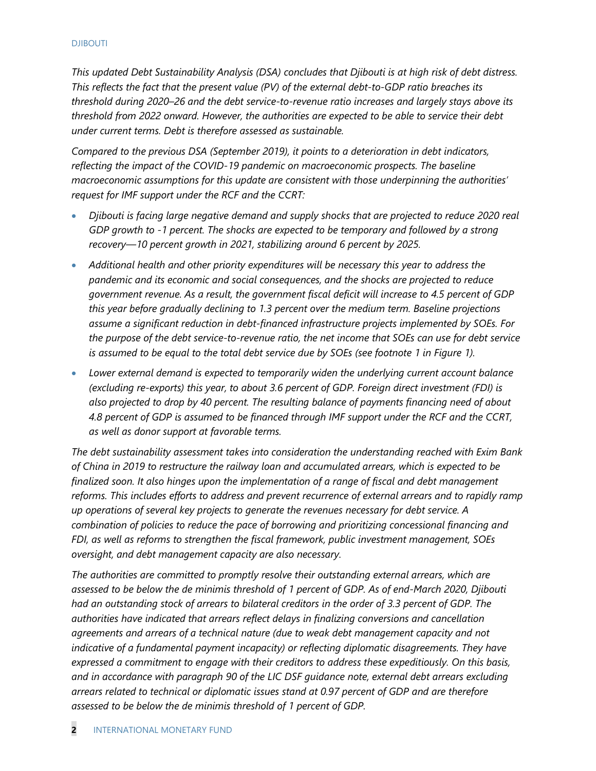*This updated Debt Sustainability Analysis (DSA) concludes that Djibouti is at high risk of debt distress. This reflects the fact that the present value (PV) of the external debt-to-GDP ratio breaches its threshold during 2020–26 and the debt service-to-revenue ratio increases and largely stays above its threshold from 2022 onward. However, the authorities are expected to be able to service their debt under current terms. Debt is therefore assessed as sustainable.*

*Compared to the previous DSA (September 2019), it points to a deterioration in debt indicators, reflecting the impact of the COVID-19 pandemic on macroeconomic prospects. The baseline macroeconomic assumptions for this update are consistent with those underpinning the authorities' request for IMF support under the RCF and the CCRT:*

- *Djibouti is facing large negative demand and supply shocks that are projected to reduce 2020 real GDP growth to -1 percent. The shocks are expected to be temporary and followed by a strong recovery—10 percent growth in 2021, stabilizing around 6 percent by 2025.*
- *Additional health and other priority expenditures will be necessary this year to address the pandemic and its economic and social consequences, and the shocks are projected to reduce government revenue. As a result, the government fiscal deficit will increase to 4.5 percent of GDP this year before gradually declining to 1.3 percent over the medium term. Baseline projections assume a significant reduction in debt-financed infrastructure projects implemented by SOEs. For the purpose of the debt service-to-revenue ratio, the net income that SOEs can use for debt service is assumed to be equal to the total debt service due by SOEs (see footnote 1 in Figure 1).*
- *Lower external demand is expected to temporarily widen the underlying current account balance (excluding re-exports) this year, to about 3.6 percent of GDP. Foreign direct investment (FDI) is also projected to drop by 40 percent. The resulting balance of payments financing need of about 4.8 percent of GDP is assumed to be financed through IMF support under the RCF and the CCRT, as well as donor support at favorable terms.*

*The debt sustainability assessment takes into consideration the understanding reached with Exim Bank of China in 2019 to restructure the railway loan and accumulated arrears, which is expected to be finalized soon. It also hinges upon the implementation of a range of fiscal and debt management reforms. This includes efforts to address and prevent recurrence of external arrears and to rapidly ramp up operations of several key projects to generate the revenues necessary for debt service. A combination of policies to reduce the pace of borrowing and prioritizing concessional financing and FDI, as well as reforms to strengthen the fiscal framework, public investment management, SOEs oversight, and debt management capacity are also necessary.* 

*The authorities are committed to promptly resolve their outstanding external arrears, which are assessed to be below the de minimis threshold of 1 percent of GDP. As of end-March 2020, Djibouti had an outstanding stock of arrears to bilateral creditors in the order of 3.3 percent of GDP. The authorities have indicated that arrears reflect delays in finalizing conversions and cancellation agreements and arrears of a technical nature (due to weak debt management capacity and not*  indicative of a fundamental payment incapacity) or reflecting diplomatic disagreements. They have *expressed a commitment to engage with their creditors to address these expeditiously. On this basis, and in accordance with paragraph 90 of the LIC DSF guidance note, external debt arrears excluding arrears related to technical or diplomatic issues stand at 0.97 percent of GDP and are therefore assessed to be below the de minimis threshold of 1 percent of GDP.*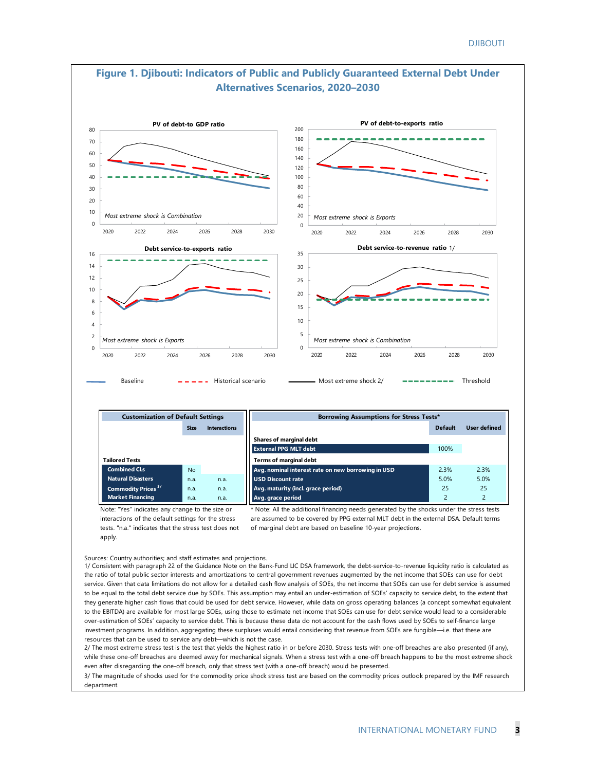

to the EBITDA) are available for most large SOEs, using those to estimate net income that SOEs can use for debt service would lead to a considerable over-estimation of SOEs' capacity to service debt. This is because these data do not account for the cash flows used by SOEs to self-finance large investment programs. In addition, aggregating these surpluses would entail considering that revenue from SOEs are fungible—i.e. that these are resources that can be used to service any debt—which is not the case.

2/ The most extreme stress test is the test that yields the highest ratio in or before 2030. Stress tests with one-off breaches are also presented (if any), while these one-off breaches are deemed away for mechanical signals. When a stress test with a one-off breach happens to be the most extreme shock even after disregarding the one-off breach, only that stress test (with a one-off breach) would be presented.

3/ The magnitude of shocks used for the commodity price shock stress test are based on the commodity prices outlook prepared by the IMF research department.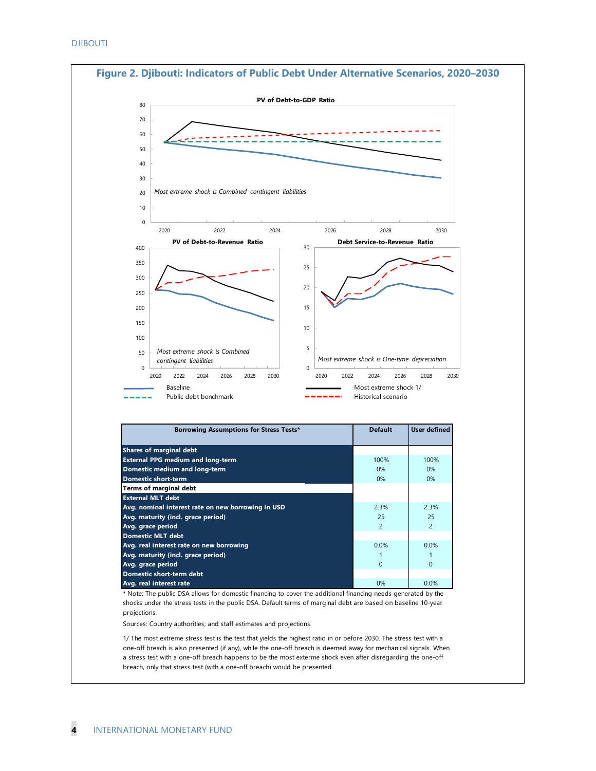

\* Note: The public DSA allows for domestic financing to cover the additional financing needs generated by the shocks under the stress tests in the public DSA. Default terms of marginal debt are based on baseline 10-year projections.

Sources: Country authorities; and staff estimates and projections.

1/ The most extreme stress test is the test that yields the highest ratio in or before 2030. The stress test with a one-off breach is also presented (if any), while the one-off breach is deemed away for mechanical signals. When a stress test with a one-off breach happens to be the most exterme shock even after disregarding the one-off breach, only that stress test (with a one-off breach) would be presented.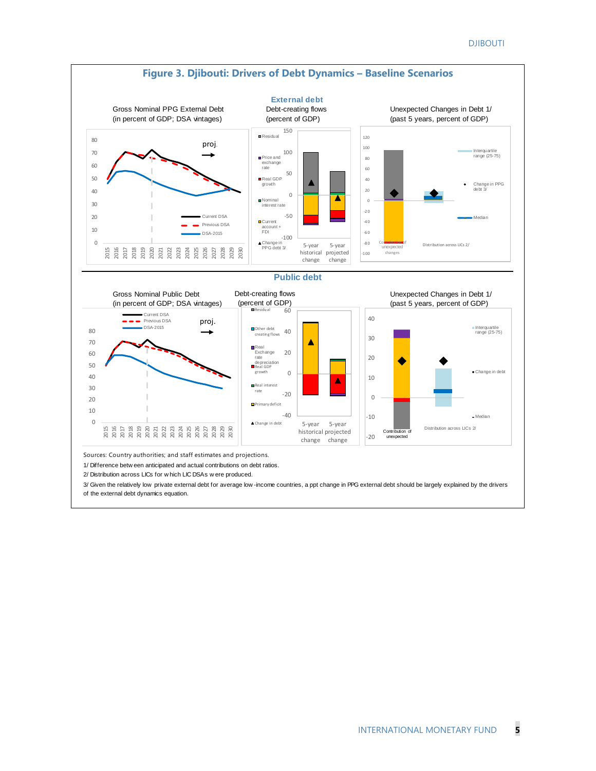

2/ Distribution across LICs for w hich LIC DSAs w ere produced.

3/ Given the relatively low private external debt for average low -income countries, a ppt change in PPG external debt should be largely explained by the drivers of the external debt dynamics equation.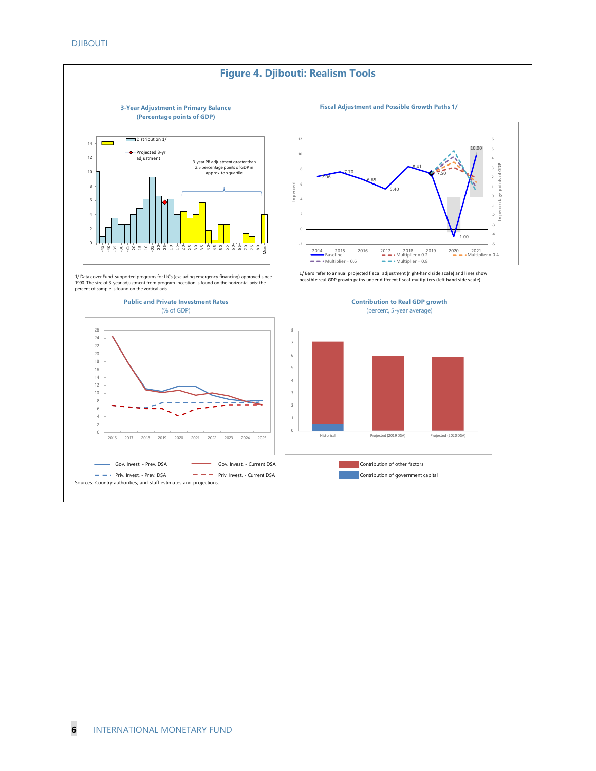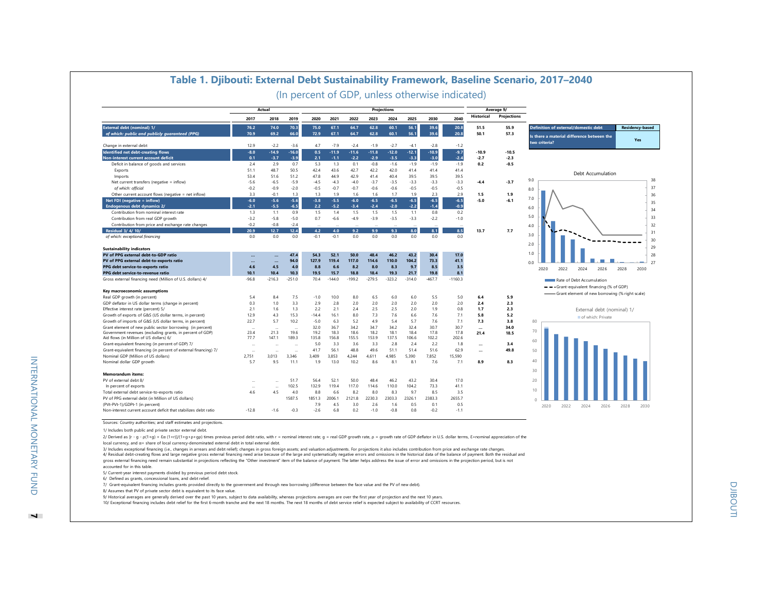|                                                                                                                                                                                                                                                 |               | Actual            |                   |            |                   |                   |                   | <b>Projections</b> |                   |                   |                  |                   | Average 9/        |                                                                       |
|-------------------------------------------------------------------------------------------------------------------------------------------------------------------------------------------------------------------------------------------------|---------------|-------------------|-------------------|------------|-------------------|-------------------|-------------------|--------------------|-------------------|-------------------|------------------|-------------------|-------------------|-----------------------------------------------------------------------|
|                                                                                                                                                                                                                                                 | 2017          | 2018              | 2019              | 2020       | 2021              | 2022              | 2023              | 2024               | 2025              | 2030              | 2040             | Historical        | Projections       |                                                                       |
| External debt (nominal) 1/                                                                                                                                                                                                                      | 76.2          | 74.0              | 70.3              | 75.0       | 67.1              | 64.7              | 62.8              | 60.1               | 56.1              | 39.6              | 20.8             | 51.5              | 55.9              | <b>Definition of external/domestic debt</b><br><b>Residency-based</b> |
| of which: public and publicly guaranteed (PPG)                                                                                                                                                                                                  | 70.9          | 69.2              | 66.0              | 72.9       | 67.1              | 64.7              | 62.8              | 60.1               | 56.1              | 39.6              | 20.8             | 50.1              | 57.3              | Is there a material difference between the                            |
|                                                                                                                                                                                                                                                 |               |                   |                   |            |                   |                   |                   |                    |                   |                   |                  |                   |                   | Yes<br>two criteria?                                                  |
| Change in external debt                                                                                                                                                                                                                         | 12.9          | $-2.2$            | $-3.6$            | 4.7        | $-7.9$            | $-2.4$            | $-1.9$            | $-2.7$             | $-4.1$            | $-2.8$            | $-1.2$           |                   |                   |                                                                       |
| Identified net debt-creating flows<br>Non-interest current account deficit                                                                                                                                                                      | $-8.0$<br>0.1 | $-14.9$<br>$-3.7$ | $-16.0$<br>$-3.9$ | 0.5<br>2.1 | $-11.9$<br>$-1.1$ | $-11.6$<br>$-2.2$ | $-11.8$<br>$-2.9$ | $-12.0$<br>$-3.5$  | $-12.1$<br>$-3.3$ | $-10.9$<br>$-3.0$ | $-9.7$<br>$-2.4$ | $-10.9$<br>$-2.7$ | $-10.5$<br>$-2.3$ |                                                                       |
| Deficit in balance of goods and services                                                                                                                                                                                                        | 2.4           | 2.9               | 0.7               | 5.3        | 1.3               | 0.1               | $-0.8$            | $-1.6$             | $-1.9$            | $-1.9$            | $-1.9$           | 0.2               | $-0.5$            |                                                                       |
| Exports                                                                                                                                                                                                                                         | 51.1          | 48.7              | 50.5              | 42.4       | 43.6              | 42.7              | 42.2              | 42.0               | 41.4              | 41.4              | 41.4             |                   |                   |                                                                       |
| Imports                                                                                                                                                                                                                                         | 53.4          | 51.6              | 51.2              | 47.8       | 44.9              | 42.9              | 41.4              | 40.4               | 39.5              | 39.5              | 39.5             |                   |                   | Debt Accumulation                                                     |
| Net current transfers (negative = inflow)                                                                                                                                                                                                       | $-5.6$        | $-6.5$            | $-5.9$            | $-4.5$     | $-4.3$            | $-4.0$            | $-3.7$            | $-3.5$             | $-3.3$            | $-3.3$            | $-3.3$           | $-4.4$            | $-3.7$            | 38<br>9.0                                                             |
| of which: official                                                                                                                                                                                                                              | $-0.2$        | $-0.9$            | $-2.0$            | $-0.5$     | $-0.7$            | $-0.7$            | $-0.6$            | $-0.6$             | $-0.5$            | $-0.5$            | $-0.5$           |                   |                   | 37<br>8.0                                                             |
| Other current account flows (negative = net inflow)                                                                                                                                                                                             | 3.3           | $-0.1$            | 1.3               | 1.3        | 1.9               | 1.6               | 1.6               | 1.7                | 1.9               | 2.3               | 2.9              | 1.5               | 1.9               | 36                                                                    |
| Net FDI (negative $=$ inflow)                                                                                                                                                                                                                   | $-6.0$        | $-5.6$            | $-5.6$            | $-3.8$     | $-5.5$            | $-6.0$            | $-6.5$            | $-6.5$             | $-6.5$            | $-6.5$            | $-6.5$           | $-5.0$            | $-6.1$            | 7.0                                                                   |
| <b>Endogenous debt dynamics 2/</b>                                                                                                                                                                                                              | $-2.1$        | $-5.5$            | $-6.5$            | 2.2        | $-5.2$            | $-3.4$            | $-2.4$            | $-2.0$             | $-2.2$            | $-1.4$            | $-0.9$           |                   |                   | 35<br>6.0                                                             |
| Contribution from nominal interest rate                                                                                                                                                                                                         | 1.3           | 1.1               | 0.9               | 1.5        | 1.4               | 1.5               | 1.5               | 1.5                | 1.1               | 0.8               | 0.2              |                   |                   | 34                                                                    |
| Contribution from real GDP growth                                                                                                                                                                                                               | $-3.2$        | $-5.8$            | $-5.0$            | 0.7        | $-6.6$            | $-4.9$            | $-3.9$            | $-3.5$             | $-3.3$            | $-2.2$            | $-1.0$           |                   |                   | 5.0<br>33                                                             |
| Contribution from price and exchange rate changes                                                                                                                                                                                               | $-0.2$        | $-0.8$            | $-2.4$            |            |                   |                   |                   |                    |                   |                   |                  |                   |                   | 32<br>4.0                                                             |
| <b>Residual 3/4/10/</b>                                                                                                                                                                                                                         | 20.9          | 12.7              | 12.4              | 4.2        | 4.0               | 9.2               | 9.9               | 9.3                | 8.0               | 8.1               | 8.5              | 13.7              | 7.7               | 31                                                                    |
| of which: exceptional financing                                                                                                                                                                                                                 | 0.0           | 0.0               | 0.0               | $-0.1$     | $-0.1$            | 0.0               | 0.0               | 0.0                | 0.0               | 0.0               | 0.0              |                   |                   | 3.0                                                                   |
|                                                                                                                                                                                                                                                 |               |                   |                   |            |                   |                   |                   |                    |                   |                   |                  |                   |                   | 30<br>2.0                                                             |
| <b>Sustainability indicators</b>                                                                                                                                                                                                                |               |                   |                   |            |                   |                   |                   |                    |                   |                   |                  |                   |                   | 29                                                                    |
| PV of PPG external debt-to-GDP ratio                                                                                                                                                                                                            |               |                   | 47.4              | 54.3       | 52.1              | 50.0              | 48.4              | 46.2               | 43.2              | 30.4              | 17.0             |                   |                   | 1.0<br>28                                                             |
| PV of PPG external debt-to-exports ratio                                                                                                                                                                                                        | $\ddotsc$     |                   | 94.0              | 127.9      | 119.4             | 117.0             | 114.6             | 110.0              | 104.2             | 73.3              | 41.1             |                   |                   | 27<br>0 <sub>0</sub>                                                  |
| PPG debt service-to-exports ratio                                                                                                                                                                                                               | 4.6           | 4.5               | 4.0               | 8.8        | 6.6               | 8.2               | 8.0               |                    |                   |                   |                  |                   |                   |                                                                       |
|                                                                                                                                                                                                                                                 |               |                   |                   |            |                   |                   |                   | 8.3                | 9.7               | 8.5               | 3.5              |                   |                   |                                                                       |
| PPG debt service-to-revenue ratio                                                                                                                                                                                                               | 10.1          | 10.4              | 10.3              | 19.5       | 15.7              | 18.8              | 18.4              | 19.3               | 21.7              | 19.8              | 8.1              |                   |                   | 2022<br>2030<br>2020<br>2024<br>2026<br>2028                          |
| Gross external financing need (Million of U.S. dollars) 4/                                                                                                                                                                                      | $-96.8$       | $-216.3$          | $-251.0$          | 70.4       | $-144.0$          | $-199.2$          | $-279.5$          | $-323.2$           | $-314.0$          | $-467.7$          | $-1160.3$        |                   |                   | Rate of Debt Accumulation                                             |
|                                                                                                                                                                                                                                                 |               |                   |                   |            |                   |                   |                   |                    |                   |                   |                  |                   |                   | -- Grant-equivalent financing (% of GDP)                              |
| Key macroeconomic assumptions                                                                                                                                                                                                                   |               |                   |                   |            |                   |                   |                   |                    |                   |                   |                  |                   |                   |                                                                       |
|                                                                                                                                                                                                                                                 | 5.4           | 8.4               | 7.5               | $-1.0$     | 10.0              | 8.0               | 6.5               | 6.0                | 6.0               | 5.5               | 5.0              | 6.4               | 5.9               | Grant element of new borrowing (% right scale)                        |
|                                                                                                                                                                                                                                                 | 0.3           | 1.0               | 3.3               | 2.9        | 2.8               | 2.0               | 2.0               | 2.0                | 2.0               | 2.0               | 2.0              | 2.4               | 2.3               |                                                                       |
|                                                                                                                                                                                                                                                 | 2.1           | 1.6               | 1.3               | 2.2        | 2.1               | 2.4               | 2.5               | 2.5                | 2.0               | 1.9               | 0.8              | 1.7               | 2.3               | External debt (nominal) 1/                                            |
|                                                                                                                                                                                                                                                 | 12.9          | 4.3               | 15.3              | $-14.4$    | 16.1              | 8.0               | 7.3               | 7.6                | 6.6               | 7.6               | 7.1              | 5.8               | 5.2               | of which: Private                                                     |
| Real GDP growth (in percent)<br>GDP deflator in US dollar terms (change in percent)<br>Effective interest rate (percent) 5/<br>Growth of exports of G&S (US dollar terms, in percent)<br>Growth of imports of G&S (US dollar terms, in percent) | 22.7          | 5.7               | 10.2              | $-5.0$     | 6.3               | 5.2               | 4.9               | 5.4                | 5.7               | 7.6               | 7.1              | 7.3               | 3.8               | 80                                                                    |
| Grant element of new public sector borrowing (in percent)                                                                                                                                                                                       |               |                   |                   | 32.0       | 36.7              | 34.2              | 34.7              | 34.2               | 32.4              | 30.7              | 30.7             | $\ddotsc$         | 34.0              |                                                                       |
|                                                                                                                                                                                                                                                 | 23.4          | 21.3              | 19.6              | 19.2       | 18.3              | 18.6              | 18.2              | 18.1               | 18.4              | 17.8              | 17.8             | 21.4              | 18.5              | 70                                                                    |
|                                                                                                                                                                                                                                                 | 77.7          | 147.1             | 189.3             | 135.8      | 156.8             | 155.5             | 153.9             | 137.5              | 106.6             | 102.2             | 202.6            |                   |                   | 60                                                                    |
|                                                                                                                                                                                                                                                 |               |                   |                   | 5.0        | 3.3               | 3.6               | 3.3               | 2.8                | 2.4               | 2.2               | 1.8              |                   | 3.4               |                                                                       |
| Government revenues (excluding grants, in percent of GDP)<br>Aid flows (in Million of US dollars) 6/<br>Grant-equivalent financing (in percent of GDP) 7/<br>Grant-equivalent financing (in percent of external financing) 7/                   | $\ddotsc$     |                   |                   | 41.7       | 56.1              | 48.8              | 49.6              | 51.1               | 51.4              | 51.6              | 62.9             |                   | 49.8              | 50                                                                    |
| Nominal GDP (Million of US dollars)                                                                                                                                                                                                             | 2,751         | 3,013             | 3,346             | 3,409      | 3,853             | 4,244             | 4,611             | 4,985              | 5,390             | 7,852             | 15,590           |                   |                   | 40                                                                    |
| Nominal dollar GDP growth                                                                                                                                                                                                                       | 5.7           | 9.5               | 11.1              | 1.9        | 13.0              | 10.2              | 8.6               | 8.1                | 8.1               | 7.6               | 7.1              | 8.9               | 8.3               |                                                                       |
|                                                                                                                                                                                                                                                 |               |                   |                   |            |                   |                   |                   |                    |                   |                   |                  |                   |                   | 30                                                                    |
|                                                                                                                                                                                                                                                 |               |                   | 51.7              | 56.4       | 52.1              | 50.0              | 48.4              | 46.2               | 43.2              | 30.4              | 17.0             |                   |                   | 20                                                                    |
|                                                                                                                                                                                                                                                 |               |                   | 102.5             | 132.9      | 119.4             | 117.0             | 114.6             | 110.0              | 104.2             | 73.3              | 41.1             |                   |                   |                                                                       |
|                                                                                                                                                                                                                                                 | 4.6           | 4.5               | 4.0               | 8.8        | 6.6               | 8.2               | 8.0               | 8.3                | 9.7               | 8.5               | 3.5              |                   |                   | 10                                                                    |
| <b>Memorandum items:</b><br>PV of external debt 8/<br>In percent of exports<br>Total external debt service-to-exports ratio<br>PV of PPG external debt (in Million of US dollars)                                                               |               |                   | 1587.5            | 1851.3     | 2006.1            | 2121.8            | 2230.3            | 2303.3             | 2326.1            | 2383.3            | 2655.7           |                   |                   |                                                                       |
| (PVt-PVt-1)/GDPt-1 (in percent)                                                                                                                                                                                                                 |               |                   |                   | 7.9        | 4.5               | 3.0               | 2.6               | 1.6                | 0.5               | 0.1               | 0.5              |                   |                   | 2020<br>2022<br>2024<br>2026<br>2028<br>2030                          |

# **Table 1. Djibouti: External Debt Sustainability Framework, Baseline Scenario, 2017–2040**

2/ Derived as [r - g - ρ(1+g) + ξα (1+r)]/(1+g+ρ+gρ) times previous period debt ratio, with r = nominal interest rate; g = real GDP growth rate, ρ = growth rate of GDP deflator in U.S. dollar terms, ξ=nominal appreciation local currency, and α= share of local currency-denominated external debt in total external debt.

3/ Includes exceptional financing (i.e., changes in arrears and debt relief); changes in gross foreign assets; and valuation adjustments. For projections it also includes contribution from price and exchange rate changes i

gross external financing need remain substantial in projections reflecting the "Other investment" item of the balance of payment. The latter helps address the issue of error and omissions in the projection period, but is not

accounted for in this table.

5/ Current-year interest payments divided by previous period debt stock.

6/ Defined as grants, concessional loans, and debt relief.

7/ Grant-equivalent financing includes grants provided directly to the government and through new borrowing (difference between the face value and the PV of new debt).

8/ Assumes that PV of private sector debt is equivalent to its face value.

9/ Historical averages are generally derived over the past 10 years, subject to data availability, whereas projections averages are over the first year of projection and the next 10 years.<br>10/ Exceptional financing include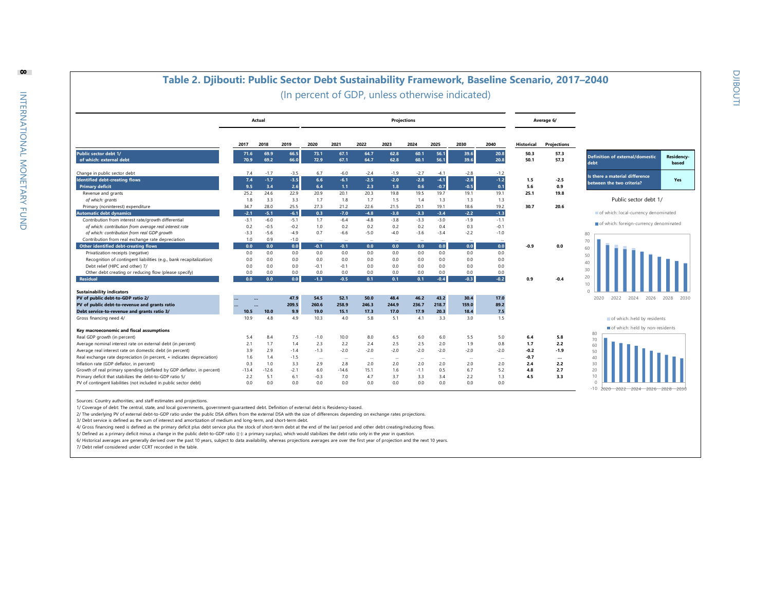

Sources: Country authorities; and staff estimates and projections.

1/ Coverage of debt: The central, state, and local governments, government-guaranteed debt. Definition of external debt is Residency-based.

2/ The underlying PV of external debt-to-GDP ratio under the public DSA differs from the external DSA with the size of differences depending on exchange rates projections.

3/ Debt service is defined as the sum of interest and amortization of medium and long-term, and short-term debt.

4/ Gross financing need is defined as the primary deficit plus debt service plus the stock of short-term debt at the end of the last period and other debt creating/reducing flows

5/ Defined as a primary deficit minus a change in the public debt-to-GDP ratio ((-): a primary surplus), which would stabilizes the debt ratio only in the year in question.

6/ Historical averages are generally derived over the past 10 years, subject to data availability, whereas projections averages are over the first year of projection and the next 10 years.

7/ Debt relief considered under CCRT recorded in the table.

**8**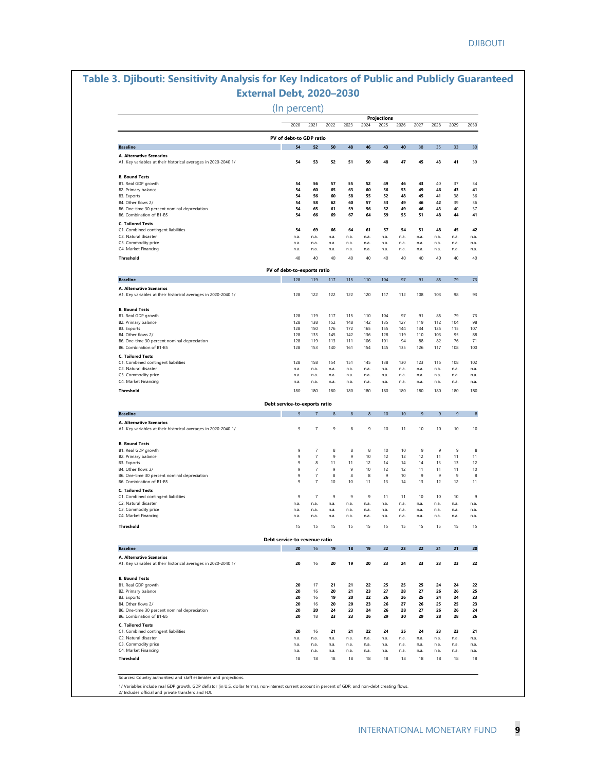## **Table 3. Djibouti: Sensitivity Analysis for Key Indicators of Public and Publicly Guaranteed External Debt, 2020–2030**

(In percent)

|                                                                                                                                                     | 2020                          | 2021                      | 2022           | 2023         | 2024         | <b>Projections</b><br>2025 | 2026         | 2027         | 2028         | 2029           | 2030                       |
|-----------------------------------------------------------------------------------------------------------------------------------------------------|-------------------------------|---------------------------|----------------|--------------|--------------|----------------------------|--------------|--------------|--------------|----------------|----------------------------|
|                                                                                                                                                     | PV of debt-to GDP ratio       |                           |                |              |              |                            |              |              |              |                |                            |
| <b>Baseline</b>                                                                                                                                     | 54                            | 52                        | 50             | 48           | 46           | 43                         | 40           | 38           | 35           | 33             | 30                         |
| A. Alternative Scenarios                                                                                                                            |                               |                           |                |              |              |                            |              |              |              |                |                            |
| A1. Key variables at their historical averages in 2020-2040 1/                                                                                      | 54                            | 53                        | 52             | 51           | 50           | 48                         | 47           | 45           | 43           | 41             | 39                         |
| <b>B. Bound Tests</b>                                                                                                                               |                               |                           |                |              |              |                            |              |              |              |                |                            |
| B1. Real GDP growth                                                                                                                                 | 54                            | 56                        | 57             | 55           | 52           | 49                         | 46           | 43           | 40           | 37             | 34                         |
| B2. Primary balance                                                                                                                                 | 54                            | 60                        | 65             | 63           | 60           | 56                         | 53           | 49           | 46           | 43             | 41                         |
| <b>B3. Exports</b><br>B4. Other flows 2/                                                                                                            | 54<br>54                      | 56<br>58                  | 60<br>62       | 58<br>60     | 55<br>57     | 52<br>53                   | 48<br>49     | 45<br>46     | 41<br>42     | 38<br>39       | 36<br>36                   |
| B6. One-time 30 percent nominal depreciation                                                                                                        | 54                            | 65                        | 61             | 59           | 56           | 52                         | 49           | 46           | 43           | 40             | 37                         |
| B6. Combination of B1-B5                                                                                                                            | 54                            | 66                        | 69             | 67           | 64           | 59                         | 55           | 51           | 48           | 44             | 41                         |
| <b>C. Tailored Tests</b>                                                                                                                            |                               |                           |                |              |              |                            |              |              |              |                |                            |
| C1. Combined contingent liabilities                                                                                                                 | 54                            | 69                        | 66             | 64           | 61           | 57                         | 54           | 51           | 48           | 45             | 42                         |
| C2. Natural disaster                                                                                                                                | n.a.                          | n.a.                      | n.a.           | n.a.         | n.a.         | n.a.                       | n.a.         | n.a.         | n.a.         | n.a.           | n.a.                       |
| C3. Commodity price                                                                                                                                 | n.a.                          | n.a.                      | n.a.           | n.a.         | n.a.         | n.a.                       | n.a.         | n.a.         | n.a.         | n.a.           | n.a.                       |
| C4. Market Financing                                                                                                                                | n.a.                          | n.a.                      | n.a.           | n.a.         | n.a.         | n.a.                       | n.a.         | n.a.         | n.a.         | n.a.           | n.a.                       |
| Threshold                                                                                                                                           | 40                            | 40                        | 40             | 40           | 40           | 40                         | 40           | 40           | 40           | 40             | 40                         |
|                                                                                                                                                     | PV of debt-to-exports ratio   |                           |                |              |              |                            |              |              |              |                |                            |
| <b>Baseline</b>                                                                                                                                     | 128                           | 119                       | 117            | 115          | 110          | 104                        | 97           | 91           | 85           | 79             | 73                         |
| A. Alternative Scenarios<br>A1. Key variables at their historical averages in 2020-2040 1/                                                          | 128                           | 122                       | 122            | 122          | 120          | 117                        | 112          | 108          | 103          | 98             | 93                         |
|                                                                                                                                                     |                               |                           |                |              |              |                            |              |              |              |                |                            |
| <b>B. Bound Tests</b>                                                                                                                               |                               |                           |                |              |              |                            |              |              |              |                |                            |
| B1. Real GDP growth                                                                                                                                 | 128                           | 119                       | 117            | 115          | 110          | 104                        | 97           | 91           | 85           | 79             | 73                         |
| B2. Primary balance<br>B3. Exports                                                                                                                  | 128<br>128                    | 138<br>150                | 152<br>176     | 148<br>172   | 142<br>165   | 135<br>155                 | 127<br>144   | 119<br>134   | 112<br>125   | 104<br>115     | 98<br>107                  |
| B4. Other flows 2/                                                                                                                                  | 128                           | 133                       | 145            | 142          | 136          | 128                        | 119          | 110          | 103          | 95             | 88                         |
| B6. One-time 30 percent nominal depreciation                                                                                                        | 128                           | 119                       | 113            | 111          | 106          | 101                        | 94           | 88           | 82           | 76             | 71                         |
| B6. Combination of B1-B5                                                                                                                            | 128                           | 153                       | 140            | 161          | 154          | 145                        | 135          | 126          | 117          | 108            | 100                        |
| <b>C. Tailored Tests</b>                                                                                                                            |                               |                           |                |              |              |                            |              |              |              |                |                            |
| C1. Combined contingent liabilities                                                                                                                 | 128                           | 158                       | 154            | 151          | 145          | 138                        | 130          | 123          | 115          | 108            | 102                        |
| C2. Natural disaster                                                                                                                                | n.a.                          | n.a.                      | n.a.           | n.a.         | n.a.         | n.a.                       | n.a.         | n.a.         | n.a.         | n.a.           | n.a.                       |
| C3. Commodity price                                                                                                                                 | n.a.                          | n.a.                      | n.a.           | n.a.         | n.a.         | n.a.                       | n.a.         | n.a.         | n.a.         | n.a.           | n.a.                       |
| C4. Market Financing                                                                                                                                | n.a.                          | n.a.                      | n.a.           | n.a.         | n.a.         | n.a.                       | n.a.         | n.a.         | n.a.         | n.a.           | n.a.                       |
| Threshold                                                                                                                                           | 180                           | 180                       | 180            | 180          | 180          | 180                        | 180          | 180          | 180          | 180            | 180                        |
|                                                                                                                                                     | Debt service-to-exports ratio |                           |                |              |              |                            |              |              |              |                |                            |
| <b>Baseline</b>                                                                                                                                     | $\mathbf{q}$                  | $\overline{7}$            | $\overline{8}$ | 8            | 8            | 10                         | 10           | 9            | 9            | $\overline{9}$ | $\boldsymbol{8}$           |
| A. Alternative Scenarios                                                                                                                            |                               |                           |                |              |              |                            |              |              |              |                |                            |
| A1. Key variables at their historical averages in 2020-2040 1/                                                                                      | 9                             | $\overline{\mathfrak{z}}$ | $\,9$          | 8            | 9            | 10                         | 11           | 10           | 10           | 10             | 10                         |
| <b>B. Bound Tests</b>                                                                                                                               |                               |                           |                |              |              |                            |              |              |              |                |                            |
| B1. Real GDP growth                                                                                                                                 | 9                             | 7                         | 8              | 8            | 8            | 10                         | 10           | 9            | 9            | 9              | 8                          |
| B2. Primary balance                                                                                                                                 | 9                             | 7                         | 9              | 9            | 10           | 12                         | 12           | 12           | 11           | 11             | 11                         |
| B3. Exports                                                                                                                                         | $\,9$                         | 8                         | 11             | 11           | 12           | 14                         | 14           | 14           | 13           | 13             | 12                         |
| B4. Other flows 2/                                                                                                                                  | 9                             | $\overline{7}$            | 9              | 9            | 10           | 12                         | 12           | 11           | 11           | 11             | 10                         |
| B6. One-time 30 percent nominal depreciation                                                                                                        | 9                             | $\overline{7}$            | 8              | 8            | 8            | 9                          | 10           | 9            | 9            | $\,9$          | 8                          |
| B6. Combination of B1-B5                                                                                                                            | 9                             | $\overline{7}$            | 10             | 10           | 11           | 13                         | 14           | 13           | 12           | 12             | 11                         |
| <b>C. Tailored Tests</b>                                                                                                                            |                               |                           |                |              |              |                            |              |              |              |                |                            |
| C1. Combined contingent liabilities                                                                                                                 | 9                             | $\scriptstyle{7}$         | 9              | 9            | 9            | 11                         | 11           | 10           | 10           | 10             | 9                          |
| C2. Natural disaster<br>C3. Commodity price                                                                                                         | n.a.<br>n.a.                  | n.a.<br>n.a.              | n.a.<br>n.a.   | n.a.         | n.a.         | n.a.<br>n.a.               | n.a.         | n.a.         | n.a.         | n.a.<br>n.a.   | n.a.<br>n.a.               |
| C4. Market Financing                                                                                                                                | n.a.                          | n.a.                      | n.a.           | n.a.<br>n.a. | n.a.<br>n.a. | n.a.                       | n.a.<br>n.a. | n.a.<br>n.a. | n.a.<br>n.a. | n.a.           | n.a.                       |
| Threshold                                                                                                                                           | 15                            | 15                        | 15             | 15           | 15           | 15                         | 15           | 15           | 15           | 15             | 15                         |
|                                                                                                                                                     |                               |                           |                |              |              |                            |              |              |              |                |                            |
|                                                                                                                                                     | Debt service-to-revenue ratio |                           |                |              |              |                            |              |              |              |                | 20                         |
| <b>Baseline</b><br>A. Alternative Scenarios                                                                                                         | 20                            | 16                        | 19             | 18           | 19           | 22                         | 23           | 22           | 21           | 21             |                            |
| A1. Key variables at their historical averages in 2020-2040 1/                                                                                      | 20                            | 16                        | 20             | 19           | 20           | 23                         | 24           | 23           | 23           | 23             | 22                         |
| <b>B. Bound Tests</b>                                                                                                                               |                               |                           |                |              |              |                            |              |              |              |                |                            |
| B1. Real GDP growth                                                                                                                                 | 20                            | 17                        | 21             | 21           | 22           | 25                         | 25           | 25           | 24           | 24             | 22                         |
| B2. Primary balance                                                                                                                                 | 20                            | 16                        | 20             | 21           | 23           | 27                         | 28           | 27           | 26           | 26             | 25                         |
| B3. Exports                                                                                                                                         | 20                            | 16                        | 19             | 20           | 22           | 26                         | 26           | 25           | 24           | 24             | 23                         |
| B4. Other flows 2/                                                                                                                                  | 20                            | 16                        | 20             | 20           | 23           | 26                         | 27           | 26           | 25           | 25             | 23                         |
| B6. One-time 30 percent nominal depreciation<br>B6. Combination of B1-B5                                                                            | 20                            | 20                        | 24             | 23           | 24           | 26                         | 28           | 27           | 26           | 26             | 24                         |
|                                                                                                                                                     | 20                            | 18                        | 23             | 23           | 26           | 29                         | 30           | 29           | 28           | 28             | 26                         |
|                                                                                                                                                     |                               |                           |                |              | 22           |                            |              |              |              |                |                            |
|                                                                                                                                                     |                               |                           |                |              |              | 24                         | 25           | 24           | 23           | 23             | 21                         |
|                                                                                                                                                     | 20                            | 16                        | 21             | 21           |              |                            |              |              |              |                |                            |
|                                                                                                                                                     | n.a.                          | n.a.                      | n.a.           | n.a.         | n.a.         | n.a.                       | n.a.         | n.a.         | n.a.         | n.a.           |                            |
|                                                                                                                                                     | n.a.<br>n.a.                  | n.a.<br>n.a.              | n.a.<br>n.a.   | n.a.<br>n.a. | n.a.         | n.a.                       | n.a.         | n.a.<br>n.a. | n.a.         | n.a.           |                            |
| <b>C. Tailored Tests</b><br>C1. Combined contingent liabilities<br>C2. Natural disaster<br>C3. Commodity price<br>C4. Market Financing<br>Threshold | 18                            | 18                        | 18             | 18           | n.a.<br>18   | n.a.<br>18                 | n.a.<br>18   | 18           | n.a.<br>18   | n.a.<br>18     | n.a.<br>n.a.<br>n.a.<br>18 |

1/ Variables include real GDP growth, GDP deflator (in U.S. dollar terms), non-interest current account in percent of GDP, and non-debt creating flows. 2/ Includes official and private transfers and FDI.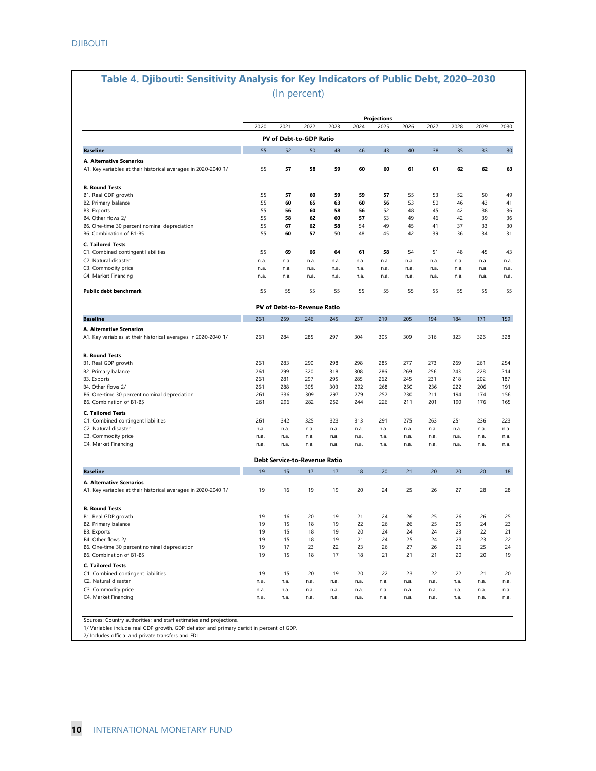## **Table 4. Djibouti: Sensitivity Analysis for Key Indicators of Public Debt, 2020–2030** (In percent)

|                                                                                                                | 2020         | 2021         | 2022                                 | 2023         | 2024         | Projections<br>2025 | 2026         | 2027         | 2028         | 2029         | 2030         |
|----------------------------------------------------------------------------------------------------------------|--------------|--------------|--------------------------------------|--------------|--------------|---------------------|--------------|--------------|--------------|--------------|--------------|
|                                                                                                                |              |              | PV of Debt-to-GDP Ratio              |              |              |                     |              |              |              |              |              |
| <b>Baseline</b>                                                                                                | 55           | 52           | 50                                   | 48           | 46           | 43                  | 40           | 38           | 35           | 33           | 30           |
|                                                                                                                |              |              |                                      |              |              |                     |              |              |              |              |              |
| A. Alternative Scenarios<br>A1. Key variables at their historical averages in 2020-2040 1/                     | 55           | 57           | 58                                   | 59           | 60           | 60                  | 61           | 61           | 62           | 62           | 63           |
|                                                                                                                |              |              |                                      |              |              |                     |              |              |              |              |              |
| <b>B. Bound Tests</b>                                                                                          |              |              |                                      |              |              |                     |              |              |              |              |              |
| B1. Real GDP growth                                                                                            | 55           | 57           | 60                                   | 59           | 59           | 57                  | 55           | 53           | 52           | 50           | 49           |
| B2. Primary balance                                                                                            | 55           | 60           | 65                                   | 63           | 60           | 56                  | 53           | 50           | 46           | 43           | 41           |
| B3. Exports                                                                                                    | 55           | 56           | 60                                   | 58           | 56           | 52                  | 48           | 45           | 42           | 38           | 36           |
| B4. Other flows 2/                                                                                             | 55           | 58           | 62                                   | 60           | 57           | 53                  | 49           | 46           | 42           | 39           | 36           |
| B6. One-time 30 percent nominal depreciation                                                                   | 55           | 67           | 62                                   | 58           | 54           | 49                  | 45           | 41           | 37           | 33           | 30           |
| B6. Combination of B1-B5                                                                                       | 55           | 60           | 57                                   | 50           | 48           | 45                  | 42           | 39           | 36           | 34           | 31           |
| <b>C. Tailored Tests</b>                                                                                       |              |              |                                      |              |              |                     |              |              |              |              |              |
| C1. Combined contingent liabilities                                                                            | 55           | 69           | 66                                   | 64           | 61           | 58                  | 54           | 51           | 48           | 45           | 43           |
| C2. Natural disaster                                                                                           | n.a.         | n.a.         | n.a.                                 | n.a.         | n.a.         | n.a.                | n.a.         | n.a.         | n.a.         | n.a.         | n.a.         |
| C3. Commodity price                                                                                            | n.a.         | n.a.         | n.a.                                 | n.a.         | n.a.         | n.a.                | n.a.         | n.a.         | n.a.         | n.a.         | n.a.         |
| C4. Market Financing                                                                                           | n.a.         | n.a.         | n.a.                                 | n.a.         | n.a.         | n.a.                | n.a.         | n.a.         | n.a.         | n.a.         | n.a.         |
| <b>Public debt benchmark</b>                                                                                   | 55           | 55           | 55                                   | 55           | 55           | 55                  | 55           | 55           | 55           | 55           | 55           |
|                                                                                                                |              |              | PV of Debt-to-Revenue Ratio          |              |              |                     |              |              |              |              |              |
| <b>Baseline</b>                                                                                                | 261          | 259          | 246                                  | 245          | 237          | 219                 | 205          | 194          | 184          | 171          | 159          |
|                                                                                                                |              |              |                                      |              |              |                     |              |              |              |              |              |
| A. Alternative Scenarios                                                                                       | 261          |              |                                      | 297          | 304          |                     |              |              | 323          | 326          | 328          |
| A1. Key variables at their historical averages in 2020-2040 1/                                                 |              | 284          | 285                                  |              |              | 305                 | 309          | 316          |              |              |              |
| <b>B. Bound Tests</b>                                                                                          |              |              |                                      |              |              |                     |              |              |              |              |              |
| B1. Real GDP growth                                                                                            | 261          | 283          | 290                                  | 298          | 298          | 285                 | 277          | 273          | 269          | 261          | 254          |
| B2. Primary balance                                                                                            | 261          | 299          | 320                                  | 318          | 308          | 286                 | 269          | 256          | 243          | 228          | 214          |
| B3. Exports                                                                                                    | 261          | 281          | 297                                  | 295          | 285          | 262                 | 245          | 231          | 218          | 202          | 187          |
| B4. Other flows 2/                                                                                             | 261          | 288          | 305                                  | 303          | 292          | 268                 | 250          | 236          | 222          | 206          | 191          |
| B6. One-time 30 percent nominal depreciation                                                                   | 261          | 336          | 309                                  | 297          | 279          | 252                 | 230          | 211          | 194          | 174          | 156          |
| B6. Combination of B1-B5                                                                                       | 261          | 296          | 282                                  | 252          | 244          | 226                 | 211          | 201          | 190          | 176          | 165          |
|                                                                                                                |              |              |                                      |              |              |                     |              |              |              |              |              |
| <b>C. Tailored Tests</b>                                                                                       |              |              |                                      |              |              |                     |              |              |              |              |              |
| C1. Combined contingent liabilities                                                                            | 261          | 342          | 325                                  | 323          | 313          | 291                 | 275          | 263          | 251          | 236          | 223          |
| C2. Natural disaster                                                                                           | n.a.         | n.a.         | n.a.                                 | n.a.         | n.a.         | n.a.                | n.a.         | n.a.         | n.a.         | n.a.         | n.a.         |
| C3. Commodity price                                                                                            | n.a.         | n.a.         | n.a.                                 | n.a.         | n.a.         | n.a.                | n.a.         | n.a.         | n.a.         | n.a.         | n.a.         |
| C4. Market Financing                                                                                           | n.a.         | n.a.         | n.a.                                 | n.a.         | n.a.         | n.a.                | n.a.         | n.a.         | n.a.         | n.a.         | n.a.         |
|                                                                                                                |              |              | <b>Debt Service-to-Revenue Ratio</b> |              |              |                     |              |              |              |              |              |
| <b>Baseline</b>                                                                                                | 19           | 15           | 17                                   | 17           | 18           | 20                  | 21           | 20           | 20           | 20           | 18           |
| A. Alternative Scenarios                                                                                       |              |              |                                      |              |              |                     |              |              |              |              |              |
| A1. Key variables at their historical averages in 2020-2040 1/                                                 | 19           | 16           | 19                                   | 19           | 20           | 24                  | 25           | 26           | 27           | 28           | 28           |
| <b>B. Bound Tests</b>                                                                                          |              |              |                                      |              |              |                     |              |              |              |              |              |
| B1. Real GDP growth                                                                                            | 19           | 16           | 20                                   | 19           | 21           | 24                  | 26           | 25           | 26           | 26           | 25           |
| B2. Primary balance                                                                                            | 19           | 15           | 18                                   | 19           | 22           | 26                  | 26           | 25           | 25           | 24           | 23           |
| B3. Exports                                                                                                    | 19           | 15           | 18                                   | 19           | 20           | 24                  | 24           | 24           | 23           | 22           | 21           |
| B4. Other flows 2/                                                                                             | 19           | 15           | 18                                   | 19           | 21           | 24                  | 25           | 24           | 23           | 23           | 22           |
| B6. One-time 30 percent nominal depreciation                                                                   | 19           | 17           | 23                                   | 22           | 23           | 26                  | 27           | 26           | 26           | 25           | 24           |
| B6. Combination of B1-B5                                                                                       | 19           | 15           | 18                                   | 17           | 18           | 21                  | 21           | 21           | 20           | 20           | 19           |
|                                                                                                                |              |              |                                      |              |              |                     |              |              |              |              |              |
|                                                                                                                |              |              |                                      |              |              | 22                  | 23           | 22           | 22           | 21           | 20           |
|                                                                                                                |              |              |                                      |              |              |                     |              |              |              |              |              |
|                                                                                                                | 19           | 15           | 20                                   | 19           | 20           |                     |              |              |              |              |              |
| <b>C. Tailored Tests</b><br>C1. Combined contingent liabilities<br>C2. Natural disaster<br>C3. Commodity price | n.a.<br>n.a. | n.a.<br>n.a. | n.a.<br>n.a.                         | n.a.<br>n.a. | n.a.<br>n.a. | n.a.<br>n.a.        | n.a.<br>n.a. | n.a.<br>n.a. | n.a.<br>n.a. | n.a.<br>n.a. | n.a.<br>n.a. |

Sources: Country authorities; and staff estimates and projections. 1/ Variables include real GDP growth, GDP deflator and primary deficit in percent of GDP. 2/ Includes official and private transfers and FDI.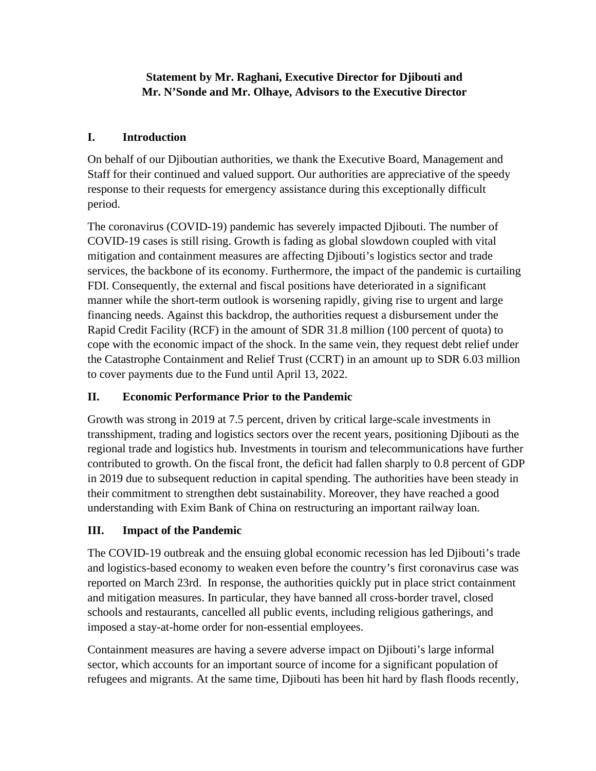## **Statement by Mr. Raghani, Executive Director for Djibouti and Mr. N'Sonde and Mr. Olhaye, Advisors to the Executive Director**

# **I. Introduction**

On behalf of our Djiboutian authorities, we thank the Executive Board, Management and Staff for their continued and valued support. Our authorities are appreciative of the speedy response to their requests for emergency assistance during this exceptionally difficult period.

The coronavirus (COVID-19) pandemic has severely impacted Djibouti. The number of COVID-19 cases is still rising. Growth is fading as global slowdown coupled with vital mitigation and containment measures are affecting Djibouti's logistics sector and trade services, the backbone of its economy. Furthermore, the impact of the pandemic is curtailing FDI. Consequently, the external and fiscal positions have deteriorated in a significant manner while the short-term outlook is worsening rapidly, giving rise to urgent and large financing needs. Against this backdrop, the authorities request a disbursement under the Rapid Credit Facility (RCF) in the amount of SDR 31.8 million (100 percent of quota) to cope with the economic impact of the shock. In the same vein, they request debt relief under the Catastrophe Containment and Relief Trust (CCRT) in an amount up to SDR 6.03 million to cover payments due to the Fund until April 13, 2022.

# **II. Economic Performance Prior to the Pandemic**

Growth was strong in 2019 at 7.5 percent, driven by critical large-scale investments in transshipment, trading and logistics sectors over the recent years, positioning Djibouti as the regional trade and logistics hub. Investments in tourism and telecommunications have further contributed to growth. On the fiscal front, the deficit had fallen sharply to 0.8 percent of GDP in 2019 due to subsequent reduction in capital spending. The authorities have been steady in their commitment to strengthen debt sustainability. Moreover, they have reached a good understanding with Exim Bank of China on restructuring an important railway loan.

# **III. Impact of the Pandemic**

The COVID-19 outbreak and the ensuing global economic recession has led Djibouti's trade and logistics-based economy to weaken even before the country's first coronavirus case was reported on March 23rd. In response, the authorities quickly put in place strict containment and mitigation measures. In particular, they have banned all cross-border travel, closed schools and restaurants, cancelled all public events, including religious gatherings, and imposed a stay-at-home order for non-essential employees.

Containment measures are having a severe adverse impact on Djibouti's large informal sector, which accounts for an important source of income for a significant population of refugees and migrants. At the same time, Djibouti has been hit hard by flash floods recently,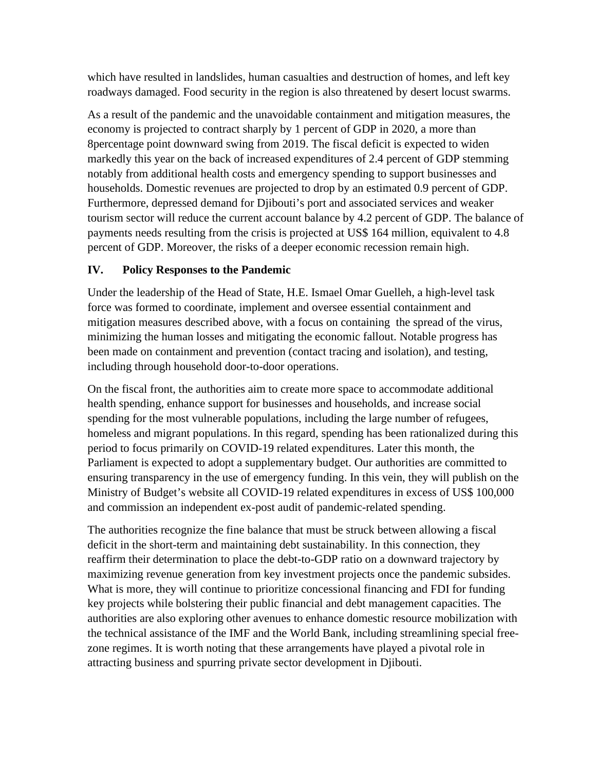which have resulted in landslides, human casualties and destruction of homes, and left key roadways damaged. Food security in the region is also threatened by desert locust swarms.

As a result of the pandemic and the unavoidable containment and mitigation measures, the economy is projected to contract sharply by 1 percent of GDP in 2020, a more than 8percentage point downward swing from 2019. The fiscal deficit is expected to widen markedly this year on the back of increased expenditures of 2.4 percent of GDP stemming notably from additional health costs and emergency spending to support businesses and households. Domestic revenues are projected to drop by an estimated 0.9 percent of GDP. Furthermore, depressed demand for Djibouti's port and associated services and weaker tourism sector will reduce the current account balance by 4.2 percent of GDP. The balance of payments needs resulting from the crisis is projected at US\$ 164 million, equivalent to 4.8 percent of GDP. Moreover, the risks of a deeper economic recession remain high.

### **IV. Policy Responses to the Pandemic**

Under the leadership of the Head of State, H.E. Ismael Omar Guelleh, a high-level task force was formed to coordinate, implement and oversee essential containment and mitigation measures described above, with a focus on containing the spread of the virus, minimizing the human losses and mitigating the economic fallout. Notable progress has been made on containment and prevention (contact tracing and isolation), and testing, including through household door-to-door operations.

On the fiscal front, the authorities aim to create more space to accommodate additional health spending, enhance support for businesses and households, and increase social spending for the most vulnerable populations, including the large number of refugees, homeless and migrant populations. In this regard, spending has been rationalized during this period to focus primarily on COVID-19 related expenditures. Later this month, the Parliament is expected to adopt a supplementary budget. Our authorities are committed to ensuring transparency in the use of emergency funding. In this vein, they will publish on the Ministry of Budget's website all COVID-19 related expenditures in excess of US\$ 100,000 and commission an independent ex-post audit of pandemic-related spending.

The authorities recognize the fine balance that must be struck between allowing a fiscal deficit in the short-term and maintaining debt sustainability. In this connection, they reaffirm their determination to place the debt-to-GDP ratio on a downward trajectory by maximizing revenue generation from key investment projects once the pandemic subsides. What is more, they will continue to prioritize concessional financing and FDI for funding key projects while bolstering their public financial and debt management capacities. The authorities are also exploring other avenues to enhance domestic resource mobilization with the technical assistance of the IMF and the World Bank, including streamlining special freezone regimes. It is worth noting that these arrangements have played a pivotal role in attracting business and spurring private sector development in Djibouti.